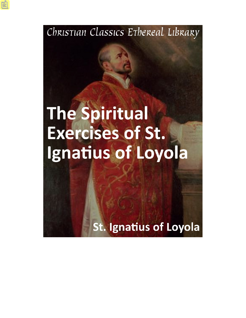Christian Classics Ethereal Library

# **The Spiritual** Exercises of St. **Ignatius of Loyola**

**St. Ignatius of Loyola**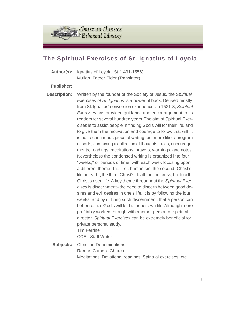

## **The Spiritual Exercises of St. Ignatius of Loyola**

**Author(s):** Ignatius of Loyola, St (1491-1556) Mullan, Father Elder (Translator)

#### **Publisher:**

- **Description:** Written by the founder of the Society of Jesus, the *Spiritual Exercises of St. Ignatius* is a powerful book. Derived mostly from St. Ignatius' conversion experiences in 1521-3, *Spiritual Exercises* has provided guidance and encouragement to its readers for several hundred years.The aim of Spiritual Exercises is to assist people in finding God's will for their life, and to give them the motivation and courage to follow that will. It is not a continuous piece of writing, but more like a program of sorts, containing a collection of thoughts, rules, encouragements, readings, meditations, prayers, warnings, and notes. Nevertheless the condensed writing is organized into four "weeks," or periods of time, with each week focusing upon a different theme--the first, human sin; the second, Christ's life on earth; the third, Christ's death on the cross; the fourth, Christ's risen life. A key theme throughout the *Spiritual Exercises* is discernment--the need to discern between good desires and evil desires in one's life. It is by following the four weeks, and by utilizing such discernment, that a person can better realize God's will for his or her own life. Although more profitably worked through with another person or spiritual director, *Spiritual Exercises* can be extremely beneficial for private personal study. Tim Perrine CCEL Staff Writer
	- **Subjects:** Christian Denominations Roman Catholic Church Meditations. Devotional readings. Spiritual exercises, etc.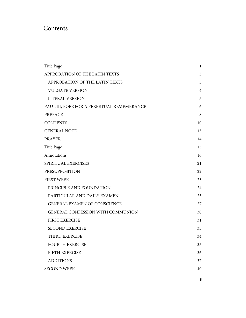# Contents

| Title Page                                 | 1              |
|--------------------------------------------|----------------|
| APPROBATION OF THE LATIN TEXTS             | 3              |
| APPROBATION OF THE LATIN TEXTS             | 3              |
| <b>VULGATE VERSION</b>                     | $\overline{4}$ |
| LITERAL VERSION                            | 5              |
| PAUL III, POPE FOR A PERPETUAL REMEMBRANCE | 6              |
| <b>PREFACE</b>                             | 8              |
| <b>CONTENTS</b>                            | 10             |
| <b>GENERAL NOTE</b>                        | 13             |
| <b>PRAYER</b>                              | 14             |
| Title Page                                 | 15             |
| Annotations                                | 16             |
| SPIRITUAL EXERCISES                        | 21             |
| PRESUPPOSITION                             | 22             |
| <b>FIRST WEEK</b>                          | 23             |
| PRINCIPLE AND FOUNDATION                   | 24             |
| PARTICULAR AND DAILY EXAMEN                | 25             |
| GENERAL EXAMEN OF CONSCIENCE               | 27             |
| GENERAL CONFESSION WITH COMMUNION          | 30             |
| <b>FIRST EXERCISE</b>                      | 31             |
| <b>SECOND EXERCISE</b>                     | 33             |
| <b>THIRD EXERCISE</b>                      | 34             |
| FOURTH EXERCISE                            | 35             |
| FIFTH EXERCISE                             | 36             |
| <b>ADDITIONS</b>                           | 37             |
| <b>SECOND WEEK</b>                         | 40             |
|                                            |                |

ii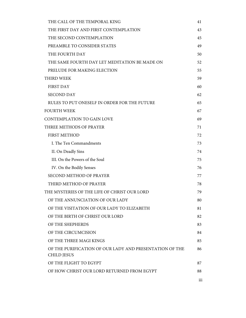| THE CALL OF THE TEMPORAL KING                                                 | 41 |
|-------------------------------------------------------------------------------|----|
| THE FIRST DAY AND FIRST CONTEMPLATION                                         | 43 |
| THE SECOND CONTEMPLATION                                                      | 45 |
| PREAMBLE TO CONSIDER STATES                                                   | 49 |
| THE FOURTH DAY                                                                | 50 |
| THE SAME FOURTH DAY LET MEDITATION BE MADE ON                                 | 52 |
| PRELUDE FOR MAKING ELECTION                                                   | 55 |
| THIRD WEEK                                                                    | 59 |
| <b>FIRST DAY</b>                                                              | 60 |
| <b>SECOND DAY</b>                                                             | 62 |
| RULES TO PUT ONESELF IN ORDER FOR THE FUTURE                                  | 65 |
| <b>FOURTH WEEK</b>                                                            | 67 |
| <b>CONTEMPLATION TO GAIN LOVE</b>                                             | 69 |
| THREE METHODS OF PRAYER                                                       | 71 |
| FIRST METHOD                                                                  | 72 |
| I. The Ten Commandments                                                       | 73 |
| II. On Deadly Sins                                                            | 74 |
| III. On the Powers of the Soul                                                | 75 |
| IV. On the Bodily Senses                                                      | 76 |
| <b>SECOND METHOD OF PRAYER</b>                                                | 77 |
| THIRD METHOD OF PRAYER                                                        | 78 |
| THE MYSTERIES OF THE LIFE OF CHRIST OUR LORD                                  | 79 |
| OF THE ANNUNCIATION OF OUR LADY                                               | 80 |
| OF THE VISITATION OF OUR LADY TO ELIZABETH                                    | 81 |
| OF THE BIRTH OF CHRIST OUR LORD                                               | 82 |
| OF THE SHEPHERDS                                                              | 83 |
| OF THE CIRCUMCISION                                                           | 84 |
| OF THE THREE MAGI KINGS                                                       | 85 |
| OF THE PURIFICATION OF OUR LADY AND PRESENTATION OF THE<br><b>CHILD JESUS</b> | 86 |
| OF THE FLIGHT TO EGYPT                                                        | 87 |
| OF HOW CHRIST OUR LORD RETURNED FROM EGYPT                                    | 88 |
|                                                                               |    |

iii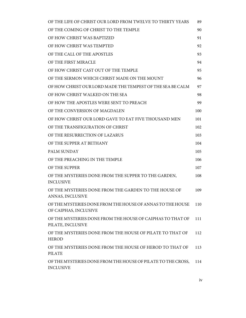| OF THE LIFE OF CHRIST OUR LORD FROM TWELVE TO THIRTY YEARS                          | 89  |
|-------------------------------------------------------------------------------------|-----|
| OF THE COMING OF CHRIST TO THE TEMPLE                                               | 90  |
| OF HOW CHRIST WAS BAPTIZED                                                          | 91  |
| OF HOW CHRIST WAS TEMPTED                                                           | 92  |
| OF THE CALL OF THE APOSTLES                                                         | 93  |
| OF THE FIRST MIRACLE                                                                | 94  |
| OF HOW CHRIST CAST OUT OF THE TEMPLE                                                | 95  |
| OF THE SERMON WHICH CHRIST MADE ON THE MOUNT                                        | 96  |
| OF HOW CHRIST OUR LORD MADE THE TEMPEST OF THE SEA BE CALM                          | 97  |
| OF HOW CHRIST WALKED ON THE SEA                                                     | 98  |
| OF HOW THE APOSTLES WERE SENT TO PREACH                                             | 99  |
| OF THE CONVERSION OF MAGDALEN                                                       | 100 |
| OF HOW CHRIST OUR LORD GAVE TO EAT FIVE THOUSAND MEN                                | 101 |
| OF THE TRANSFIGURATION OF CHRIST                                                    | 102 |
| OF THE RESURRECTION OF LAZARUS                                                      | 103 |
| OF THE SUPPER AT BETHANY                                                            | 104 |
| PALM SUNDAY                                                                         | 105 |
| OF THE PREACHING IN THE TEMPLE                                                      | 106 |
| OF THE SUPPER                                                                       | 107 |
| OF THE MYSTERIES DONE FROM THE SUPPER TO THE GARDEN,<br><b>INCLUSIVE</b>            | 108 |
| OF THE MYSTERIES DONE FROM THE GARDEN TO THE HOUSE OF<br>ANNAS, INCLUSIVE           | 109 |
| OF THE MYSTERIES DONE FROM THE HOUSE OF ANNAS TO THE HOUSE<br>OF CAIPHAS, INCLUSIVE | 110 |
| OF THE MYSTERIES DONE FROM THE HOUSE OF CAIPHAS TO THAT OF<br>PILATE, INCLUSIVE     | 111 |
| OF THE MYSTERIES DONE FROM THE HOUSE OF PILATE TO THAT OF<br><b>HEROD</b>           | 112 |
| OF THE MYSTERIES DONE FROM THE HOUSE OF HEROD TO THAT OF<br>PILATE                  | 113 |
| OF THE MYSTERIES DONE FROM THE HOUSE OF PILATE TO THE CROSS,<br><b>INCLUSIVE</b>    | 114 |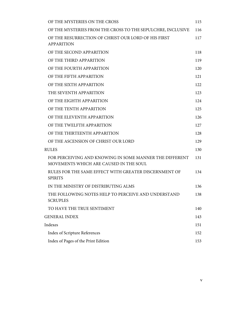| OF THE MYSTERIES ON THE CROSS                                                                     | 115 |
|---------------------------------------------------------------------------------------------------|-----|
| OF THE MYSTERIES FROM THE CROSS TO THE SEPULCHRE, INCLUSIVE                                       | 116 |
| OF THE RESURRECTION OF CHRIST OUR LORD OF HIS FIRST<br><b>APPARITION</b>                          | 117 |
| OF THE SECOND APPARITION                                                                          | 118 |
| OF THE THIRD APPARITION                                                                           | 119 |
| OF THE FOURTH APPARITION                                                                          | 120 |
| OF THE FIFTH APPARITION                                                                           | 121 |
| OF THE SIXTH APPARITION                                                                           | 122 |
| THE SEVENTH APPARITION                                                                            | 123 |
| OF THE EIGHTH APPARITION                                                                          | 124 |
| OF THE TENTH APPARITION                                                                           | 125 |
| OF THE ELEVENTH APPARITION                                                                        | 126 |
| OF THE TWELFTH APPARITION                                                                         | 127 |
| OF THE THIRTEENTH APPARITION                                                                      | 128 |
| OF THE ASCENSION OF CHRIST OUR LORD                                                               | 129 |
| <b>RULES</b>                                                                                      | 130 |
| FOR PERCEIVING AND KNOWING IN SOME MANNER THE DIFFERENT<br>MOVEMENTS WHICH ARE CAUSED IN THE SOUL | 131 |
| RULES FOR THE SAME EFFECT WITH GREATER DISCERNMENT OF<br><b>SPIRITS</b>                           | 134 |
| IN THE MINISTRY OF DISTRIBUTING ALMS                                                              | 136 |
| THE FOLLOWING NOTES HELP TO PERCEIVE AND UNDERSTAND<br><b>SCRUPLES</b>                            | 138 |
| TO HAVE THE TRUE SENTIMENT                                                                        | 140 |
| <b>GENERAL INDEX</b>                                                                              | 143 |
| Indexes                                                                                           | 151 |
| Index of Scripture References                                                                     | 152 |
| Index of Pages of the Print Edition                                                               | 153 |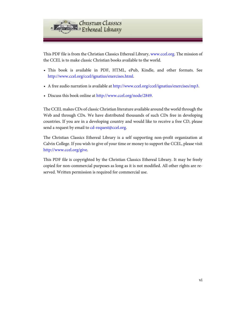

This PDF file is from the Christian Classics Ethereal Library, [www.ccel.org.](http://www.ccel.org) The mission of the CCEL is to make classic Christian books available to the world.

- This book is available in PDF, HTML, ePub, Kindle, and other formats. See [http://www.ccel.org/ccel/ignatius/exercises.html.](http://www.ccel.org/ccel/ignatius/exercises.html)
- A free audio narration is available at [http://www.ccel.org/ccel/ignatius/exercises/mp3.](http://www.ccel.org/ccel/ignatius/exercises/mp3)
- Discuss this book online at [http://www.ccel.org/node/2849.](http://www.ccel.org/node/2849)

The CCEL makes CDs of classic Christian literature available around the world through the Web and through CDs. We have distributed thousands of such CDs free in developing countries. If you are in a developing country and would like to receive a free CD, please send a request by email to [cd-request@ccel.org.](mailto:cd-request@ccel.org)

The Christian Classics Ethereal Library is a self supporting non-profit organization at Calvin College. If you wish to give of your time or money to support the CCEL, please visit [http://www.ccel.org/give.](http://www.ccel.org/give)

This PDF file is copyrighted by the Christian Classics Ethereal Library. It may be freely copied for non-commercial purposes as long as it is not modified. All other rights are reserved. Written permission is required for commercial use.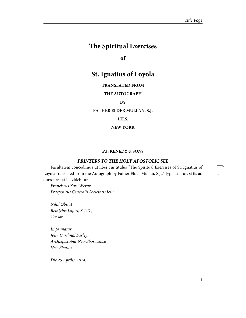# <span id="page-7-0"></span>**The Spiritual Exercises**

**of**

# **St. Ignatius of Loyola**

#### **TRANSLATED FROM**

#### **THE AUTOGRAPH**

**BY**

**FATHER ELDER MULLAN, S.J.**

**I.H.S.**

**NEW YORK**

#### **P.J. KENEDY & SONS**

#### *PRINTERS TO THE HOLY APOSTOLIC SEE*

Facultatem concedimus ut liber cui titulus "The Spiritual Exercises of St. Ignatius of Loyola translated from the Autograph by Father Elder Mullan, S.J.," typis edatur, si iis ad quos spectat ita videbitur.

Franciscus Xav. Wernz Praepositus Generalis Societatis Jesu

Nihil Obstat Remigius Lafort, S.T.D., Censor

Imprimatur John Cardinal Farley, Archiepiscopus Neo-Eboracensis, Neo-Eboraci

Die 25 Aprilis, 1914.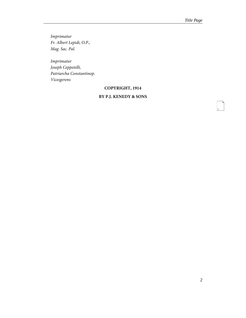Imprimatur Fr. Albert Lepidi, O.P., Mag. Sac. Pal.

Imprimatur Joseph Ceppetelli, Patriarcha Constantinop. Vicesgerens

## **COPYRIGHT, 1914**

## **BY P.J. KENEDY & SONS**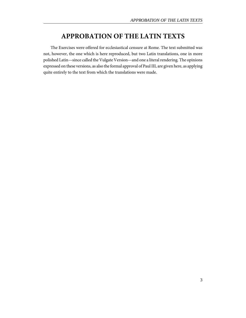# **APPROBATION OF THE LATIN TEXTS**

<span id="page-9-0"></span>The Exercises were offered for ecclesiastical censure at Rome. The text submitted was not, however, the one which is here reproduced, but two Latin translations, one in more polished Latin—since called the Vulgate Version—and one a literal rendering. The opinions expressed on these versions, as also the formal approval of Paul III, are given here, as applying quite entirely to the text from which the translations were made.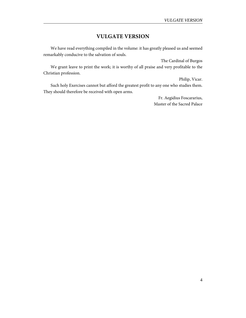## **VULGATE VERSION**

<span id="page-10-0"></span>We have read everything compiled in the volume: it has greatly pleased us and seemed remarkably conducive to the salvation of souls.

The Cardinal of Burgos We grant leave to print the work; it is worthy of all praise and very profitable to the Christian profession.

Philip, Vicar. Such holy Exercises cannot but afford the greatest profit to any one who studies them. They should therefore be received with open arms.

> Fr. Aegidius Foscararius, Master of the Sacred Palace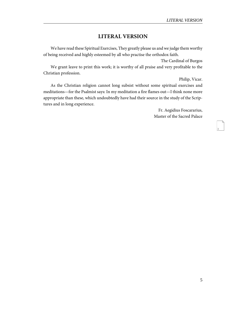## **LITERAL VERSION**

<span id="page-11-0"></span>We have read these Spiritual Exercises, They greatly please us and we judge them worthy of being received and highly esteemed by all who practise the orthodox faith.

The Cardinal of Burgos We grant leave to print this work; it is worthy of all praise and very profitable to the Christian profession.

Philip, Vicar.

3

As the Christian religion cannot long subsist without some spiritual exercises and meditations—for the Psalmist says: In my meditation a fire flames out—I think none more appropriate than these, which undoubtedly have had their source in the study of the Scriptures and in long experience.

> Fr. Aegidius Foscararius, Master of the Sacred Palace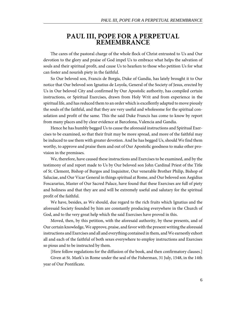## **PAUL III, POPE FOR A PERPETUAL REMEMBRANCE**

<span id="page-12-0"></span>The cares of the pastoral charge of the whole flock of Christ entrusted to Us and Our devotion to the glory and praise of God impel Us to embrace what helps the salvation of souls and their spiritual profit, and cause Us to hearken to those who petition Us for what can foster and nourish piety in the faithful.

So Our beloved son, Francis de Borgia, Duke of Gandia, has lately brought it to Our notice that Our beloved son Ignatius de Loyola, General of the Society of Jesus, erected by Us in Our beloved City and confirmed by Our Apostolic authority, has compiled certain instructions, or Spiritual Exercises, drawn from Holy Writ and from experience in the spiritual life, and has reduced them to an order which is excellently adapted to move piously the souls of the faithful, and that they are very useful and wholesome for the spiritual consolation and profit of the same. This the said Duke Francis has come to know by report from many places and by clear evidence at Barcelona, Valencia and Gandia.

Hence he has humbly begged Us to cause the aforesaid instructions and Spiritual Exercises to be examined, so that their fruit may be more spread, and more of the faithful may be induced to use them with greater devotion. And he has begged Us, should We find them worthy, to approve and praise them and out of Our Apostolic goodness to make other provision in the premisses.

We, therefore, have caused these instructions and Exercises to be examined, and by the testimony of and report made to Us by Our beloved son John Cardinal Priest of the Title of St. Clement, Bishop of Burgos and Inquisitor, Our venerable Brother Philip, Bishop of Saluciae, and Our Vicar General in things spiritual at Rome, and Our beloved son Aegidius Foscararius, Master of Our Sacred Palace, have found that these Exercises are full of piety and holiness and that they are and will be extremely useful and salutary for the spiritual profit of the faithful.

We have, besides, as We should, due regard to the rich fruits which Ignatius and the aforesaid Society founded by him are constantly producing everywhere in the Church of God, and to the very great help which the said Exercises have proved in this.

Moved, then, by this petition, with the aforesaid authority, by these presents, and of Our certain knowledge, We approve, praise, and favor with the present writing the aforesaid instructions and Exercises and all and everything contained in them, and We earnestly exhort all and each of the faithful of both sexes everywhere to employ instructions and Exercises so pious and to be instructed by them.

[Here follow regulations for the diffusion of the book, and then confirmatory clauses.]

Given at St. Mark's in Rome under the seal of the Fisherman, 31 July, 1548, in the 14th year of Our Pontificate.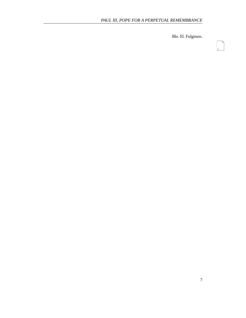Blo. El. Fulginen.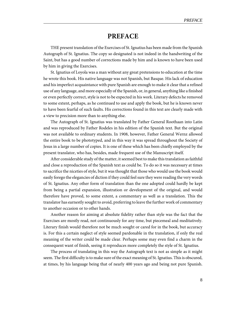## **PREFACE**

<span id="page-14-0"></span>THE present translation of the Exercises of St. Ignatius has been made from the Spanish Autograph of St. Ignatius. The copy so designated is not indeed in the handwriting of the Saint, but has a good number of corrections made by him and is known to have been used by him in giving the Exercises.

St. Ignatius of Loyola was a man without any great pretensions to education at the time he wrote this book. His native language was not Spanish, but Basque. His lack of education and his imperfect acquaintance with pure Spanish are enough to make it clear that a refined use of any language, and more especially of the Spanish, or, in general, anything like a finished or even perfectly correct, style is not to be expected in his work. Literary defects he removed to some extent, perhaps, as he continued to use and apply the book, but he is known never to have been fearful of such faults. His corrections found in this text are clearly made with a view to precision more than to anything else.

The Autograph of St. Ignatius was translated by Father General Roothaan into Latin and was reproduced by Father Rodeles in his edition of the Spanish text. But the original was not available to ordinary students. In 1908, however, Father General Wernz allowed the entire book to be phototyped, and in this way it was spread throughout the Society of Jesus in a large number of copies. It is one of these which has been chiefly employed by the present translator, who has, besides, made frequent use of the Manuscript itself.

After considerable study of the matter, it seemed best to make this translation as faithful and close a reproduction of the Spanish text as could be. To do so it was necessary at times to sacrifice the niceties of style, but it was thought that those who would use the book would easily forego the elegancies of diction if they could feel sure they were reading the very words of St. Ignatius. Any other form of translation than the one adopted could hardly be kept from being a partial expansion, illustration or development of the original, and would therefore have proved, to some extent, a commentary as well as a translation. This the translator has earnestly sought to avoid, preferring to leave the further work of commentary to another occasion or to other hands.

Another reason for aiming at absolute fidelity rather than style was the fact that the Exercises are mostly read, not continuously for any time, but piecemeal and meditatively. Literary finish would therefore not be much sought or cared for in the book, but accuracy is. For this a certain neglect of style seemed pardonable in the translation, if only the real meaning of the writer could be made clear. Perhaps some may even find a charm in the consequent want of finish, seeing it reproduces more completely the style of St. Ignatius.

The process of translating in this way the Autograph text is not as simple as it might seem. The first difficulty is to make sure of the exact meaning of St. Ignatius. This is obscured, at times, by his language being that of nearly 400 years ago and being not pure Spanish.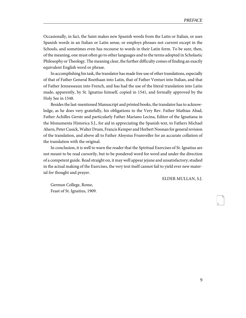Occasionally, in fact, the Saint makes new Spanish words from the Latin or Italian, or uses Spanish words in an Italian or Latin sense, or employs phrases not current except in the Schools, and sometimes even has recourse to words in their Latin form. To be sure, then, of the meaning, one must often go to other languages and to the terms adopted in Scholastic Philosophy or Theology. The meaning clear, the further difficulty comes of finding an exactly equivalent English word or phrase.

In accomplishing his task, the translator has made free use of other translations, especially of that of Father General Roothaan into Latin, that of Father Venturi into Italian, and that of Father Jennesseaux into French, and has had the use of the literal translation into Latin made, apparently, by St. Ignatius himself, copied in 1541, and formally approved by the Holy See in 1548.

Besides the last-mentioned Manuscript and printed books, the translator has to acknowledge, as he does very gratefully, his obligations to the Very Rev. Father Mathias Abad, Father Achilles Gerste and particularly Father Mariano Lecina, Editor of the Ignatiana in the Monumenta Historica S.J., for aid in appreciating the Spanish text, to Fathers Michael Ahern, Peter Cusick, Walter Drum, Francis Kemper and Herbert Noonan for general revision of the translation, and above all to Father Aloysius Frumveller for an accurate collation of the translation with the original.

In conclusion, it is well to warn the reader that the Spiritual Exercises of St. Ignatius are not meant to be read cursorily, but to be pondered word for word and under the direction of a competent guide. Read straight on, it may well appear jejune and unsatisfactory; studied in the actual making of the Exercises, the very text itself cannot fail to yield ever new material for thought and prayer.

ELDER MULLAN, S.J.

German College, Rome, Feast of St. Ignatius, 1909.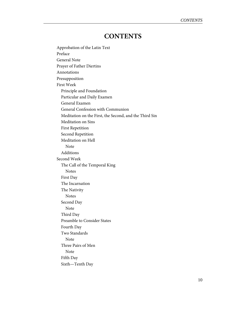# **CONTENTS**

<span id="page-16-0"></span>Approbation of the Latin Text Preface General Note Prayer of Father Diertins Annotations Presupposition First Week Principle and Foundation Particular and Daily Examen General Examen General Confession with Communion Meditation on the First, the Second, and the Third Sin Meditation on Sins First Repetition Second Repetition Meditation on Hell Note Additions Second Week The Call of the Temporal King Notes First Day The Incarnation The Nativity Notes Second Day Note Third Day Preamble to Consider States Fourth Day Two Standards Note Three Pairs of Men Note Fifth Day Sixth—Tenth Day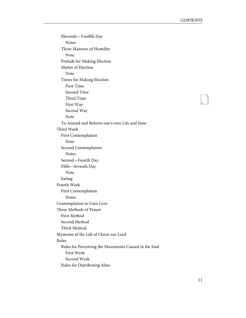Eleventh—Twelfth Day Notes Three Manners of Humility Note Prelude for Making Election Matter of Election Note Times for Making Election First Time Second Time Third Time First Way Second Way Note To Amend and Reform one's own Life and State Third Week First Contemplation Note Second Contemplation Notes Second—Fourth Day Fifth—Seventh Day Note Eating Fourth Week First Contemplation **Notes** Contemplation to Gain Love Three Methods of Prayer First Method Second Method Third Method Mysteries of the Life of Christ our Lord Rules Rules for Perceiving the Movements Caused in the Soul First Week Second Week Rules for Distributing Alms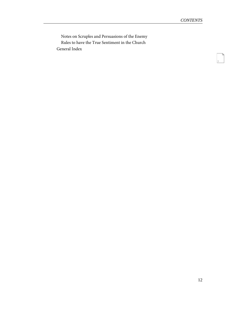Notes on Scruples and Persuasions of the Enemy Rules to have the True Sentiment in the Church General Index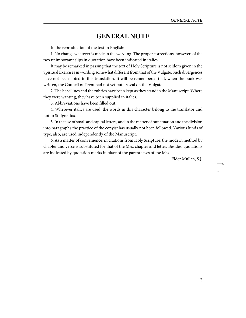## **GENERAL NOTE**

<span id="page-19-0"></span>In the reproduction of the text in English:

1. No change whatever is made in the wording. The proper corrections, however, of the two unimportant slips in quotation have been indicated in italics.

It may be remarked in passing that the text of Holy Scripture is not seldom given in the Spiritual Exercises in wording somewhat different from that of the Vulgate. Such divergences have not been noted in this translation. It will be remembered that, when the book was written, the Council of Trent had not yet put its seal on the Vulgate.

2. The head lines and the rubrics have been kept as they stand in the Manuscript. Where they were wanting, they have been supplied in italics.

3. Abbreviations have been filled out.

4. Wherever italics are used, the words in this character belong to the translator and not to St. Ignatius.

5. In the use of small and capital letters, and in the matter of punctuation and the division into paragraphs the practice of the copyist has usually not been followed. Various kinds of type, also, are used independently of the Manuscript.

6. As a matter of convenience, in citations from Holy Scripture, the modern method by chapter and verse is substituted for that of the Mss. chapter and letter. Besides, quotations are indicated by quotation marks in place of the parentheses of the Mss.

Elder Mullan, S.J.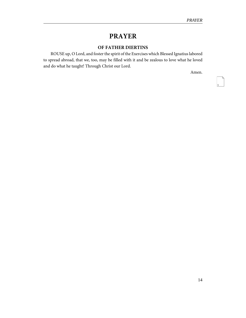# **PRAYER**

## **OF FATHER DIERTINS**

<span id="page-20-0"></span>ROUSE up, O Lord, and foster the spirit of the Exercises which Blessed Ignatius labored to spread abroad, that we, too, may be filled with it and be zealous to love what he loved and do what he taught! Through Christ our Lord.

Amen.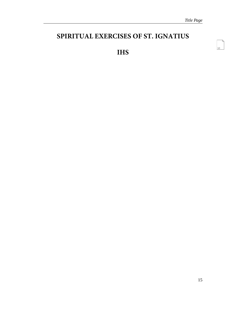# <span id="page-21-0"></span>**SPIRITUAL EXERCISES OF ST. IGNATIUS**

**IHS**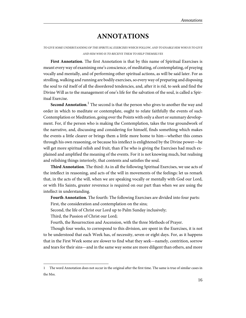# **ANNOTATIONS**

#### <span id="page-22-0"></span>TO GIVE SOME UNDERSTANDING OF THE SPIRITUAL EXERCISES WHICH FOLLOW, AND TO ENABLE HIM WHO IS TO GIVE AND HIM WHO IS TO RECEIVE THEM TO HELP THEMSELVES

**First Annotation**. The first Annotation is that by this name of Spiritual Exercises is meant every way of examining one's conscience, of meditating, of contemplating, of praying vocally and mentally, and of performing other spiritual actions, as will be said later. For as strolling, walking and running are bodily exercises, so every way of preparing and disposing the soul to rid itself of all the disordered tendencies, and, after it is rid, to seek and find the Divine Will as to the management of one's life for the salvation of the soul, is called a Spiritual Exercise.

**Second Annotation.** $^1$  The second is that the person who gives to another the way and order in which to meditate or contemplate, ought to relate faithfully the events of such Contemplation or Meditation, going over the Points with only a short or summary development. For, if the person who is making the Contemplation, takes the true groundwork of the narrative, and, discussing and considering for himself, finds something which makes the events a little clearer or brings them a little more home to him—whether this comes through his own reasoning, or because his intellect is enlightened by the Divine power—he will get more spiritual relish and fruit, than if he who is giving the Exercises had much explained and amplified the meaning of the events. For it is not knowing much, but realising and relishing things interiorly, that contents and satisfies the soul.

**Third Annotation**. The third: As in all the following Spiritual Exercises, we use acts of the intellect in reasoning, and acts of the will in movements of the feelings: let us remark that, in the acts of the will, when we are speaking vocally or mentally with God our Lord, or with His Saints, greater reverence is required on our part than when we are using the intellect in understanding.

**Fourth Annotation**. The fourth: The following Exercises are divided into four parts: First, the consideration and contemplation on the sins;

Second, the life of Christ our Lord up to Palm Sunday inclusively;

Third, the Passion of Christ our Lord;

Fourth, the Resurrection and Ascension, with the three Methods of Prayer.

Though four weeks, to correspond to this division, are spent in the Exercises, it is not to be understood that each Week has, of necessity, seven or eight days. For, as it happens that in the First Week some are slower to find what they seek—namely, contrition, sorrow and tears for their sins—and in the same way some are more diligent than others, and more

<sup>1</sup> The word Annotation does not occur in the original after the first time. The same is true of similar cases in the Mss.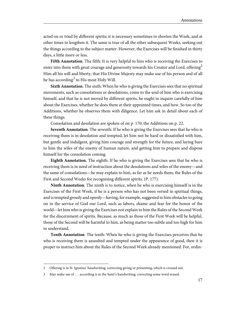acted on or tried by different spirits; it is necessary sometimes to shorten the Week, and at other times to lengthen it. The same is true of all the other subsequent Weeks, seeking out the things according to the subject matter. However, the Exercises will be finished in thirty days, a little more or less.

**Fifth Annotation**. The fifth: It is very helpful to him who is receiving the Exercises to enter into them with great courage and generosity towards his Creator and Lord, offering<sup>2</sup> Him all his will and liberty, that His Divine Majesty may make use of his person and of all he has according $^3$  to His most Holy Will.

**Sixth Annotation**. The sixth: When he who is giving the Exercises sees that no spiritual movements, such as consolations or desolations, come to the soul of him who is exercising himself, and that he is not moved by different spirits, he ought to inquire carefully of him about the Exercises, whether he does them at their appointed times, and how. So too of the Additions, whether he observes them with diligence. Let him ask in detail about each of these things.

Consolation and desolation are spoken of on p. 170; the Additions on p. 22.

**Seventh Annotation**. The seventh: If he who is giving the Exercises sees that he who is receiving them is in desolation and tempted, let him not be hard or dissatisfied with him, but gentle and indulgent, giving him courage and strength for the future, and laying bare to him the wiles of the enemy of human nature, and getting him to prepare and dispose himself for the consolation coming.

**Eighth Annotation**. The eighth: If he who is giving the Exercises sees that he who is receiving them is in need of instruction about the desolations and wiles of the enemy—and the same of consolations—he may explain to him, as far as he needs them, the Rules of the First and Second Weeks for recognising different spirits. (P. 177).

**Ninth Annotation**. The ninth is to notice, when he who is exercising himself is in the Exercises of the First Week, if he is a person who has not been versed in spiritual things, and is tempted grossly and openly—having, for example, suggested to him obstacles to going on in the service of God our Lord, such as labors, shame and fear for the honor of the world—let him who is giving the Exercises not explain to him the Rules of the Second Week for the discernment of spirits. Because, as much as those of the First Week will be helpful, those of the Second will be harmful to him, as being matter too subtle and too high for him to understand.

**Tenth Annotation**. The tenth: When he who is giving the Exercises perceives that he who is receiving them is assaulted and tempted under the appearance of good, then it is proper to instruct him about the Rules of the Second Week already mentioned. For, ordin-

<sup>2</sup> Offering is in St. Ignatius' handwriting, correcting giving or presenting, which is crossed out.

<sup>3</sup> May make use of . . . according is in the Saint's handwriting, correcting some word erased.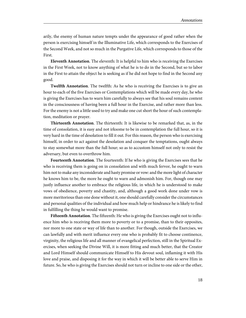arily, the enemy of human nature tempts under the appearance of good rather when the person is exercising himself in the Illuminative Life, which corresponds to the Exercises of the Second Week, and not so much in the Purgative Life, which corresponds to those of the First.

**Eleventh Annotation**. The eleventh: It is helpful to him who is receiving the Exercises in the First Week, not to know anything of what he is to do in the Second, but so to labor in the First to attain the object he is seeking as if he did not hope to find in the Second any good.

**Twelfth Annotation**. The twelfth: As he who is receiving the Exercises is to give an hour to each of the five Exercises or Contemplations which will be made every day, he who is giving the Exercises has to warn him carefully to always see that his soul remains content in the consciousness of having been a full hour in the Exercise, and rather more than less. For the enemy is not a little used to try and make one cut short the hour of such contemplation, meditation or prayer.

**Thirteenth Annotation**. The thirteenth: It is likewise to be remarked that, as, in the time of consolation, it is easy and not irksome to be in contemplation the full hour, so it is very hard in the time of desolation to fill it out. For this reason, the person who is exercising himself, in order to act against the desolation and conquer the temptations, ought always to stay somewhat more than the full hour; so as to accustom himself not only to resist the adversary, but even to overthrow him.

**Fourteenth Annotation**. The fourteenth: If he who is giving the Exercises sees that he who is receiving them is going on in consolation and with much fervor, he ought to warn him not to make any inconsiderate and hasty promise or vow: and the more light of character he knows him to be, the more he ought to warn and admonish him. For, though one may justly influence another to embrace the religious life, in which he is understood to make vows of obedience, poverty and chastity, and, although a good work done under vow is more meritorious than one done without it, one should carefully consider the circumstances and personal qualities of the individual and how much help or hindrance he is likely to find in fulfilling the thing he would want to promise.

**Fifteenth Annotation**. The fifteenth: He who is giving the Exercises ought not to influence him who is receiving them more to poverty or to a promise, than to their opposites, nor more to one state or way of life than to another. For though, outside the Exercises, we can lawfully and with merit influence every one who is probably fit to choose continence, virginity, the religious life and all manner of evangelical perfection, still in the Spiritual Exercises, when seeking the Divine Will, it is more fitting and much better, that the Creator and Lord Himself should communicate Himself to His devout soul, inflaming it with His love and praise, and disposing it for the way in which it will be better able to serve Him in future. So, he who is giving the Exercises should not turn or incline to one side or the other,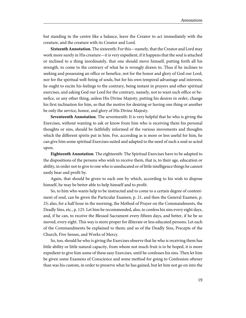but standing in the centre like a balance, leave the Creator to act immediately with the creature, and the creature with its Creator and Lord.

**Sixteenth Annotation**. The sixteenth: For this—namely, that the Creator and Lord may work more surely in His creature—it is very expedient, if it happens that the soul is attached or inclined to a thing inordinately, that one should move himself, putting forth all his strength, to come to the contrary of what he is wrongly drawn to. Thus if he inclines to seeking and possessing an office or benefice, not for the honor and glory of God our Lord, nor for the spiritual well-being of souls, but for his own temporal advantage and interests, he ought to excite his feelings to the contrary, being instant in prayers and other spiritual exercises, and asking God our Lord for the contrary, namely, not to want such office or benefice, or any other thing, unless His Divine Majesty, putting his desires in order, change his first inclination for him, so that the motive for desiring or having one thing or another be only the service, honor, and glory of His Divine Majesty.

**Seventeenth Annotation**. The seventeenth: It is very helpful that he who is giving the Exercises, without wanting to ask or know from him who is receiving them his personal thoughts or sins, should be faithfully informed of the various movements and thoughts which the different spirits put in him. For, according as is more or less useful for him, he can give him some spiritual Exercises suited and adapted to the need of such a soul so acted upon.

**Eighteenth Annotation**. The eighteenth: The Spiritual Exercises have to be adapted to the dispositions of the persons who wish to receive them, that is, to their age, education or ability, in order not to give to one who is uneducated or of little intelligence things he cannot easily bear and profit by.

Again, that should be given to each one by which, according to his wish to dispose himself, he may be better able to help himself and to profit.

So, to him who wants help to be instructed and to come to a certain degree of contentment of soul, can be given the Particular Examen, p. 21, and then the General Examen, p. 25; also, for a half hour in the morning, the Method of Prayer on the Commandments, the Deadly Sins, etc., p. 125. Let him be recommended, also, to confess his sins every eight days, and, if he can, to receive the Blessed Sacrament every fifteen days, and better, if he be so moved, every eight. This way is more proper for illiterate or less educated persons. Let each of the Commandments be explained to them; and so of the Deadly Sins, Precepts of the Church, Five Senses, and Works of Mercy.

So, too, should he who is giving the Exercises observe that he who is receiving them has little ability or little natural capacity, from whom not much fruit is to be hoped, it is more expedient to give him some of these easy Exercises, until he confesses his sins. Then let him be given some Examens of Conscience and some method for going to Confession oftener than was his custom, in order to preserve what he has gained, but let him not go on into the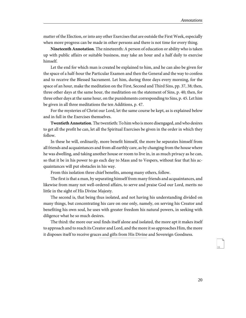matter of the Election, or into any other Exercises that are outside the First Week, especially when more progress can be made in other persons and there is not time for every thing.

**Nineteenth Annotation**. The nineteenth: A person of education or ability who is taken up with public affairs or suitable business, may take an hour and a half daily to exercise himself.

Let the end for which man is created be explained to him, and he can also be given for the space of a half-hour the Particular Examen and then the General and the way to confess and to receive the Blessed Sacrament. Let him, during three days every morning, for the space of an hour, make the meditation on the First, Second and Third Sins, pp. 37, 38; then, three other days at the same hour, the meditation on the statement of Sins, p. 40; then, for three other days at the same hour, on the punishments corresponding to Sins, p. 45. Let him be given in all three meditations the ten Additions, p. 47.

For the mysteries of Christ our Lord, let the same course be kept, as is explained below and in full in the Exercises themselves.

**Twentieth Annotation**. The twentieth: To him who is more disengaged, and who desires to get all the profit he can, let all the Spiritual Exercises be given in the order in which they follow.

In these he will, ordinarily, more benefit himself, the more he separates himself from all friends and acquaintances and from all earthly care, as by changing from the house where he was dwelling, and taking another house or room to live in, in as much privacy as he can, so that it be in his power to go each day to Mass and to Vespers, without fear that his acquaintances will put obstacles in his way.

From this isolation three chief benefits, among many others, follow.

The first is that a man, by separating himself from many friends and acquaintances, and likewise from many not well-ordered affairs, to serve and praise God our Lord, merits no little in the sight of His Divine Majesty.

The second is, that being thus isolated, and not having his understanding divided on many things, but concentrating his care on one only, namely, on serving his Creator and benefiting his own soul, he uses with greater freedom his natural powers, in seeking with diligence what he so much desires.

The third: the more our soul finds itself alone and isolated, the more apt it makes itself to approach and to reach its Creator and Lord, and the more it so approaches Him, the more it disposes itself to receive graces and gifts from His Divine and Sovereign Goodness.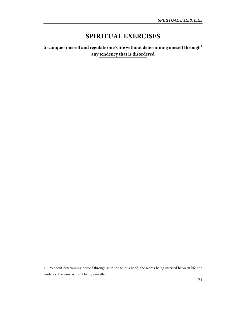# **SPIRITUAL EXERCISES**

## <span id="page-27-0"></span>**to conquer oneself and regulate one's life without determining oneself through**<sup>1</sup> **any tendency that is disordered**

<sup>1</sup> Without determining oneself through is in the Saint's hand, the words being inserted between life and tendency, the word without being cancelled.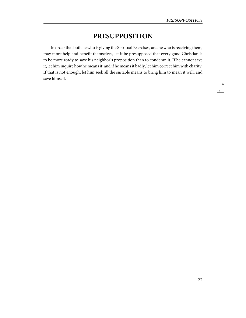# **PRESUPPOSITION**

<span id="page-28-0"></span>In order that both he who is giving the Spiritual Exercises, and he who is receiving them, may more help and benefit themselves, let it be presupposed that every good Christian is to be more ready to save his neighbor's proposition than to condemn it. If he cannot save it, let him inquire how he means it; and if he means it badly, let him correct him with charity. If that is not enough, let him seek all the suitable means to bring him to mean it well, and save himself.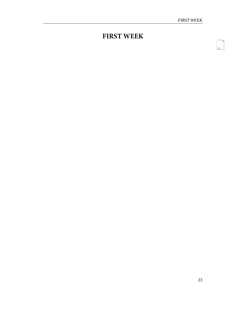# <span id="page-29-0"></span>**FIRST WEEK**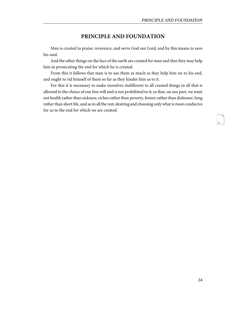## **PRINCIPLE AND FOUNDATION**

<span id="page-30-0"></span>Man is created to praise, reverence, and serve God our Lord, and by this means to save his soul.

And the other things on the face of the earth are created for man and that they may help him in prosecuting the end for which he is created.

From this it follows that man is to use them as much as they help him on to his end, and ought to rid himself of them so far as they hinder him as to it.

For this it is necessary to make ourselves indifferent to all created things in all that is allowed to the choice of our free will and is not prohibited to it; so that, on our part, we want not health rather than sickness, riches rather than poverty, honor rather than dishonor, long rather than short life, and so in all the rest; desiring and choosing only what is most conducive for us to the end for which we are created.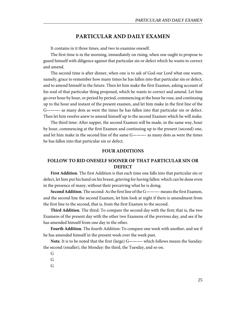#### **PARTICULAR AND DAILY EXAMEN**

<span id="page-31-0"></span>It contains in it three times, and two to examine oneself.

The first time is in the morning, immediately on rising, when one ought to propose to guard himself with diligence against that particular sin or defect which he wants to correct and amend.

The second time is after dinner, when one is to ask of God our Lord what one wants, namely, grace to remember how many times he has fallen into that particular sin or defect, and to amend himself in the future. Then let him make the first Examen, asking account of his soul of that particular thing proposed, which he wants to correct and amend. Let him go over hour by hour, or period by period, commencing at the hour he rose, and continuing up to the hour and instant of the present examen, and let him make in the first line of the G**———-** as many dots as were the times he has fallen into that particular sin or defect. Then let him resolve anew to amend himself up to the second Examen which he will make.

The third time: After supper, the second Examen will be made, in the same way, hour by hour, commencing at the first Examen and continuing up to the present (second) one, and let him make in the second line of the same G**———-** as many dots as were the times he has fallen into that particular sin or defect.

#### **FOUR ADDITIONS**

#### **FOLLOW TO RID ONESELF SOONER OF THAT PARTICULAR SIN OR DEFECT**

**First Addition**. The first Addition is that each time one falls into that particular sin or defect, let him put his hand on his breast, grieving for having fallen: which can be done even in the presence of many, without their perceiving what he is doing.

**Second Addition**. The second: As the first line of the G**———-** means the first Examen, and the second line the second Examen, let him look at night if there is amendment from the first line to the second, that is, from the first Examen to the second.

**Third Addition**. The third: To compare the second day with the first; that is, the two Examens of the present day with the other two Examens of the previous day, and see if he has amended himself from one day to the other.

**Fourth Addition**. The fourth Addition: To compare one week with another, and see if he has amended himself in the present week over the week past.

**Note**. It is to be noted that the first (large) G**———-** which follows means the Sunday: the second (smaller), the Monday: the third, the Tuesday, and so on.

G

G

G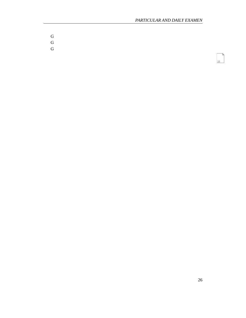G G G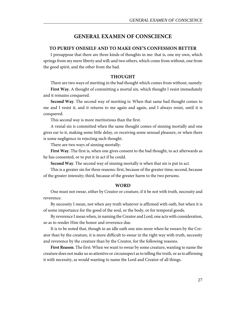### **GENERAL EXAMEN OF CONSCIENCE**

#### <span id="page-33-0"></span>**TO PURIFY ONESELF AND TO MAKE ONE'S CONFESSION BETTER**

I presuppose that there are three kinds of thoughts in me: that is, one my own, which springs from my mere liberty and will; and two others, which come from without, one from the good spirit, and the other from the bad.

#### **THOUGHT**

There are two ways of meriting in the bad thought which comes from without, namely:

**First Way**. A thought of committing a mortal sin, which thought I resist immediately and it remains conquered.

**Second Way**. The second way of meriting is: When that same bad thought comes to me and I resist it, and it returns to me again and again, and I always resist, until it is conquered.

This second way is more meritorious than the first.

A venial sin is committed when the same thought comes of sinning mortally and one gives ear to it, making some little delay, or receiving some sensual pleasure, or when there is some negligence in rejecting such thought.

There are two ways of sinning mortally:

**First Way**. The first is, when one gives consent to the bad thought, to act afterwards as he has consented, or to put it in act if he could.

**Second Way**. The second way of sinning mortally is when that sin is put in act.

This is a greater sin for three reasons: first, because of the greater time; second, because of the greater intensity; third, because of the greater harm to the two persons.

#### **WORD**

One must not swear, either by Creator or creature, if it be not with truth, necessity and reverence.

By necessity I mean, not when any truth whatever is affirmed with oath, but when it is of some importance for the good of the soul, or the body, or for temporal goods.

By reverence I mean when, in naming the Creator and Lord, one acts with consideration, so as to render Him the honor and reverence due.

It is to be noted that, though in an idle oath one sins more when he swears by the Creator than by the creature, it is more difficult to swear in the right way with truth, necessity and reverence by the creature than by the Creator, for the following reasons.

**First Reason**. The first: When we want to swear by some creature, wanting to name the creature does not make us so attentive or circumspect as to telling the truth, or as to affirming it with necessity, as would wanting to name the Lord and Creator of all things.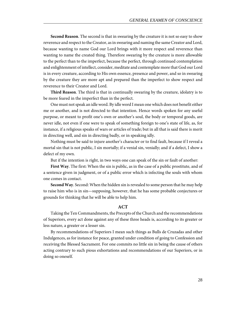**Second Reason**. The second is that in swearing by the creature it is not so easy to show reverence and respect to the Creator, as in swearing and naming the same Creator and Lord, because wanting to name God our Lord brings with it more respect and reverence than wanting to name the created thing. Therefore swearing by the creature is more allowable to the perfect than to the imperfect, because the perfect, through continued contemplation and enlightenment of intellect, consider, meditate and contemplate more that God our Lord is in every creature, according to His own essence, presence and power, and so in swearing by the creature they are more apt and prepared than the imperfect to show respect and reverence to their Creator and Lord.

**Third Reason**. The third is that in continually swearing by the creature, idolatry is to be more feared in the imperfect than in the perfect.

One must not speak an idle word. By idle word I mean one which does not benefit either me or another, and is not directed to that intention. Hence words spoken for any useful purpose, or meant to profit one's own or another's soul, the body or temporal goods, are never idle, not even if one were to speak of something foreign to one's state of life, as, for instance, if a religious speaks of wars or articles of trade; but in all that is said there is merit in directing well, and sin in directing badly, or in speaking idly.

Nothing must be said to injure another's character or to find fault, because if I reveal a mortal sin that is not public, I sin mortally; if a venial sin, venially; and if a defect, I show a defect of my own.

But if the intention is right, in two ways one can speak of the sin or fault of another:

**First Way**. The first: When the sin is public, as in the case of a public prostitute, and of a sentence given in judgment, or of a public error which is infecting the souls with whom one comes in contact.

**Second Way**. Second: When the hidden sin is revealed to some person that he may help to raise him who is in sin—supposing, however, that he has some probable conjectures or grounds for thinking that he will be able to help him.

#### **ACT**

Taking the Ten Commandments, the Precepts of the Church and the recommendations of Superiors, every act done against any of these three heads is, according to its greater or less nature, a greater or a lesser sin.

By recommendations of Superiors I mean such things as Bulls de Cruzadas and other Indulgences, as for instance for peace, granted under condition of going to Confession and receiving the Blessed Sacrament. For one commits no little sin in being the cause of others acting contrary to such pious exhortations and recommendations of our Superiors, or in doing so oneself.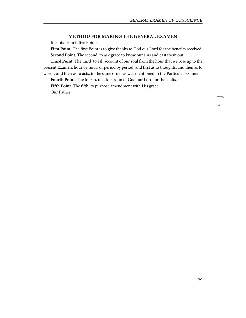#### **METHOD FOR MAKING THE GENERAL EXAMEN**

It contains in it five Points.

**First Point**. The first Point is to give thanks to God our Lord for the benefits received. **Second Point**. The second, to ask grace to know our sins and cast them out.

**Third Point**. The third, to ask account of our soul from the hour that we rose up to the present Examen, hour by hour, or period by period: and first as to thoughts, and then as to words, and then as to acts, in the same order as was mentioned in the Particular Examen.

**Fourth Point**. The fourth, to ask pardon of God our Lord for the faults. **Fifth Point**. The fifth, to purpose amendment with His grace.

Our Father.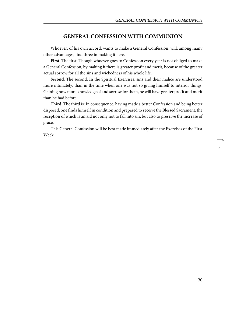## **GENERAL CONFESSION WITH COMMUNION**

Whoever, of his own accord, wants to make a General Confession, will, among many other advantages, find three in making it here.

**First**. The first: Though whoever goes to Confession every year is not obliged to make a General Confession, by making it there is greater profit and merit, because of the greater actual sorrow for all the sins and wickedness of his whole life.

**Second**. The second: In the Spiritual Exercises, sins and their malice are understood more intimately, than in the time when one was not so giving himself to interior things. Gaining now more knowledge of and sorrow for them, he will have greater profit and merit than he had before.

**Third**. The third is: In consequence, having made a better Confession and being better disposed, one finds himself in condition and prepared to receive the Blessed Sacrament: the reception of which is an aid not only not to fall into sin, but also to preserve the increase of grace.

This General Confession will be best made immediately after the Exercises of the First Week.

17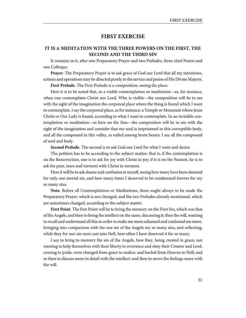## **FIRST EXERCISE**

## **IT IS A MEDITATION WITH THE THREE POWERS ON THE FIRST, THE SECOND AND THE THIRD SIN**

It contains in it, after one Preparatory Prayer and two Preludes, three chief Points and one Colloquy.

**Prayer**. The Preparatory Prayer is to ask grace of God our Lord that all my intentions, actions and operations may be directed purely to the service and praise of His Divine Majesty.

**First Prelude**. The First Prelude is a composition, seeing the place.

Here it is to be noted that, in a visible contemplation or meditation—as, for instance, when one contemplates Christ our Lord, Who is visible—the composition will be to see with the sight of the imagination the corporeal place where the thing is found which I want to contemplate. I say the corporeal place, as for instance, a Temple or Mountain where Jesus Christ or Our Lady is found, according to what I want to contemplate. In an invisible contemplation or meditation—as here on the Sins—the composition will be to see with the sight of the imagination and consider that my soul is imprisoned in this corruptible body, and all the compound in this valley, as exiled among brute beasts: I say all the compound of soul and body.

**Second Prelude**. The second is to ask God our Lord for what I want and desire.

The petition has to be according to the subject matter; that is, if the contemplation is on the Resurrection, one is to ask for joy with Christ in joy; if it is on the Passion, he is to ask for pain, tears and torment with Christ in torment.

Here it will be to ask shame and confusion at myself, seeing how many have been damned for only one mortal sin, and how many times I deserved to be condemned forever for my so many sins.

**Note**. Before all Contemplations or Meditations, there ought always to be made the Preparatory Prayer, which is not changed, and the two Preludes already mentioned, which are sometimes changed, according to the subject matter.

**First Point**. The first Point will be to bring the memory on the First Sin, which was that of the Angels, and then to bring the intellect on the same, discussing it; then the will, wanting to recall and understand all this in order to make me more ashamed and confound me more, bringing into comparison with the one sin of the Angels my so many sins, and reflecting, while they for one sin were cast into Hell, how often I have deserved it for so many.

I say to bring to memory the sin of the Angels, how they, being created in grace, not wanting to help themselves with their liberty to reverence and obey their Creator and Lord, coming to pride, were changed from grace to malice, and hurled from Heaven to Hell; and so then to discuss more in detail with the intellect: and then to move the feelings more with the will.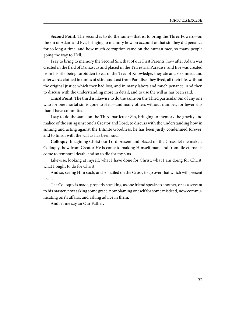**Second Point**. The second is to do the same—that is, to bring the Three Powers—on the sin of Adam and Eve, bringing to memory how on account of that sin they did penance for so long a time, and how much corruption came on the human race, so many people going the way to Hell.

I say to bring to memory the Second Sin, that of our First Parents; how after Adam was created in the field of Damascus and placed in the Terrestrial Paradise, and Eve was created from his rib, being forbidden to eat of the Tree of Knowledge, they ate and so sinned, and afterwards clothed in tunics of skins and cast from Paradise, they lived, all their life, without the original justice which they had lost, and in many labors and much penance. And then to discuss with the understanding more in detail; and to use the will as has been said.

**Third Point**. The third is likewise to do the same on the Third particular Sin of any one who for one mortal sin is gone to Hell—and many others without number, for fewer sins than I have committed.

I say to do the same on the Third particular Sin, bringing to memory the gravity and malice of the sin against one's Creator and Lord; to discuss with the understanding how in sinning and acting against the Infinite Goodness, he has been justly condemned forever; and to finish with the will as has been said.

**Colloquy**. Imagining Christ our Lord present and placed on the Cross, let me make a Colloquy, how from Creator He is come to making Himself man, and from life eternal is come to temporal death, and so to die for my sins.

Likewise, looking at myself, what I have done for Christ, what I am doing for Christ, what I ought to do for Christ.

And so, seeing Him such, and so nailed on the Cross, to go over that which will present itself.

The Colloquy is made, properly speaking, as one friend speaks to another, or as a servant to his master; now asking some grace, now blaming oneself for some misdeed, now communicating one's affairs, and asking advice in them.

And let me say an Our Father.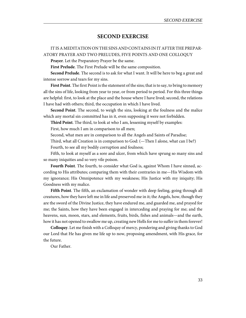## **SECOND EXERCISE**

## IT IS A MEDITATION ON THE SINS AND CONTAINS IN IT AFTER THE PREPAR-ATORY PRAYER AND TWO PRELUDES, FIVE POINTS AND ONE COLLOQUY

**Prayer**. Let the Preparatory Prayer be the same.

**First Prelude**. The First Prelude will be the same composition.

**Second Prelude**. The second is to ask for what I want. It will be here to beg a great and intense sorrow and tears for my sins.

First Point. The first Point is the statement of the sins; that is to say, to bring to memory all the sins of life, looking from year to year, or from period to period. For this three things are helpful: first, to look at the place and the house where I have lived; second, the relations I have had with others; third, the occupation in which I have lived.

**Second Point**. The second, to weigh the sins, looking at the foulness and the malice which any mortal sin committed has in it, even supposing it were not forbidden.

**Third Point**. The third, to look at who I am, lessening myself by examples:

First, how much I am in comparison to all men;

Second, what men are in comparison to all the Angels and Saints of Paradise;

Third, what all Creation is in comparison to God: (—Then I alone, what can I be?)

Fourth, to see all my bodily corruption and foulness;

Fifth, to look at myself as a sore and ulcer, from which have sprung so many sins and so many iniquities and so very vile poison.

**Fourth Point**. The fourth, to consider what God is, against Whom I have sinned, according to His attributes; comparing them with their contraries in me—His Wisdom with my ignorance; His Omnipotence with my weakness; His Justice with my iniquity; His Goodness with my malice.

**Fifth Point**. The fifth, an exclamation of wonder with deep feeling, going through all creatures, how they have left me in life and preserved me in it; the Angels, how, though they are the sword of the Divine Justice, they have endured me, and guarded me, and prayed for me; the Saints, how they have been engaged in interceding and praying for me; and the heavens, sun, moon, stars, and elements, fruits, birds, fishes and animals—and the earth, how it has not opened to swallow me up, creating new Hells for me to suffer in them forever!

**Colloquy**. Let me finish with a Colloquy of mercy, pondering and giving thanks to God our Lord that He has given me life up to now, proposing amendment, with His grace, for the future.

Our Father.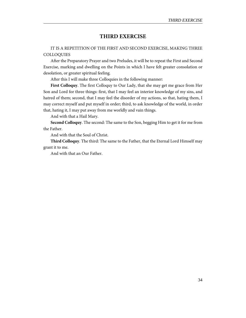## **THIRD EXERCISE**

## IT IS A REPETITION OF THE FIRST AND SECOND EXERCISE, MAKING THREE COLLOQUIES

After the Preparatory Prayer and two Preludes, it will be to repeat the First and Second Exercise, marking and dwelling on the Points in which I have felt greater consolation or desolation, or greater spiritual feeling.

After this I will make three Colloquies in the following manner:

**First Colloquy**. The first Colloquy to Our Lady, that she may get me grace from Her Son and Lord for three things: first, that I may feel an interior knowledge of my sins, and hatred of them; second, that I may feel the disorder of my actions, so that, hating them, I may correct myself and put myself in order; third, to ask knowledge of the world, in order that, hating it, I may put away from me worldly and vain things.

And with that a Hail Mary.

**Second Colloquy**. The second: The same to the Son, begging Him to get it for me from the Father.

And with that the Soul of Christ.

**Third Colloquy**. The third: The same to the Father, that the Eternal Lord Himself may grant it to me.

And with that an Our Father.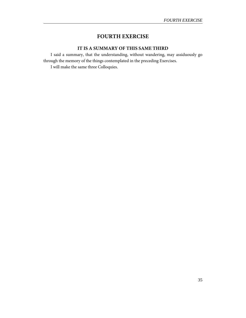## **FOURTH EXERCISE**

### **IT IS A SUMMARY OF THIS SAME THIRD**

I said a summary, that the understanding, without wandering, may assiduously go through the memory of the things contemplated in the preceding Exercises.

I will make the same three Colloquies.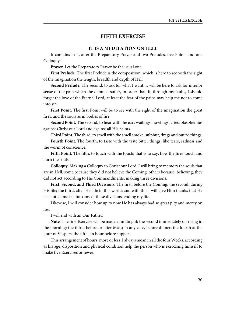## **FIFTH EXERCISE**

#### **IT IS A MEDITATION ON HELL**

It contains in it, after the Preparatory Prayer and two Preludes, five Points and one Colloquy:

**Prayer**. Let the Preparatory Prayer be the usual one.

**First Prelude**. The first Prelude is the composition, which is here to see with the sight of the imagination the length, breadth and depth of Hell.

**Second Prelude**. The second, to ask for what I want: it will be here to ask for interior sense of the pain which the damned suffer, in order that, if, through my faults, I should forget the love of the Eternal Lord, at least the fear of the pains may help me not to come into sin.

**First Point**. The first Point will be to see with the sight of the imagination the great fires, and the souls as in bodies of fire.

**Second Point**. The second, to hear with the ears wailings, howlings, cries, blasphemies against Christ our Lord and against all His Saints.

**Third Point**. The third, to smell with the smell smoke, sulphur, dregs and putrid things.

**Fourth Point**. The fourth, to taste with the taste bitter things, like tears, sadness and the worm of conscience.

**Fifth Point**. The fifth, to touch with the touch; that is to say, how the fires touch and burn the souls.

**Colloquy**. Making a Colloquy to Christ our Lord, I will bring to memory the souls that are in Hell, some because they did not believe the Coming, others because, believing, they did not act according to His Commandments; making three divisions:

**First, Second, and Third Divisions**. The first, before the Coming; the second, during His life; the third, after His life in this world; and with this I will give Him thanks that He has not let me fall into any of these divisions, ending my life.

Likewise, I will consider how up to now He has always had so great pity and mercy on me.

I will end with an Our Father.

**Note**. The first Exercise will be made at midnight; the second immediately on rising in the morning; the third, before or after Mass; in any case, before dinner; the fourth at the hour of Vespers; the fifth, an hour before supper.

This arrangement of hours, more or less, I always mean in all the four Weeks, according as his age, disposition and physical condition help the person who is exercising himself to make five Exercises or fewer.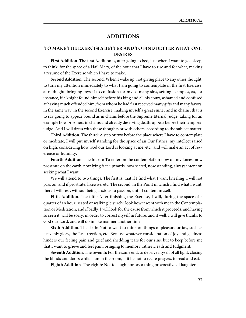## **ADDITIONS**

## **TO MAKE THE EXERCISES BETTER AND TO FIND BETTER WHAT ONE DESIRES**

**First Addition**. The first Addition is, after going to bed, just when I want to go asleep, to think, for the space of a Hail Mary, of the hour that I have to rise and for what, making a resume of the Exercise which I have to make.

**Second Addition**. The second: When I wake up, not giving place to any other thought, to turn my attention immediately to what I am going to contemplate in the first Exercise, at midnight, bringing myself to confusion for my so many sins, setting examples, as, for instance, if a knight found himself before his king and all his court, ashamed and confused at having much offended him, from whom he had first received many gifts and many favors: in the same way, in the second Exercise, making myself a great sinner and in chains; that is to say going to appear bound as in chains before the Supreme Eternal Judge; taking for an example how prisoners in chains and already deserving death, appear before their temporal judge. And I will dress with these thoughts or with others, according to the subject matter.

**Third Addition**. The third: A step or two before the place where I have to contemplate or meditate, I will put myself standing for the space of an Our Father, my intellect raised on high, considering how God our Lord is looking at me, etc.; and will make an act of reverence or humility.

**Fourth Addition**. The fourth: To enter on the contemplation now on my knees, now prostrate on the earth, now lying face upwards, now seated, now standing, always intent on seeking what I want.

We will attend to two things. The first is, that if I find what I want kneeling, I will not pass on; and if prostrate, likewise, etc. The second; in the Point in which I find what I want, there I will rest, without being anxious to pass on, until I content myself.

**Fifth Addition**. The fifth: After finishing the Exercise, I will, during the space of a quarter of an hour, seated or walking leisurely, look how it went with me in the Contemplation or Meditation; and if badly, I will look for the cause from which it proceeds, and having so seen it, will be sorry, in order to correct myself in future; and if well, I will give thanks to God our Lord, and will do in like manner another time.

**Sixth Addition**. The sixth: Not to want to think on things of pleasure or joy, such as heavenly glory, the Resurrection, etc. Because whatever consideration of joy and gladness hinders our feeling pain and grief and shedding tears for our sins: but to keep before me that I want to grieve and feel pain, bringing to memory rather Death and Judgment.

**Seventh Addition**. The seventh: For the same end, to deprive myself of all light, closing the blinds and doors while I am in the room, if it be not to recite prayers, to read and eat.

**Eighth Addition**. The eighth: Not to laugh nor say a thing provocative of laughter.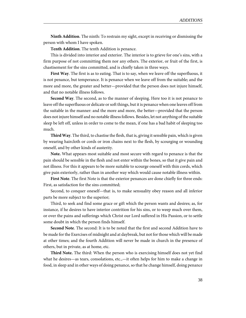**Ninth Addition**. The ninth: To restrain my sight, except in receiving or dismissing the person with whom I have spoken.

**Tenth Addition**. The tenth Addition is penance.

This is divided into interior and exterior. The interior is to grieve for one's sins, with a firm purpose of not committing them nor any others. The exterior, or fruit of the first, is chastisement for the sins committed, and is chiefly taken in three ways.

**First Way**. The first is as to eating. That is to say, when we leave off the superfluous, it is not penance, but temperance. It is penance when we leave off from the suitable; and the more and more, the greater and better—provided that the person does not injure himself, and that no notable illness follows.

**Second Way**. The second, as to the manner of sleeping. Here too it is not penance to leave off the superfluous or delicate or soft things, but it is penance when one leaves off from the suitable in the manner: and the more and more, the better—provided that the person does not injure himself and no notable illness follows. Besides, let not anything of the suitable sleep be left off, unless in order to come to the mean, if one has a bad habit of sleeping too much.

**Third Way**. The third, to chastise the flesh, that is, giving it sensible pain, which is given by wearing haircloth or cords or iron chains next to the flesh, by scourging or wounding oneself, and by other kinds of austerity.

**Note.** What appears most suitable and most secure with regard to penance is that the pain should be sensible in the flesh and not enter within the bones, so that it give pain and not illness. For this it appears to be more suitable to scourge oneself with thin cords, which give pain exteriorly, rather than in another way which would cause notable illness within.

**First Note**. The first Note is that the exterior penances are done chiefly for three ends: First, as satisfaction for the sins committed;

Second, to conquer oneself—that is, to make sensuality obey reason and all inferior parts be more subject to the superior;

Third, to seek and find some grace or gift which the person wants and desires; as, for instance, if he desires to have interior contrition for his sins, or to weep much over them, or over the pains and sufferings which Christ our Lord suffered in His Passion, or to settle some doubt in which the person finds himself.

**Second Note**. The second: It is to be noted that the first and second Addition have to be made for the Exercises of midnight and at daybreak, but not for those which will be made at other times; and the fourth Addition will never be made in church in the presence of others, but in private, as at home, etc.

**Third Note.** The third: When the person who is exercising himself does not yet find what he desires—as tears, consolations, etc.,—it often helps for him to make a change in food, in sleep and in other ways of doing penance, so that he change himself, doing penance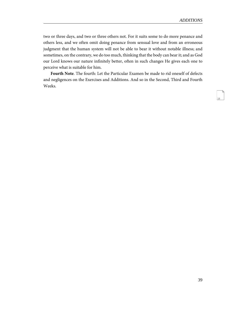18

two or three days, and two or three others not. For it suits some to do more penance and others less, and we often omit doing penance from sensual love and from an erroneous judgment that the human system will not be able to bear it without notable illness; and sometimes, on the contrary, we do too much, thinking that the body can bear it; and as God our Lord knows our nature infinitely better, often in such changes He gives each one to perceive what is suitable for him.

**Fourth Note**. The fourth: Let the Particular Examen be made to rid oneself of defects and negligences on the Exercises and Additions. And so in the Second, Third and Fourth Weeks.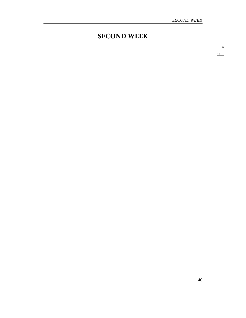19

# **SECOND WEEK**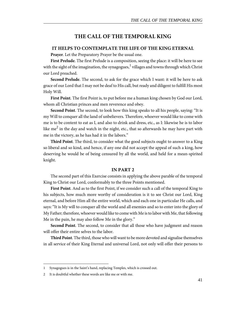## **THE CALL OF THE TEMPORAL KING**

#### **IT HELPS TO CONTEMPLATE THE LIFE OF THE KING ETERNAL**

**Prayer**. Let the Preparatory Prayer be the usual one.

**First Prelude**. The first Prelude is a composition, seeing the place: it will be here to see with the sight of the imagination, the synagogues, $^{\rm l}$  villages and towns through which Christ our Lord preached.

**Second Prelude**. The second, to ask for the grace which I want: it will be here to ask grace of our Lord that I may not be deaf to His call, but ready and diligent to fulfill His most Holy Will.

**First Point**. The first Point is, to put before me a human king chosen by God our Lord, whom all Christian princes and men reverence and obey.

**Second Point**. The second, to look how this king speaks to all his people, saying: "It is my Will to conquer all the land of unbelievers. Therefore, whoever would like to come with me is to be content to eat as I, and also to drink and dress, etc., as I: likewise he is to labor like me $^2$  in the day and watch in the night, etc., that so afterwards he may have part with me in the victory, as he has had it in the labors."

**Third Point**. The third, to consider what the good subjects ought to answer to a King so liberal and so kind, and hence, if any one did not accept the appeal of such a king, how deserving he would be of being censured by all the world, and held for a mean-spirited knight.

#### **IN PART 2**

The second part of this Exercise consists in applying the above parable of the temporal King to Christ our Lord, conformably to the three Points mentioned.

**First Point**. And as to the first Point, if we consider such a call of the temporal King to his subjects, how much more worthy of consideration is it to see Christ our Lord, King eternal, and before Him all the entire world, which and each one in particular He calls, and says: "It is My will to conquer all the world and all enemies and so to enter into the glory of My Father; therefore, whoever would like to come with Me is to labor with Me, that following Me in the pain, he may also follow Me in the glory."

**Second Point**. The second, to consider that all those who have judgment and reason will offer their entire selves to the labor.

**Third Point**. The third, those who will want to be more devoted and signalise themselves in all service of their King Eternal and universal Lord, not only will offer their persons to

<sup>1</sup> Synagogues is in the Saint's hand, replacing Temples, which is crossed out.

<sup>2</sup> It is doubtful whether these words are like me or with me.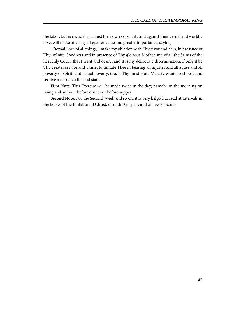the labor, but even, acting against their own sensuality and against their carnal and worldly love, will make offerings of greater value and greater importance, saying:

"Eternal Lord of all things, I make my oblation with Thy favor and help, in presence of Thy infinite Goodness and in presence of Thy glorious Mother and of all the Saints of the heavenly Court; that I want and desire, and it is my deliberate determination, if only it be Thy greater service and praise, to imitate Thee in bearing all injuries and all abuse and all poverty of spirit, and actual poverty, too, if Thy most Holy Majesty wants to choose and receive me to such life and state."

**First Note**. This Exercise will be made twice in the day; namely, in the morning on rising and an hour before dinner or before supper.

**Second Note**. For the Second Week and so on, it is very helpful to read at intervals in the books of the Imitation of Christ, or of the Gospels, and of lives of Saints.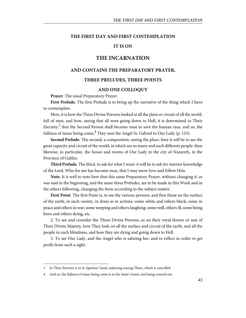#### **THE FIRST DAY AND FIRST CONTEMPLATION**

## **IT IS ON**

## **THE INCARNATION**

#### **AND CONTAINS THE PREPARATORY PRAYER,**

#### **THREE PRELUDES, THREE POINTS**

#### **AND ONE COLLOQUY**

**Prayer**. The usual Preparatory Prayer.

**First Prelude**. The first Prelude is to bring up the narrative of the thing which I have to contemplate.

Here, it is how the Three Divine Persons looked at all the plain or circuit of all the world, full of men, and how, seeing that all were going down to Hell, it is determined in Their Eternity, $^3$  that the Second Person shall become man to save the human race, and so, the fullness of times being come,  ${}^{4}$  They sent the Angel St. Gabriel to Our Lady (p. 133).

**Second Prelude**. The second, a composition, seeing the place: here it will be to see the great capacity and circuit of the world, in which are so many and such different people: then likewise, in particular, the house and rooms of Our Lady in the city of Nazareth, in the Province of Galilee.

**Third Prelude**. The third, to ask for what I want: it will be to ask for interior knowledge of the Lord, Who for me has become man, that I may more love and follow Him.

**Note.** It is well to note here that this same Preparatory Prayer, without changing it, as was said in the beginning, and the same three Preludes, are to be made in this Week and in the others following, changing the form according to the subject matter.

**First Point**. The first Point is, to see the various persons: and first those on the surface of the earth, in such variety, in dress as in actions: some white and others black; some in peace and others in war; some weeping and others laughing; some well, others ill; some being born and others dying, etc.

2. To see and consider the Three Divine Persons, as on their royal throne or seat of Their Divine Majesty, how They look on all the surface and circuit of the earth, and all the people in such blindness, and how they are dying and going down to Hell.

3. To see Our Lady, and the Angel who is saluting her, and to reflect in order to get profit from such a sight.

<sup>3</sup> In Their Eternity is in St. Ignatius' hand, replacing among Them, which is cancelled.

<sup>4</sup> And so, the fullness of times being come is in the Saint's hand, and being crossed out.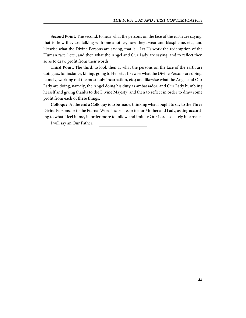**Second Point**. The second, to hear what the persons on the face of the earth are saying, that is, how they are talking with one another, how they swear and blaspheme, etc.; and likewise what the Divine Persons are saying, that is: "Let Us work the redemption of the Human race," etc.; and then what the Angel and Our Lady are saying; and to reflect then so as to draw profit from their words.

**Third Point**. The third, to look then at what the persons on the face of the earth are doing, as, for instance, killing, going to Hell etc.; likewise what the Divine Persons are doing, namely, working out the most holy Incarnation, etc.; and likewise what the Angel and Our Lady are doing, namely, the Angel doing his duty as ambassador, and Our Lady humbling herself and giving thanks to the Divine Majesty; and then to reflect in order to draw some profit from each of these things.

**Colloquy**. At the end a Colloquy is to be made, thinking what I ought to say to the Three Divine Persons, or to the Eternal Word incarnate, or to our Mother and Lady, asking according to what I feel in me, in order more to follow and imitate Our Lord, so lately incarnate.

I will say an Our Father.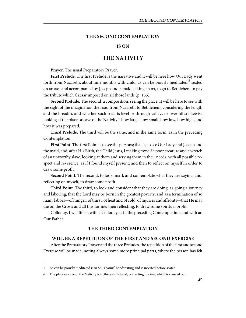#### **THE SECOND CONTEMPLATION**

#### **IS ON**

## **THE NATIVITY**

**Prayer**. The usual Preparatory Prayer.

**First Prelude**. The first Prelude is the narrative and it will be here how Our Lady went forth from Nazareth, about nine months with child, as can be piously meditated, $^5$  seated on an ass, and accompanied by Joseph and a maid, taking an ox, to go to Bethlehem to pay the tribute which Caesar imposed on all those lands (p. 135).

**Second Prelude**. The second, a composition, seeing the place. It will be here to see with the sight of the imagination the road from Nazareth to Bethlehem; considering the length and the breadth, and whether such road is level or through valleys or over hills; likewise looking at the place or cave of the Nativity,<sup>6</sup> how large, how small, how low, how high, and how it was prepared.

**Third Prelude**. The third will be the same, and in the same form, as in the preceding Contemplation.

**First Point**. The first Point is to see the persons; that is, to see Our Lady and Joseph and the maid, and, after His Birth, the Child Jesus, I making myself a poor creature and a wretch of an unworthy slave, looking at them and serving them in their needs, with all possible respect and reverence, as if I found myself present; and then to reflect on myself in order to draw some profit.

**Second Point**. The second, to look, mark and contemplate what they are saying, and, reflecting on myself, to draw some profit.

**Third Point**. The third, to look and consider what they are doing, as going a journey and laboring, that the Lord may be born in the greatest poverty; and as a termination of so many labors—of hunger, of thirst, of heat and of cold, of injuries and affronts—that He may die on the Cross; and all this for me: then reflecting, to draw some spiritual profit.

Colloquy. I will finish with a Colloquy as in the preceding Contemplation, and with an Our Father.

#### **THE THIRD CONTEMPLATION**

#### **WILL BE A REPETITION OF THE FIRST AND SECOND EXERCISE**

After the Preparatory Prayer and the three Preludes, the repetition of the first and second Exercise will be made, noting always some more principal parts, where the person has felt

<sup>5</sup> As can be piously meditated is in St. Ignatius' handwriting and is inserted before seated.

<sup>6</sup> The place or cave of the Nativity is in the Saint's hand, correcting the inn, which is crossed out.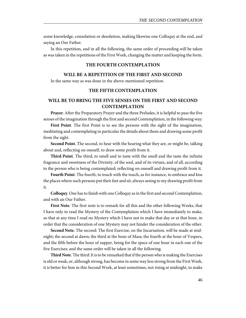some knowledge, consolation or desolation, making likewise one Colloquy at the end, and saying an Our Father.

In this repetition, and in all the following, the same order of proceeding will be taken as was taken in the repetitions of the First Week, changing the matter and keeping the form.

#### **THE FOURTH CONTEMPLATION**

#### **WILL BE A REPETITION OF THE FIRST AND SECOND**

In the same way as was done in the above-mentioned repetition.

#### **THE FIFTH CONTEMPLATION**

## **WILL BE TO BRING THE FIVE SENSES ON THE FIRST AND SECOND CONTEMPLATION**

**Prayer**. After the Preparatory Prayer and the three Preludes, it is helpful to pass the five senses of the imagination through the first and second Contemplation, in the following way:

**First Point**. The first Point is to see the persons with the sight of the imagination, meditating and contemplating in particular the details about them and drawing some profit from the sight.

**Second Point**. The second, to hear with the hearing what they are, or might be, talking about and, reflecting on oneself, to draw some profit from it.

**Third Point**. The third, to smell and to taste with the smell and the taste the infinite fragrance and sweetness of the Divinity, of the soul, and of its virtues, and of all, according to the person who is being contemplated; reflecting on oneself and drawing profit from it.

**Fourth Point**. The fourth, to touch with the touch, as for instance, to embrace and kiss the places where such persons put their feet and sit, always seeing to my drawing profit from it.

**Colloquy**. One has to finish with one Colloquy as in the first and second Contemplation, and with an Our Father.

**First Note**. The first note is to remark for all this and the other following Weeks, that I have only to read the Mystery of the Contemplation which I have immediately to make, so that at any time I read no Mystery which I have not to make that day or at that hour, in order that the consideration of one Mystery may not hinder the consideration of the other.

**Second Note**. The second: The first Exercise, on the Incarnation, will be made at midnight; the second at dawn; the third at the hour of Mass; the fourth at the hour of Vespers, and the fifth before the hour of supper, being for the space of one hour in each one of the five Exercises; and the same order will be taken in all the following.

**Third Note**. The third: It is to be remarked that if the person who is making the Exercises is old or weak, or, although strong, has become in some way less strong from the First Week, it is better for him in this Second Week, at least sometimes, not rising at midnight, to make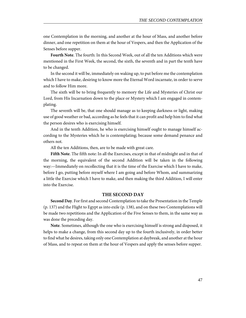one Contemplation in the morning, and another at the hour of Mass, and another before dinner, and one repetition on them at the hour of Vespers, and then the Application of the Senses before supper.

**Fourth Note**. The fourth: In this Second Week, out of all the ten Additions which were mentioned in the First Week, the second, the sixth, the seventh and in part the tenth have to be changed.

In the second it will be, immediately on waking up, to put before me the contemplation which I have to make, desiring to know more the Eternal Word incarnate, in order to serve and to follow Him more.

The sixth will be to bring frequently to memory the Life and Mysteries of Christ our Lord, from His Incarnation down to the place or Mystery which I am engaged in contemplating.

The seventh will be, that one should manage as to keeping darkness or light, making use of good weather or bad, according as he feels that it can profit and help him to find what the person desires who is exercising himself.

And in the tenth Addition, he who is exercising himself ought to manage himself according to the Mysteries which he is contemplating; because some demand penance and others not.

All the ten Additions, then, are to be made with great care.

**Fifth Note**. The fifth note: In all the Exercises, except in that of midnight and in that of the morning, the equivalent of the second Addition will be taken in the following way:—Immediately on recollecting that it is the time of the Exercise which I have to make, before I go, putting before myself where I am going and before Whom, and summarizing a little the Exercise which I have to make, and then making the third Addition, I will enter into the Exercise.

#### **THE SECOND DAY**

**Second Day**. For first and second Contemplation to take the Presentation in the Temple (p. 137) and the Flight to Egypt as into exile (p. 138), and on these two Contemplations will be made two repetitions and the Application of the Five Senses to them, in the same way as was done the preceding day.

**Note**. Sometimes, although the one who is exercising himself is strong and disposed, it helps to make a change, from this second day up to the fourth inclusively, in order better to find what he desires, taking only one Contemplation at daybreak, and another at the hour of Mass, and to repeat on them at the hour of Vespers and apply the senses before supper.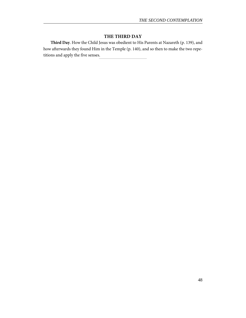## **THE THIRD DAY**

**Third Day**. How the Child Jesus was obedient to His Parents at Nazareth (p. 139), and how afterwards they found Him in the Temple (p. 140), and so then to make the two repetitions and apply the five senses.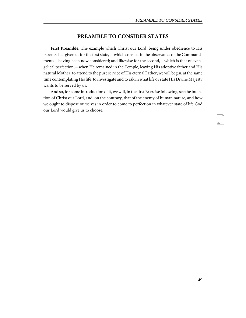## **PREAMBLE TO CONSIDER STATES**

**First Preamble**. The example which Christ our Lord, being under obedience to His parents, has given us for the first state, -- which consists in the observance of the Commandments—having been now considered; and likewise for the second,—which is that of evangelical perfection,—when He remained in the Temple, leaving His adoptive father and His natural Mother, to attend to the pure service of His eternal Father; we will begin, at the same time contemplating His life, to investigate and to ask in what life or state His Divine Majesty wants to be served by us.

And so, for some introduction of it, we will, in the first Exercise following, see the intention of Christ our Lord, and, on the contrary, that of the enemy of human nature, and how we ought to dispose ourselves in order to come to perfection in whatever state of life God our Lord would give us to choose.

20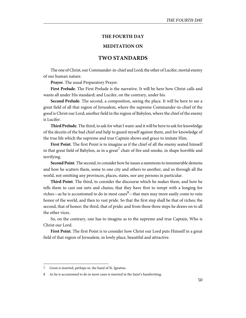#### **THE FOURTH DAY**

## **MEDITATION ON**

## **TWO STANDARDS**

The one of Christ, our Commander-in-chief and Lord; the other of Lucifer, mortal enemy of our human nature.

**Prayer**. The usual Preparatory Prayer.

**First Prelude**. The First Prelude is the narrative. It will be here how Christ calls and wants all under His standard; and Lucifer, on the contrary, under his.

**Second Prelude**. The second, a composition, seeing the place. It will be here to see a great field of all that region of Jerusalem, where the supreme Commander-in-chief of the good is Christ our Lord; another field in the region of Babylon, where the chief of the enemy is Lucifer.

**Third Prelude**. The third, to ask for what I want: and it will be here to ask for knowledge of the deceits of the bad chief and help to guard myself against them, and for knowledge of the true life which the supreme and true Captain shows and grace to imitate Him.

**First Point**. The first Point is to imagine as if the chief of all the enemy seated himself in that great field of Babylon, as in a great $^7$  chair of fire and smoke, in shape horrible and terrifying.

**Second Point**. The second, to consider how he issues a summons to innumerable demons and how he scatters them, some to one city and others to another, and so through all the world, not omitting any provinces, places, states, nor any persons in particular.

**Third Point**. The third, to consider the discourse which he makes them, and how he tells them to cast out nets and chains; that they have first to tempt with a longing for riches—as he is accustomed to do in most cases<sup>8</sup>—that men may more easily come to vain honor of the world, and then to vast pride. So that the first step shall be that of riches; the second, that of honor; the third, that of pride; and from these three steps he draws on to all the other vices.

So, on the contrary, one has to imagine as to the supreme and true Captain, Who is Christ our Lord.

**First Point**. The first Point is to consider how Christ our Lord puts Himself in a great field of that region of Jerusalem, in lowly place, beautiful and attractive.

<sup>7</sup> Great is inserted, perhaps in. the hand of St. Ignatius.

<sup>8</sup> As he is accustomed to do in most cases is inserted in the Saint's handwriting.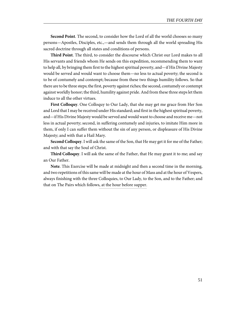**Second Point**. The second, to consider how the Lord of all the world chooses so many persons—Apostles, Disciples, etc.,—and sends them through all the world spreading His sacred doctrine through all states and conditions of persons.

**Third Point**. The third, to consider the discourse which Christ our Lord makes to all His servants and friends whom He sends on this expedition, recommending them to want to help all, by bringing them first to the highest spiritual poverty, and—if His Divine Majesty would be served and would want to choose them—no less to actual poverty; the second is to be of contumely and contempt; because from these two things humility follows. So that there are to be three steps; the first, poverty against riches; the second, contumely or contempt against worldly honor; the third, humility against pride. And from these three steps let them induce to all the other virtues.

**First Colloquy**. One Colloquy to Our Lady, that she may get me grace from Her Son and Lord that I may be received under His standard; and first in the highest spiritual poverty, and—if His Divine Majesty would be served and would want to choose and receive me—not less in actual poverty; second, in suffering contumely and injuries, to imitate Him more in them, if only I can suffer them without the sin of any person, or displeasure of His Divine Majesty; and with that a Hail Mary.

**Second Colloquy**. I will ask the same of the Son, that He may get it for me of the Father; and with that say the Soul of Christ.

**Third Colloquy**. I will ask the same of the Father, that He may grant it to me; and say an Our Father.

**Note**. This Exercise will be made at midnight and then a second time in the morning, and two repetitions of this same will be made at the hour of Mass and at the hour of Vespers, always finishing with the three Colloquies, to Our Lady, to the Son, and to the Father; and that on The Pairs which follows, at the hour before supper.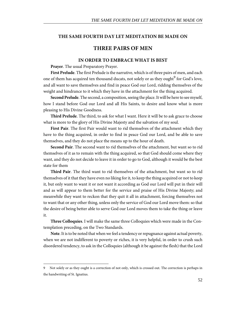#### **THE SAME FOURTH DAY LET MEDITATION BE MADE ON**

## **THREE PAIRS OF MEN**

#### **IN ORDER TO EMBRACE WHAT IS BEST**

**Prayer**. The usual Preparatory Prayer.

**First Prelude**. The first Prelude is the narrative, which is of three pairs of men, and each one of them has acquired ten thousand ducats, not solely or as they ought $^9$  for God's love, and all want to save themselves and find in peace God our Lord, ridding themselves of the weight and hindrance to it which they have in the attachment for the thing acquired.

**Second Prelude**. The second, a composition, seeing the place. It will be here to see myself, how I stand before God our Lord and all His Saints, to desire and know what is more pleasing to His Divine Goodness.

**Third Prelude**. The third, to ask for what I want. Here it will be to ask grace to choose what is more to the glory of His Divine Majesty and the salvation of my soul.

**First Pair**. The first Pair would want to rid themselves of the attachment which they have to the thing acquired, in order to find in peace God our Lord, and be able to save themselves, and they do not place the means up to the hour of death.

**Second Pair**. The second want to rid themselves of the attachment, but want so to rid themselves of it as to remain with the thing acquired, so that God should come where they want, and they do not decide to leave it in order to go to God, although it would be the best state for them

**Third Pair**. The third want to rid themselves of the attachment, but want so to rid themselves of it that they have even no liking for it, to keep the thing acquired or not to keep it, but only want to want it or not want it according as God our Lord will put in their will and as will appear to them better for the service and praise of His Divine Majesty; and meanwhile they want to reckon that they quit it all in attachment, forcing themselves not to want that or any other thing, unless only the service of God our Lord move them: so that the desire of being better able to serve God our Lord moves them to take the thing or leave it.

**Three Colloquies**. I will make the same three Colloquies which were made in the Contemplation preceding, on the Two Standards.

**Note**. It is to be noted that when we feel a tendency or repugnance against actual poverty, when we are not indifferent to poverty or riches, it is very helpful, in order to crush such disordered tendency, to ask in the Colloquies (although it be against the flesh) that the Lord

<sup>9</sup> Not solely or as they ought is a correction of not only, which is crossed out. The correction is perhaps in the handwriting of St. Ignatius.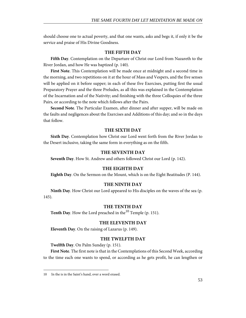should choose one to actual poverty, and that one wants, asks and begs it, if only it be the service and praise of His Divine Goodness.

#### **THE FIFTH DAY**

**Fifth Day**. Contemplation on the Departure of Christ our Lord from Nazareth to the River Jordan, and how He was baptized (p. 140).

**First Note**. This Contemplation will be made once at midnight and a second time in the morning, and two repetitions on it at the hour of Mass and Vespers, and the five senses will be applied on it before supper; in each of these five Exercises, putting first the usual Preparatory Prayer and the three Preludes, as all this was explained in the Contemplation of the Incarnation and of the Nativity; and finishing with the three Colloquies of the three Pairs, or according to the note which follows after the Pairs.

**Second Note**. The Particular Examen, after dinner and after supper, will be made on the faults and negligences about the Exercises and Additions of this day; and so in the days that follow.

#### **THE SIXTH DAY**

**Sixth Day**. Contemplation how Christ our Lord went forth from the River Jordan to the Desert inclusive, taking the same form in everything as on the fifth.

#### **THE SEVENTH DAY**

**Seventh Day**. How St. Andrew and others followed Christ our Lord (p. 142).

#### **THE EIGHTH DAY**

**Eighth Day**. On the Sermon on the Mount, which is on the Eight Beatitudes (P. 144).

#### **THE NINTH DAY**

**Ninth Day**. How Christ our Lord appeared to His disciples on the waves of the sea (p. 145).

#### **THE TENTH DAY**

**Tenth Day.** How the Lord preached in the $10^{\circ}$  Temple (p. 151).

#### **THE ELEVENTH DAY**

**Eleventh Day**. On the raising of Lazarus (p. 149).

#### **THE TWELFTH DAY**

**Twelfth Day**. On Palm Sunday (p. 151).

**First Note**. The first note is that in the Contemplations of this Second Week, according to the time each one wants to spend, or according as he gets profit, he can lengthen or

<sup>10</sup> In the is in the Saint's hand, over a word erased.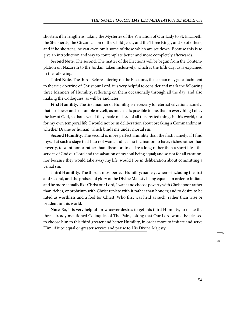shorten: if he lengthens, taking the Mysteries of the Visitation of Our Lady to St. Elizabeth, the Shepherds, the Circumcision of the Child Jesus, and the Three Kings, and so of others; and if he shortens, he can even omit some of those which are set down. Because this is to give an introduction and way to contemplate better and more completely afterwards.

**Second Note**. The second: The matter of the Elections will be begun from the Contemplation on Nazareth to the Jordan, taken inclusively, which is the fifth day, as is explained in the following.

**Third Note**. The third: Before entering on the Elections, that a man may get attachment to the true doctrine of Christ our Lord, it is very helpful to consider and mark the following three Manners of Humility, reflecting on them occasionally through all the day, and also making the Colloquies, as will be said later.

**First Humility**. The first manner of Humility is necessary for eternal salvation; namely, that I so lower and so humble myself, as much as is possible to me, that in everything I obey the law of God, so that, even if they made me lord of all the created things in this world, nor for my own temporal life, I would not be in deliberation about breaking a Commandment, whether Divine or human, which binds me under mortal sin.

**Second Humility**. The second is more perfect Humility than the first; namely, if I find myself at such a stage that I do not want, and feel no inclination to have, riches rather than poverty, to want honor rather than dishonor, to desire a long rather than a short life—the service of God our Lord and the salvation of my soul being equal; and so not for all creation, nor because they would take away my life, would I be in deliberation about committing a venial sin.

**Third Humility**. The third is most perfect Humility; namely, when—including the first and second, and the praise and glory of the Divine Majesty being equal—in order to imitate and be more actually like Christ our Lord, I want and choose poverty with Christ poor rather than riches, opprobrium with Christ replete with it rather than honors; and to desire to be rated as worthless and a fool for Christ, Who first was held as such, rather than wise or prudent in this world.

**Note**. So, it is very helpful for whoever desires to get this third Humility, to make the three already mentioned Colloquies of The Pairs, asking that Our Lord would be pleased to choose him to this third greater and better Humility, in order more to imitate and serve Him, if it be equal or greater service and praise to His Divine Majesty.

21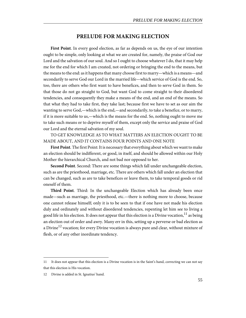## **PRELUDE FOR MAKING ELECTION**

**First Point**. In every good election, as far as depends on us, the eye of our intention ought to be simple, only looking at what we are created for, namely, the praise of God our Lord and the salvation of our soul. And so I ought to choose whatever I do, that it may help me for the end for which I am created, not ordering or bringing the end to the means, but the means to the end: as it happens that many choose first to marry—which is a means—and secondarily to serve God our Lord in the married life—which service of God is the end. So, too, there are others who first want to have benefices, and then to serve God in them. So that those do not go straight to God, but want God to come straight to their disordered tendencies, and consequently they make a means of the end, and an end of the means. So that what they had to take first, they take last; because first we have to set as our aim the wanting to serve God,—which is the end,—and secondarily, to take a benefice, or to marry, if it is more suitable to us,—which is the means for the end. So, nothing ought to move me to take such means or to deprive myself of them, except only the service and praise of God our Lord and the eternal salvation of my soul.

TO GET KNOWLEDGE AS TO WHAT MATTERS AN ELECTION OUGHT TO BE MADE ABOUT, AND IT CONTAINS FOUR POINTS AND ONE NOTE

**First Point**. The first Point: It is necessary that everything about which we want to make an election should be indifferent, or good, in itself, and should be allowed within our Holy Mother the hierarchical Church, and not bad nor opposed to her.

**Second Point**. Second: There are some things which fall under unchangeable election, such as are the priesthood, marriage, etc. There are others which fall under an election that can be changed, such as are to take benefices or leave them, to take temporal goods or rid oneself of them.

**Third Point**. Third: In the unchangeable Election which has already been once made—such as marriage, the priesthood, etc.—there is nothing more to choose, because one cannot release himself; only it is to be seen to that if one have not made his election duly and ordinately and without disordered tendencies, repenting let him see to living a good life in his election. It does not appear that this election is a Divine vocation,  $^{11}$  as being an election out of order and awry. Many err in this, setting up a perverse or bad election as a Divine<sup>12</sup> vocation; for every Divine vocation is always pure and clear, without mixture of flesh, or of any other inordinate tendency.

<sup>11</sup> It does not appear that this election is a Divine vocation is in the Saint's hand, correcting we can not say that this election is His vocation.

<sup>12</sup> Divine is added in St. Ignatius' hand.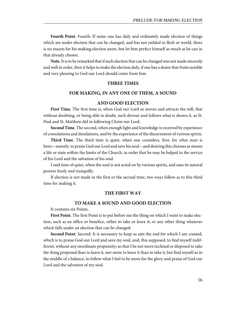**Fourth Point**. Fourth: If some one has duly and ordinately made election of things which are under election that can be changed, and has not yielded to flesh or world, there is no reason for his making election anew, but let him perfect himself as much as he can in that already chosen.

**Note**. It is to be remarked that if such election that can be changed was not made sincerely and well in order, then it helps to make the election duly, if one has a desire that fruits notable and very pleasing to God our Lord should come from him.

#### **THREE TIMES**

#### **FOR MAKING, IN ANY ONE OF THEM, A SOUND**

#### **AND GOOD ELECTION**

**First Time**. The first time is, when God our Lord so moves and attracts the will, that without doubting, or being able to doubt, such devout soul follows what is shown it, as St. Paul and St. Matthew did in following Christ our Lord.

**Second Time**. The second, when enough light and knowledge is received by experience of consolations and desolations, and by the experience of the discernment of various spirits.

**Third Time**. The third time is quiet, when one considers, first, for what man is born—namely, to praise God our Lord and save his soul—and desiring this chooses as means a life or state within the limits of the Church, in order that he may be helped in the service of his Lord and the salvation of his soul.

I said time of quiet, when the soul is not acted on by various spirits, and uses its natural powers freely and tranquilly.

If election is not made in the first or the second time, two ways follow as to this third time for making it.

#### **THE FIRST WAY**

#### **TO MAKE A SOUND AND GOOD ELECTION**

It contains six Points.

**First Point**. The first Point is to put before me the thing on which I want to make election, such as an office or benefice, either to take or leave it; or any other thing whatever which falls under an election that can be changed.

**Second Point**. Second: It is necessary to keep as aim the end for which I am created, which is to praise God our Lord and save my soul, and, this supposed, to find myself indifferent, without any inordinate propensity; so that I be not more inclined or disposed to take the thing proposed than to leave it, nor more to leave it than to take it, but find myself as in the middle of a balance, to follow what I feel to be more for the glory and praise of God our Lord and the salvation of my soul.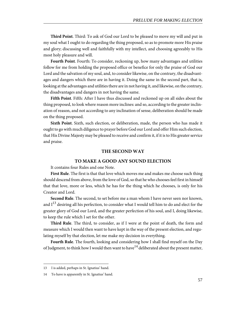**Third Point**. Third: To ask of God our Lord to be pleased to move my will and put in my soul what I ought to do regarding the thing proposed, so as to promote more His praise and glory; discussing well and faithfully with my intellect, and choosing agreeably to His most holy pleasure and will.

**Fourth Point**. Fourth: To consider, reckoning up, how many advantages and utilities follow for me from holding the proposed office or benefice for only the praise of God our Lord and the salvation of my soul, and, to consider likewise, on the contrary, the disadvantages and dangers which there are in having it. Doing the same in the second part, that is, looking at the advantages and utilities there are in not having it, and likewise, on the contrary, the disadvantages and dangers in not having the same.

**Fifth Point**. Fifth: After I have thus discussed and reckoned up on all sides about the thing proposed, to look where reason more inclines: and so, according to the greater inclination of reason, and not according to any inclination of sense, deliberation should be made on the thing proposed.

**Sixth Point**. Sixth, such election, or deliberation, made, the person who has made it ought to go with much diligence to prayer before God our Lord and offer Him such election, that His Divine Majesty may be pleased to receive and confirm it, if it is to His greater service and praise.

#### **THE SECOND WAY**

#### **TO MAKE A GOOD ANY SOUND ELECTION**

It contains four Rules and one Note.

**First Rule**. The first is that that love which moves me and makes me choose such thing should descend from above, from the love of God, so that he who chooses feel first in himself that that love, more or less, which he has for the thing which he chooses, is only for his Creator and Lord.

**Second Rule**. The second, to set before me a man whom I have never seen nor known, and  $\mathrm{I}^{13}$  desiring all his perfection, to consider what I would tell him to do and elect for the greater glory of God our Lord, and the greater perfection of his soul, and I, doing likewise, to keep the rule which I set for the other.

**Third Rule**. The third, to consider, as if I were at the point of death, the form and measure which I would then want to have kept in the way of the present election, and regulating myself by that election, let me make my decision in everything.

**Fourth Rule**. The fourth, looking and considering how I shall find myself on the Day of Judgment, to think how I would then want to have  $14$  deliberated about the present matter,

<sup>13</sup> I is added, perhaps in St. Ignatius' hand.

<sup>14</sup> To have is apparently in St. Ignatius' hand.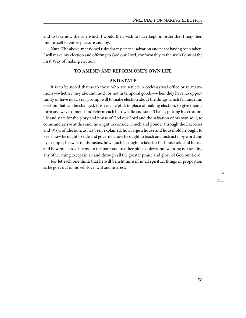and to take now the rule which I would then wish to have kept, in order that I may then find myself in entire pleasure and joy.

**Note.** The above-mentioned rules for my eternal salvation and peace having been taken, I will make my election and offering to God our Lord, conformably to the sixth Point of the First Way of making election.

#### **TO AMEND AND REFORM ONE'S OWN LIFE**

#### **AND STATE**

It is to be noted that as to those who are settled in ecclesiastical office or in matrimony—whether they abound much or not in temporal goods—when they have no opportunity or have not a very prompt will to make election about the things which fall under an election that can be changed, it is very helpful, in place of making election, to give them a form and way to amend and reform each his own life and state. That is, putting his creation, life and state for the glory and praise of God our Lord and the salvation of his own soul, to come and arrive at this end, he ought to consider much and ponder through the Exercises and Ways of Election, as has been explained, how large a house and household he ought to keep, how he ought to rule and govern it, how he ought to teach and instruct it by word and by example; likewise of his means, how much he ought to take for his household and house; and how much to dispense to the poor and to other pious objects, not wanting nor seeking any other thing except in all and through all the greater praise and glory of God our Lord.

For let each one think that he will benefit himself in all spiritual things in proportion as he goes out of his self-love, will and interest.

22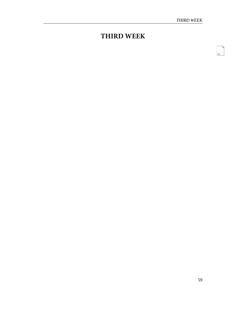23

## **THIRD WEEK**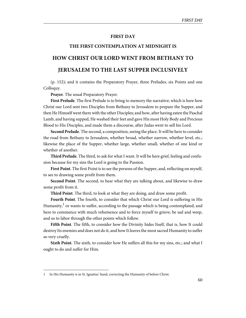#### **FIRST DAY**

# **THE FIRST CONTEMPLATION AT MIDNIGHT IS HOW CHRIST OUR LORD WENT FROM BETHANY TO JERUSALEM TO THE LAST SUPPER INCLUSIVELY**

(p. 152); and it contains the Preparatory Prayer, three Preludes, six Points and one Colloquy.

**Prayer**. The usual Preparatory Prayer.

**First Prelude**. The first Prelude is to bring to memory the narrative; which is here how Christ our Lord sent two Disciples from Bethany to Jerusalem to prepare the Supper, and then He Himself went there with the other Disciples; and how, after having eaten the Paschal Lamb, and having supped, He washed their feet and gave His most Holy Body and Precious Blood to His Disciples, and made them a discourse, after Judas went to sell his Lord.

**Second Prelude**. The second, a composition, seeing the place. It will be here to consider the road from Bethany to Jerusalem, whether broad, whether narrow, whether level, etc.; likewise the place of the Supper, whether large, whether small, whether of one kind or whether of another.

**Third Prelude**. The third, to ask for what I want. It will be here grief, feeling and confusion because for my sins the Lord is going to the Passion.

**First Point**. The first Point is to see the persons of the Supper, and, reflecting on myself, to see to drawing some profit from them.

**Second Point**. The second, to hear what they are talking about, and likewise to draw some profit from it.

**Third Point**. The third, to look at what they are doing, and draw some profit.

**Fourth Point**. The fourth, to consider that which Christ our Lord is suffering in His Humanity, $^{\rm l}$  or wants to suffer, according to the passage which is being contemplated, and here to commence with much vehemence and to force myself to grieve, be sad and weep, and so to labor through the other points which follow.

**Fifth Point**. The fifth, to consider how the Divinity hides Itself, that is, how It could destroy Its enemies and does not do it, and how It leaves the most sacred Humanity to suffer so very cruelly.

**Sixth Point**. The sixth, to consider how He suffers all this for my sins, etc.; and what I ought to do and suffer for Him.

<sup>1</sup> In His Humanity is in St. Ignatius' hand, correcting the Humanity of before Christ.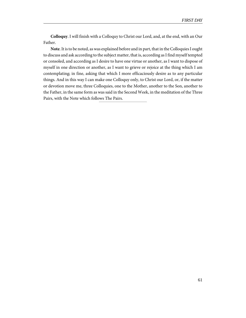**Colloquy**. I will finish with a Colloquy to Christ our Lord, and, at the end, with an Our Father.

**Note**. It is to be noted, as was explained before and in part, that in the Colloquies I ought to discuss and ask according to the subject matter, that is, according as I find myself tempted or consoled, and according as I desire to have one virtue or another, as I want to dispose of myself in one direction or another, as I want to grieve or rejoice at the thing which I am contemplating; in fine, asking that which I more efficaciously desire as to any particular things. And in this way I can make one Colloquy only, to Christ our Lord, or, if the matter or devotion move me, three Colloquies, one to the Mother, another to the Son, another to the Father, in the same form as was said in the Second Week, in the meditation of the Three Pairs, with the Note which follows The Pairs.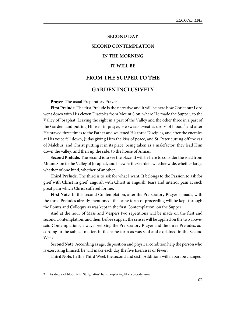#### **SECOND DAY**

#### **SECOND CONTEMPLATION**

#### **IN THE MORNING**

## **IT WILL BE**

#### **FROM THE SUPPER TO THE**

## **GARDEN INCLUSIVELY**

**Prayer**. The usual Preparatory Prayer

**First Prelude**. The first Prelude is the narrative and it will be here how Christ our Lord went down with His eleven Disciples from Mount Sion, where He made the Supper, to the Valley of Josaphat. Leaving the eight in a part of the Valley and the other three in a part of the Garden, and putting Himself in prayer, He sweats sweat as drops of blood, $^2$  and after He prayed three times to the Father and wakened His three Disciples, and after the enemies at His voice fell down, Judas giving Him the kiss of peace, and St. Peter cutting off the ear of Malchus, and Christ putting it in its place; being taken as a malefactor, they lead Him down the valley, and then up the side, to the house of Annas.

**Second Prelude**. The second is to see the place. It will be here to consider the road from Mount Sion to the Valley of Josaphat, and likewise the Garden, whether wide, whether large, whether of one kind, whether of another.

**Third Prelude**. The third is to ask for what I want. It belongs to the Passion to ask for grief with Christ in grief, anguish with Christ in anguish, tears and interior pain at such great pain which Christ suffered for me.

**First Note**. In this second Contemplation, after the Preparatory Prayer is made, with the three Preludes already mentioned, the same form of proceeding will be kept through the Points and Colloquy as was kept in the first Contemplation, on the Supper.

And at the hour of Mass and Vespers two repetitions will be made on the first and second Contemplation, and then, before supper, the senses will be applied on the two abovesaid Contemplations, always prefixing the Preparatory Prayer and the three Preludes, according to the subject matter, in the same form as was said and explained in the Second Week.

**Second Note**. According as age, disposition and physical condition help the person who is exercising himself, he will make each day the five Exercises or fewer.

**Third Note**. In this Third Week the second and sixth Additions will in part be changed.

<sup>2</sup> As drops of blood is in St. Ignatius' hand, replacing like a bloody sweat.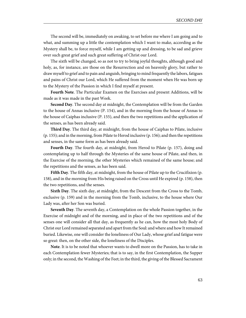The second will be, immediately on awaking, to set before me where I am going and to what, and summing up a little the contemplation which I want to make, according as the Mystery shall be, to force myself, while I am getting up and dressing, to be sad and grieve over such great grief and such great suffering of Christ our Lord.

The sixth will be changed, so as not to try to bring joyful thoughts, although good and holy, as, for instance, are those on the Resurrection and on heavenly glory, but rather to draw myself to grief and to pain and anguish, bringing to mind frequently the labors, fatigues and pains of Christ our Lord, which He suffered from the moment when He was born up to the Mystery of the Passion in which I find myself at present.

**Fourth Note**. The Particular Examen on the Exercises and present Additions, will be made as it was made in the past Week.

**Second Day**. The second day at midnight, the Contemplation will be from the Garden to the house of Annas inclusive (P. 154), and in the morning from the house of Annas to the house of Caiphas inclusive (P. 155), and then the two repetitions and the application of the senses, as has been already said.

**Third Day**. The third day, at midnight, from the house of Caiphas to Pilate, inclusive (p. 155); and in the morning, from Pilate to Herod inclusive (p. 156); and then the repetitions and senses, in the same form as has been already said.

**Fourth Day**. The fourth day, at midnight, from Herod to Pilate (p. 157), doing and contemplating up to half through the Mysteries of the same house of Pilate, and then, in the Exercise of the morning, the other Mysteries which remained of the same house; and the repetitions and the senses, as has been said.

**Fifth Day**. The fifth day, at midnight, from the house of Pilate up to the Crucifixion (p. 158), and in the morning from His being raised on the Cross until He expired (p. 158), then the two repetitions, and the senses.

**Sixth Day**. The sixth day, at midnight, from the Descent from the Cross to the Tomb, exclusive (p. 159) and in the morning from the Tomb, inclusive, to the house where Our Lady was, after her Son was buried.

**Seventh Day**. The seventh day, a Contemplation on the whole Passion together, in the Exercise of midnight and of the morning, and in place of the two repetitions and of the senses one will consider all that day, as frequently as he can, how the most holy Body of Christ our Lord remained separated and apart from the Soul: and where and how It remained buried. Likewise, one will consider the loneliness of Our Lady, whose grief and fatigue were so great: then, on the other side, the loneliness of the Disciples.

**Note**. It is to be noted that whoever wants to dwell more on the Passion, has to take in each Contemplation fewer Mysteries; that is to say, in the first Contemplation, the Supper only; in the second, the Washing of the Feet; in the third, the giving of the Blessed Sacrament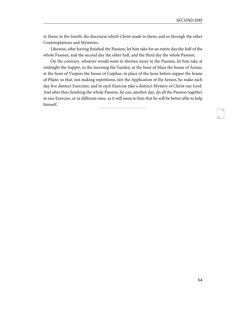24

to them; in the fourth, the discourse which Christ made to them; and so through the other Contemplations and Mysteries.

Likewise, after having finished the Passion, let him take for an entire day the half of the whole Passion, and the second day the other half, and the third day the whole Passion.

On the contrary, whoever would want to shorten more in the Passion, let him take at midnight the Supper, in the morning the Garden, at the hour of Mass the house of Annas, at the hour of Vespers the house of Caiphas, in place of the hour before supper the house of Pilate; so that, not making repetitions, nor the Application of the Senses, he make each day five distinct Exercises, and in each Exercise take a distinct Mystery of Christ our Lord. And after thus finishing the whole Passion, he can, another day, do all the Passion together in one Exercise, or in different ones, as it will seem to him that he will be better able to help himself.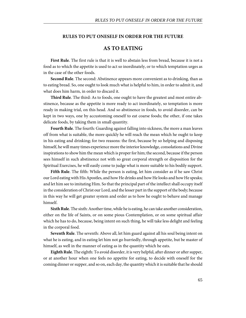#### **RULES TO PUT ONESELF IN ORDER FOR THE FUTURE**

## **AS TO EATING**

**First Rule**. The first rule is that it is well to abstain less from bread, because it is not a food as to which the appetite is used to act so inordinately, or to which temptation urges as in the case of the other foods.

**Second Rule**. The second: Abstinence appears more convenient as to drinking, than as to eating bread. So, one ought to look much what is helpful to him, in order to admit it, and what does him harm, in order to discard it.

**Third Rule**. The third: As to foods, one ought to have the greatest and most entire abstinence, because as the appetite is more ready to act inordinately, so temptation is more ready in making trial, on this head. And so abstinence in foods, to avoid disorder, can be kept in two ways, one by accustoming oneself to eat coarse foods; the other, if one takes delicate foods, by taking them in small quantity.

**Fourth Rule**. The fourth: Guarding against falling into sickness, the more a man leaves off from what is suitable, the more quickly he will reach the mean which he ought to keep in his eating and drinking; for two reasons: the first, because by so helping and disposing himself, he will many times experience more the interior knowledge, consolations and Divine inspirations to show him the mean which is proper for him; the second, because if the person sees himself in such abstinence not with so great corporal strength or disposition for the Spiritual Exercises, he will easily come to judge what is more suitable to his bodily support.

**Fifth Rule**. The fifth: While the person is eating, let him consider as if he saw Christ our Lord eating with His Apostles, and how He drinks and how He looks and how He speaks; and let him see to imitating Him. So that the principal part of the intellect shall occupy itself in the consideration of Christ our Lord, and the lesser part in the support of the body; because in this way he will get greater system and order as to how he ought to behave and manage himself.

**Sixth Rule**. The sixth: Another time, while he is eating, he can take another consideration, either on the life of Saints, or on some pious Contemplation, or on some spiritual affair which he has to do, because, being intent on such thing, he will take less delight and feeling in the corporal food.

**Seventh Rule**. The seventh: Above all, let him guard against all his soul being intent on what he is eating, and in eating let him not go hurriedly, through appetite, but be master of himself, as well in the manner of eating as in the quantity which he eats.

**Eighth Rule**. The eighth: To avoid disorder, it is very helpful, after dinner or after supper, or at another hour when one feels no appetite for eating, to decide with oneself for the coming dinner or supper, and so on, each day, the quantity which it is suitable that he should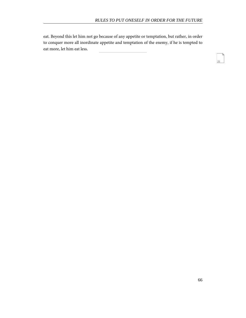eat. Beyond this let him not go because of any appetite or temptation, but rather, in order to conquer more all inordinate appetite and temptation of the enemy, if he is tempted to eat more, let him eat less.

25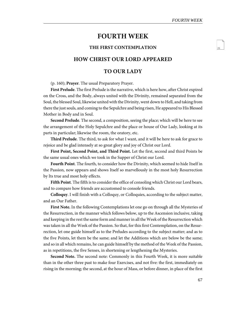# **FOURTH WEEK**

#### **THE FIRST CONTEMPLATION**

# **HOW CHRIST OUR LORD APPEARED**

#### **TO OUR LADY**

(p. 160); **Prayer**. The usual Preparatory Prayer.

**First Prelude**. The first Prelude is the narrative, which is here how, after Christ expired on the Cross, and the Body, always united with the Divinity, remained separated from the Soul, the blessed Soul, likewise united with the Divinity, went down to Hell, and taking from there the just souls, and coming to the Sepulchre and being risen, He appeared to His Blessed Mother in Body and in Soul.

**Second Prelude**. The second, a composition, seeing the place; which will be here to see the arrangement of the Holy Sepulchre and the place or house of Our Lady, looking at its parts in particular; likewise the room, the oratory, etc.

**Third Prelude**. The third, to ask for what I want, and it will be here to ask for grace to rejoice and be glad intensely at so great glory and joy of Christ our Lord.

**First Point, Second Point, and Third Point.** Let the first, second and third Points be the same usual ones which we took in the Supper of Christ our Lord.

**Fourth Point**. The fourth, to consider how the Divinity, which seemed to hide Itself in the Passion, now appears and shows Itself so marvellously in the most holy Resurrection by Its true and most holy effects.

**Fifth Point**. The fifth is to consider the office of consoling which Christ our Lord bears, and to compare how friends are accustomed to console friends.

**Colloquy**. I will finish with a Colloquy, or Colloquies, according to the subject matter, and an Our Father.

**First Note.** In the following Contemplations let one go on through all the Mysteries of the Resurrection, in the manner which follows below, up to the Ascension inclusive, taking and keeping in the rest the same form and manner in all the Week of the Resurrection which was taken in all the Week of the Passion. So that, for this first Contemplation, on the Resurrection, let one guide himself as to the Preludes according to the subject matter; and as to the five Points, let them be the same; and let the Additions which are below be the same; and so in all which remains, he can guide himself by the method of the Week of the Passion, as in repetitions, the five Senses, in shortening or lengthening the Mysteries.

**Second Note.** The second note: Commonly in this Fourth Week, it is more suitable than in the other three past to make four Exercises, and not five: the first, immediately on rising in the morning; the second, at the hour of Mass, or before dinner, in place of the first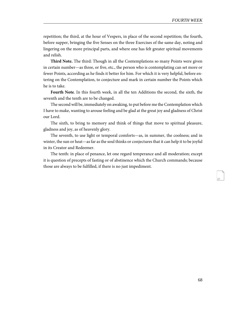repetition; the third, at the hour of Vespers, in place of the second repetition; the fourth, before supper, bringing the five Senses on the three Exercises of the same day, noting and lingering on the more principal parts, and where one has felt greater spiritual movements and relish.

**Third Note.** The third: Though in all the Contemplations so many Points were given in certain number—as three, or five, etc., the person who is contemplating can set more or fewer Points, according as he finds it better for him. For which it is very helpful, before entering on the Contemplation, to conjecture and mark in certain number the Points which he is to take.

**Fourth Note**. In this fourth week, in all the ten Additions the second, the sixth, the seventh and the tenth are to be changed.

The second will be, immediately on awaking, to put before me the Contemplation which I have to make, wanting to arouse feeling and be glad at the great joy and gladness of Christ our Lord.

The sixth, to bring to memory and think of things that move to spiritual pleasure, gladness and joy, as of heavenly glory.

The seventh, to use light or temporal comforts—as, in summer, the coolness; and in winter, the sun or heat—as far as the soul thinks or conjectures that it can help it to be joyful in its Creator and Redeemer.

The tenth: in place of penance, let one regard temperance and all moderation; except it is question of precepts of fasting or of abstinence which the Church commands; because those are always to be fulfilled, if there is no just impediment.

27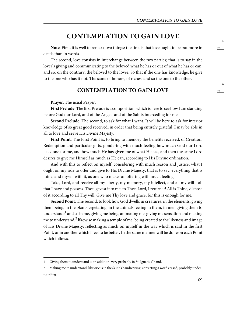# **CONTEMPLATION TO GAIN LOVE**

**Note**. First, it is well to remark two things: the first is that love ought to be put more in deeds than in words.

The second, love consists in interchange between the two parties; that is to say in the lover's giving and communicating to the beloved what he has or out of what he has or can; and so, on the contrary, the beloved to the lover. So that if the one has knowledge, he give to the one who has it not. The same of honors, of riches; and so the one to the other.

# **CONTEMPLATION TO GAIN LOVE**

**Prayer**. The usual Prayer.

**First Prelude**. The first Prelude is a composition, which is here to see how I am standing before God our Lord, and of the Angels and of the Saints interceding for me.

**Second Prelude**. The second, to ask for what I want. It will be here to ask for interior knowledge of so great good received, in order that being entirely grateful, I may be able in all to love and serve His Divine Majesty.

**First Point**. The First Point is, to bring to memory the benefits received, of Creation, Redemption and particular gifts, pondering with much feeling how much God our Lord has done for me, and how much He has given me of what He has, and then the same Lord desires to give me Himself as much as He can, according to His Divine ordination.

And with this to reflect on myself, considering with much reason and justice, what I ought on my side to offer and give to His Divine Majesty, that is to say, everything that is mine, and myself with it, as one who makes an offering with much feeling:

Take, Lord, and receive all my liberty, my memory, my intellect, and all my will—all that I have and possess. Thou gavest it to me: to Thee, Lord, I return it! All is Thine, dispose of it according to all Thy will. Give me Thy love and grace, for this is enough for me.

**Second Point**. The second, to look how God dwells in creatures, in the elements, giving them being, in the plants vegetating, in the animals feeling in them, in men giving them to understand: $^{\rm l}$  and so in me, giving me being, animating me, giving me sensation and making me to understand; $^2$  likewise making a temple of me, being created to the likeness and image of His Divine Majesty; reflecting as much on myself in the way which is said in the first Point, or in another which I feel to be better. In the same manner will be done on each Point which follows.

<sup>1</sup> Giving them to understand is an addition, very probably in St. Ignatius' hand.

<sup>2</sup> Making me to understand; likewise is in the Saint's handwriting, correcting a word erased, probably understanding.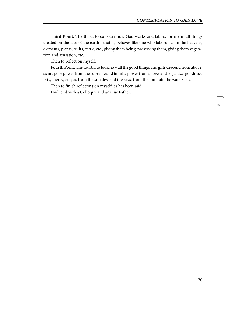**Third Point**. The third, to consider how God works and labors for me in all things created on the face of the earth—that is, behaves like one who labors—as in the heavens, elements, plants, fruits, cattle, etc., giving them being, preserving them, giving them vegetation and sensation, etc.

Then to reflect on myself.

**Fourth** Point. The fourth, to look how all the good things and gifts descend from above, as my poor power from the supreme and infinite power from above; and so justice, goodness, pity, mercy, etc.; as from the sun descend the rays, from the fountain the waters, etc.

Then to finish reflecting on myself, as has been said.

I will end with a Colloquy and an Our Father.

30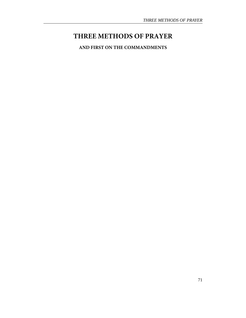# **THREE METHODS OF PRAYER**

**AND FIRST ON THE COMMANDMENTS**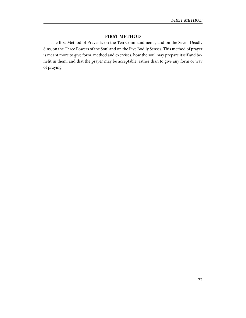## **FIRST METHOD**

The first Method of Prayer is on the Ten Commandments, and on the Seven Deadly Sins, on the Three Powers of the Soul and on the Five Bodily Senses. This method of prayer is meant more to give form, method and exercises, how the soul may prepare itself and benefit in them, and that the prayer may be acceptable, rather than to give any form or way of praying.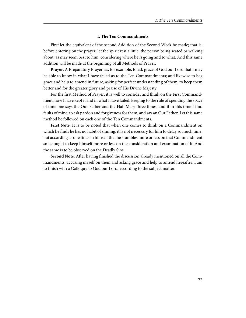#### **I. The Ten Commandments**

First let the equivalent of the second Addition of the Second Week be made; that is, before entering on the prayer, let the spirit rest a little, the person being seated or walking about, as may seem best to him, considering where he is going and to what. And this same addition will be made at the beginning of all Methods of Prayer.

**Prayer**. A Preparatory Prayer, as, for example, to ask grace of God our Lord that I may be able to know in what I have failed as to the Ten Commandments; and likewise to beg grace and help to amend in future, asking for perfect understanding of them, to keep them better and for the greater glory and praise of His Divine Majesty.

For the first Method of Prayer, it is well to consider and think on the First Commandment, how I have kept it and in what I have failed, keeping to the rule of spending the space of time one says the Our Father and the Hail Mary three times; and if in this time I find faults of mine, to ask pardon and forgiveness for them, and say an Our Father. Let this same method be followed on each one of the Ten Commandments.

**First Note**. It is to be noted that when one comes to think on a Commandment on which he finds he has no habit of sinning, it is not necessary for him to delay so much time, but according as one finds in himself that he stumbles more or less on that Commandment so he ought to keep himself more or less on the consideration and examination of it. And the same is to be observed on the Deadly Sins.

**Second Note**. After having finished the discussion already mentioned on all the Commandments, accusing myself on them and asking grace and help to amend hereafter, I am to finish with a Colloquy to God our Lord, according to the subject matter.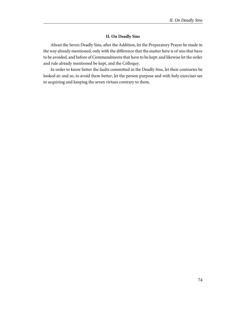#### **II. On Deadly Sins**

About the Seven Deadly Sins, after the Addition, let the Preparatory Prayer be made in the way already mentioned, only with the difference that the matter here is of sins that have to be avoided, and before of Commandments that have to be kept: and likewise let the order and rule already mentioned be kept, and the Colloquy.

In order to know better the faults committed in the Deadly Sins, let their contraries be looked at: and so, to avoid them better, let the person purpose and with holy exercises see to acquiring and keeping the seven virtues contrary to them.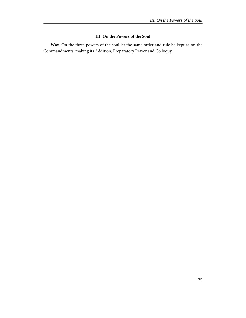#### **III. On the Powers of the Soul**

**Way**. On the three powers of the soul let the same order and rule be kept as on the Commandments, making its Addition, Preparatory Prayer and Colloquy.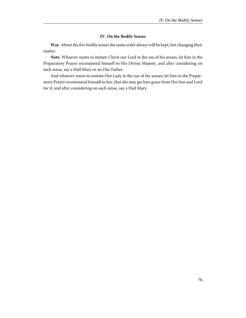#### **IV. On the Bodily Senses**

**Way**. About the five bodily senses the same order always will be kept, but changing their matter.

**Note**. Whoever wants to imitate Christ our Lord in the use of his senses, let him in the Preparatory Prayer recommend himself to His Divine Majesty, and after considering on each sense, say a Hail Mary or an Our Father.

And whoever wants to imitate Our Lady in the use of the senses, let him in the Preparatory Prayer recommend himself to her, that she may get him grace from Her Son and Lord for it; and after considering on each sense, say a Hail Mary.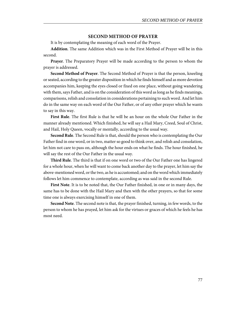#### **SECOND METHOD OF PRAYER**

It is by contemplating the meaning of each word of the Prayer.

**Addition**. The same Addition which was in the First Method of Prayer will be in this second.

**Prayer**. The Preparatory Prayer will be made according to the person to whom the prayer is addressed.

**Second Method of Prayer**. The Second Method of Prayer is that the person, kneeling or seated, according to the greater disposition in which he finds himself and as more devotion accompanies him, keeping the eyes closed or fixed on one place, without going wandering with them, says Father, and is on the consideration of this word as long as he finds meanings, comparisons, relish and consolation in considerations pertaining to such word. And let him do in the same way on each word of the Our Father, or of any other prayer which he wants to say in this way.

**First Rule**. The first Rule is that he will be an hour on the whole Our Father in the manner already mentioned. Which finished, he will say a Hail Mary, Creed, Soul of Christ, and Hail, Holy Queen, vocally or mentally, according to the usual way.

**Second Rule**. The Second Rule is that, should the person who is contemplating the Our Father find in one word, or in two, matter so good to think over, and relish and consolation, let him not care to pass on, although the hour ends on what he finds. The hour finished, he will say the rest of the Our Father in the usual way.

**Third Rule**. The third is that if on one word or two of the Our Father one has lingered for a whole hour, when he will want to come back another day to the prayer, let him say the above-mentioned word, or the two, as he is accustomed; and on the word which immediately follows let him commence to contemplate, according as was said in the second Rule.

**First Note**. It is to be noted that, the Our Father finished, in one or in many days, the same has to be done with the Hail Mary and then with the other prayers, so that for some time one is always exercising himself in one of them.

**Second Note**. The second note is that, the prayer finished, turning, in few words, to the person to whom he has prayed, let him ask for the virtues or graces of which he feels he has most need.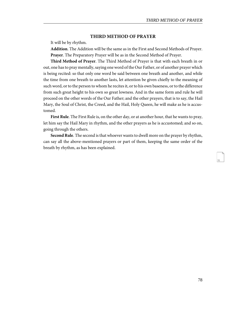#### **THIRD METHOD OF PRAYER**

It will be by rhythm.

**Addition**. The Addition will be the same as in the First and Second Methods of Prayer. **Prayer**. The Preparatory Prayer will be as in the Second Method of Prayer.

**Third Method of Prayer**. The Third Method of Prayer is that with each breath in or out, one has to pray mentally, saying one word of the Our Father, or of another prayer which is being recited: so that only one word be said between one breath and another, and while the time from one breath to another lasts, let attention be given chiefly to the meaning of such word, or to the person to whom he recites it, or to his own baseness, or to the difference from such great height to his own so great lowness. And in the same form and rule he will proceed on the other words of the Our Father; and the other prayers, that is to say, the Hail Mary, the Soul of Christ, the Creed, and the Hail, Holy Queen, he will make as he is accustomed.

**First Rule**. The First Rule is, on the other day, or at another hour, that he wants to pray, let him say the Hail Mary in rhythm, and the other prayers as he is accustomed; and so on, going through the others.

**Second Rule**. The second is that whoever wants to dwell more on the prayer by rhythm, can say all the above-mentioned prayers or part of them, keeping the same order of the breath by rhythm, as has been explained.

31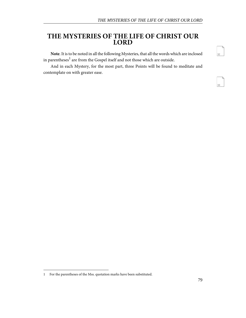# **THE MYSTERIES OF THE LIFE OF CHRIST OUR LORD**

Note. It is to be noted in all the following Mysteries, that all the words which are inclosed in parentheses $^{\rm l}$  are from the Gospel itself and not those which are outside.

And in each Mystery, for the most part, three Points will be found to meditate and contemplate on with greater ease.

<sup>1</sup> For the parentheses of the Mss. quotation marks have been substituted.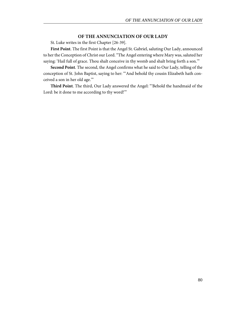#### **OF THE ANNUNCIATION OF OUR LADY**

St. Luke writes in the first Chapter [26-39].

**First Point**. The first Point is that the Angel St. Gabriel, saluting Our Lady, announced to her the Conception of Christ our Lord. "The Angel entering where Mary was, saluted her saying: 'Hail full of grace. Thou shalt conceive in thy womb and shalt bring forth a son.'"

**Second Point**. The second, the Angel confirms what he said to Our Lady, telling of the conception of St. John Baptist, saying to her: "'And behold thy cousin Elizabeth hath conceived a son in her old age.'"

**Third Point**. The third, Our Lady answered the Angel: "'Behold the handmaid of the Lord: be it done to me according to thy word!'"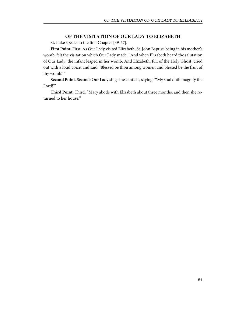#### **OF THE VISITATION OF OUR LADY TO ELIZABETH**

St. Luke speaks in the first Chapter [39-57].

**First Point**. First: As Our Lady visited Elizabeth, St. John Baptist, being in his mother's womb, felt the visitation which Our Lady made. "And when Elizabeth heard the salutation of Our Lady, the infant leaped in her womb. And Elizabeth, full of the Holy Ghost, cried out with a loud voice, and said: 'Blessed be thou among women and blessed be the fruit of thy womb!'"

**Second Point**. Second: Our Lady sings the canticle, saying: "'My soul doth magnify the Lord!'"

**Third Point**. Third: "Mary abode with Elizabeth about three months: and then she returned to her house."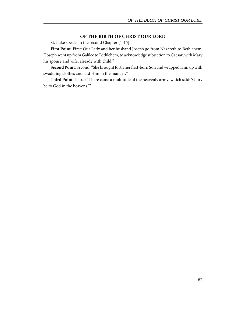#### **OF THE BIRTH OF CHRIST OUR LORD**

St. Luke speaks in the second Chapter [1-15].

**First Point**. First: Our Lady and her husband Joseph go from Nazareth to Bethlehem. "Joseph went up from Galilee to Bethlehem, to acknowledge subjection to Caesar, with Mary his spouse and wife, already with child."

**Second Point**. Second: "She brought forth her first-born Son and wrapped Him up with swaddling clothes and laid Him in the manger."

**Third Point**. Third: "There came a multitude of the heavenly army, which said: 'Glory be to God in the heavens.'"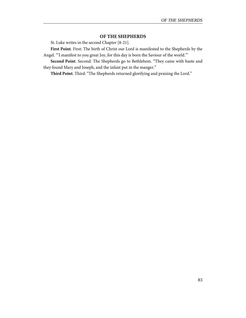#### **OF THE SHEPHERDS**

St. Luke writes in the second Chapter [8-21].

**First Point**. First: The birth of Christ our Lord is manifested to the Shepherds by the Angel. "'I manifest to you great Joy, for this day is born the Saviour of the world."'

**Second Point**. Second: The Shepherds go to Bethlehem. "They came with haste and they found Mary and Joseph, and the infant put in the manger."

**Third Point**. Third: "The Shepherds returned glorifying and praising the Lord."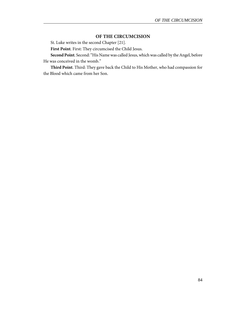#### **OF THE CIRCUMCISION**

St. Luke writes in the second Chapter [21].

**First Point**. First: They circumcised the Child Jesus.

**Second Point**. Second: "His Name was called Jesus, which was called by the Angel, before He was conceived in the womb."

**Third Point**. Third: They gave back the Child to His Mother, who had compassion for the Blood which came from her Son.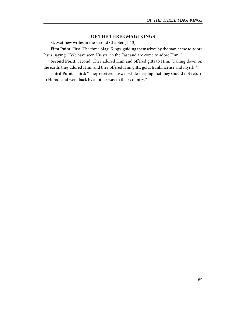#### **OF THE THREE MAGI KINGS**

St. Matthew writes in the second Chapter [1-13].

**First Point**. First: The three Magi Kings, guiding themselves by the star, came to adore Jesus, saying: "'We have seen His star in the East and are come to adore Him.'"

**Second Point**. Second: They adored Him and offered gifts to Him. "Falling down on the earth, they adored Him, and they offered Him gifts, gold, frankincense and myrrh."

**Third Point**. Third: "They received answer while sleeping that they should not return to Herod, and went back by another way to their country."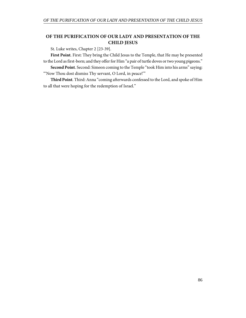# **OF THE PURIFICATION OF OUR LADY AND PRESENTATION OF THE CHILD JESUS**

St. Luke writes, Chapter 2 [23-39].

**First Point**. First: They bring the Child Jesus to the Temple, that He may be presented to the Lord as first-born; and they offer for Him "a pair of turtle doves or two young pigeons."

**Second Point**. Second: Simeon coming to the Temple "took Him into his arms" saying: "'Now Thou dost dismiss Thy servant, O Lord, in peace!'"

**Third Point**. Third: Anna "coming afterwards confessed to the Lord, and spoke of Him to all that were hoping for the redemption of Israel."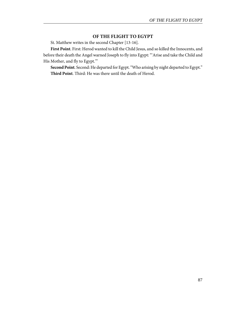#### **OF THE FLIGHT TO EGYPT**

St. Matthew writes in the second Chapter [13-16].

**First Point**. First: Herod wanted to kill the Child Jesus, and so killed the Innocents, and before their death the Angel warned Joseph to fly into Egypt: "'Arise and take the Child and His Mother, and fly to Egypt.'"

**Second Point**. Second: He departed for Egypt. "Who arising by night departed to Egypt." **Third Point**. Third: He was there until the death of Herod.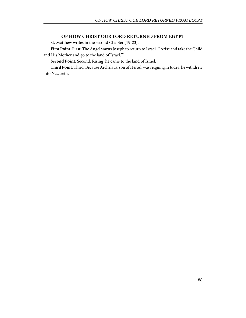#### **OF HOW CHRIST OUR LORD RETURNED FROM EGYPT**

St. Matthew writes in the second Chapter [19-23].

**First Point**. First: The Angel warns Joseph to return to Israel. "'Arise and take the Child and His Mother and go to the land of Israel.'"

**Second Point**. Second: Rising, he came to the land of Israel.

**Third Point**. Third: Because Archelaus, son of Herod, was reigning in Judea, he withdrew into Nazareth.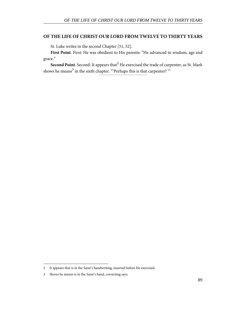#### **OF THE LIFE OF CHRIST OUR LORD FROM TWELVE TO THIRTY YEARS**

St. Luke writes in the second Chapter [51, 52].

**First Point**. First: He was obedient to His parents: "He advanced in wisdom, age and grace."

**Second Point**. Second: It appears that<sup>2</sup> He exercised the trade of carpenter, as St. Mark shows he means $^3$  in the sixth chapter. "'Perhaps this is that carpenter? '"

<sup>2</sup> It appears that is in the Saint's handwriting, inserted before He exercised.

<sup>3</sup> Shows he means is in the Saint's hand, correcting says.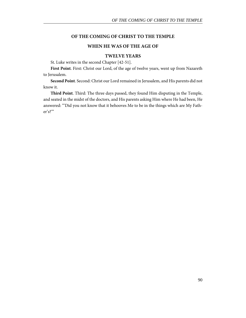#### **OF THE COMING OF CHRIST TO THE TEMPLE**

#### **WHEN HE WAS OF THE AGE OF**

# **TWELVE YEARS**

St. Luke writes in the second Chapter [42-51].

**First Point**. First: Christ our Lord, of the age of twelve years, went up from Nazareth to Jerusalem.

**Second Point**. Second: Christ our Lord remained in Jerusalem, and His parents did not know it.

**Third Point**. Third: The three days passed, they found Him disputing in the Temple, and seated in the midst of the doctors, and His parents asking Him where He had been, He answered: "'Did you not know that it behooves Me to be in the things which are My Father's?'"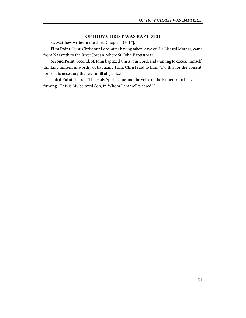#### **OF HOW CHRIST WAS BAPTIZED**

St. Matthew writes in the third Chapter [13-17].

**First Point**. First: Christ our Lord, after having taken leave of His Blessed Mother, came from Nazareth to the River Jordan, where St. John Baptist was.

**Second Point**. Second: St. John baptized Christ our Lord, and wanting to excuse himself, thinking himself unworthy of baptizing Him, Christ said to him: "Do this for the present, for so it is necessary that we fulfill all justice.'"

**Third Point.** Third: "The Holy Spirit came and the voice of the Father from heaven affirming: 'This is My beloved Son, in Whom I am well pleased.'"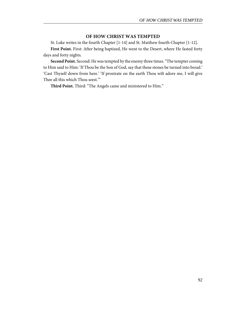#### **OF HOW CHRIST WAS TEMPTED**

St. Luke writes in the fourth Chapter [1-14] and St. Matthew fourth Chapter [1-12].

**First Point.** First: After being baptized, He went to the Desert, where He fasted forty days and forty nights.

**Second Point.** Second: He was tempted by the enemy three times. "The tempter coming to Him said to Him: 'If Thou be the Son of God, say that these stones be turned into bread.' 'Cast Thyself down from here.' 'If prostrate on the earth Thou wilt adore me, I will give Thee all this which Thou seest.'"

**Third Point.** Third: "The Angels came and ministered to Him."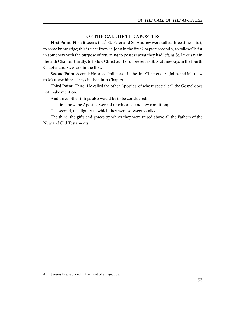#### **OF THE CALL OF THE APOSTLES**

**First Point.** First: it seems that $^4$  St. Peter and St. Andrew were called three times: first, to some knowledge; this is clear from St. John in the first Chapter: secondly, to follow Christ in some way with the purpose of returning to possess what they had left, as St. Luke says in the fifth Chapter: thirdly, to follow Christ our Lord forever, as St. Matthew says in the fourth Chapter and St. Mark in the first.

**Second Point.** Second: He called Philip, as is in the first Chapter of St. John, and Matthew as Matthew himself says in the ninth Chapter.

**Third Point.** Third: He called the other Apostles, of whose special call the Gospel does not make mention.

And three other things also would be to be considered:

The first, how the Apostles were of uneducated and low condition;

The second, the dignity to which they were so sweetly called;

The third, the gifts and graces by which they were raised above all the Fathers of the New and Old Testaments.

<sup>4</sup> It seems that is added in the hand of St. Ignatius.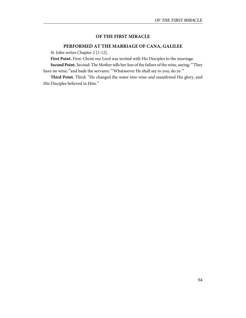# **OF THE FIRST MIRACLE**

#### **PERFORMED AT THE MARRIAGE OF CANA, GALILEE**

St. John writes Chapter 2 [1-12].

**First Point.** First: Christ our Lord was invited with His Disciples to the marriage. **Second Point.** Second: The Mother tells her Son of the failure of the wine, saying: "'They

have no wine,'"and bade the servants: "'Whatsoever He shall say to you, do ye.'"

**Third Point.** Third: "He changed the water into wine and manifested His glory, and His Disciples believed in Him."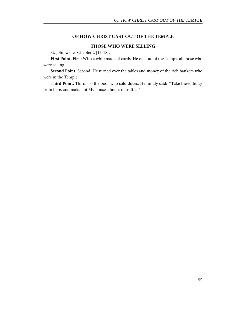# **OF HOW CHRIST CAST OUT OF THE TEMPLE**

#### **THOSE WHO WERE SELLING**

St. John writes Chapter 2 [13-18].

First Point. First: With a whip made of cords, He cast out of the Temple all those who were selling.

**Second Point.** Second: He turned over the tables and money of the rich bankers who were in the Temple.

**Third Point.** Third: To the poor who sold doves, He mildly said: "'Take these things from here, and make not My house a house of traffic.'"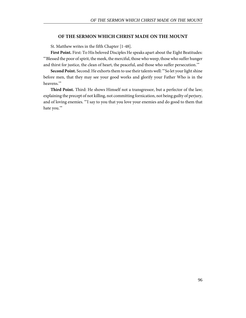#### **OF THE SERMON WHICH CHRIST MADE ON THE MOUNT**

St. Matthew writes in the fifth Chapter [1-48].

**First Point.** First: To His beloved Disciples He speaks apart about the Eight Beatitudes: "'Blessed the poor of spirit, the meek, the merciful, those who weep, those who suffer hunger and thirst for justice, the clean of heart, the peaceful, and those who suffer persecution.'"

**Second Point.** Second: He exhorts them to use their talents well: "'So let your light shine before men, that they may see your good works and glorify your Father Who is in the heavens.'"

**Third Point.** Third: He shows Himself not a transgressor, but a perfector of the law; explaining the precept of not killing, not committing fornication, not being guilty of perjury, and of loving enemies. "'I say to you that you love your enemies and do good to them that hate you.'"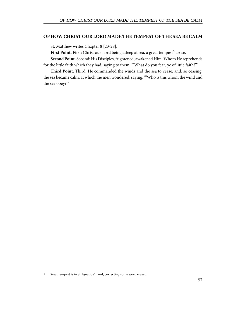#### **OF HOW CHRIST OUR LORD MADE THE TEMPEST OF THE SEA BE CALM**

St. Matthew writes Chapter 8 [23-28].

**First Point.** First: Christ our Lord being asleep at sea, a great tempest<sup>5</sup> arose.

**Second Point.** Second: His Disciples, frightened, awakened Him. Whom He reprehends for the little faith which they had, saying to them: "'What do you fear, ye of little faith!'"

**Third Point.** Third: He commanded the winds and the sea to cease: and, so ceasing, the sea became calm: at which the men wondered, saying: "'Who is this whom the wind and the sea obey?'"

<sup>5</sup> Great tempest is in St. Ignatius' hand, correcting some word erased.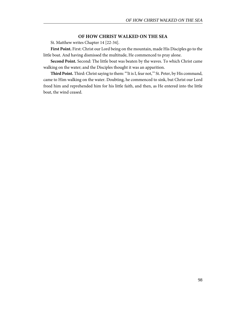#### **OF HOW CHRIST WALKED ON THE SEA**

St. Matthew writes Chapter 14 [22-34].

**First Point.** First: Christ our Lord being on the mountain, made His Disciples go to the little boat. And having dismissed the multitude, He commenced to pray alone.

**Second Point.** Second: The little boat was beaten by the waves. To which Christ came walking on the water; and the Disciples thought it was an apparition.

**Third Point.** Third: Christ saying to them: "'It is I, fear not,'" St. Peter, by His command, came to Him walking on the water. Doubting, he commenced to sink, but Christ our Lord freed him and reprehended him for his little faith, and then, as He entered into the little boat, the wind ceased.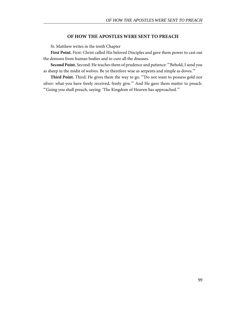#### **OF HOW THE APOSTLES WERE SENT TO PREACH**

St. Matthew writes in the tenth Chapter

**First Point.** First: Christ called His beloved Disciples and gave them power to cast out the demons from human bodies and to cure all the diseases.

**Second Point.** Second: He teaches them of prudence and patience: "'Behold, I send you as sheep in the midst of wolves. Be ye therefore wise as serpents and simple as doves.'"

**Third Point.** Third: He gives them the way to go. "'Do not want to possess gold nor silver: what you have freely received, freely give.'" And He gave them matter to preach. "'Going you shall preach, saying: 'The Kingdom of Heaven has approached.'"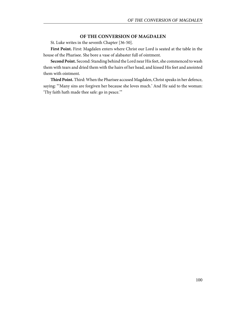# **OF THE CONVERSION OF MAGDALEN**

St. Luke writes in the seventh Chapter [36-50].

**First Point.** First: Magdalen enters where Christ our Lord is seated at the table in the house of the Pharisee. She bore a vase of alabaster full of ointment.

**Second Point.** Second: Standing behind the Lord near His feet, she commenced to wash them with tears and dried them with the hairs of her head, and kissed His feet and anointed them with ointment.

**Third Point.** Third: When the Pharisee accused Magdalen, Christ speaks in her defence, saying: "'Many sins are forgiven her because she loves much.' And He said to the woman: 'Thy faith hath made thee safe: go in peace.'"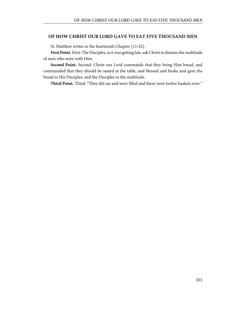#### **OF HOW CHRIST OUR LORD GAVE TO EAT FIVE THOUSAND MEN**

St. Matthew writes in the fourteenth Chapter [13-22].

**First Point.** First: The Disciples, as it was getting late, ask Christ to dismiss the multitude of men who were with Him.

**Second Point.** Second: Christ our Lord commands that they bring Him bread, and commanded that they should be seated at the table, and blessed and broke and gave the bread to His Disciples, and the Disciples to the multitude.

**Third Point.** Third: "They did eat and were filled and there were twelve baskets over."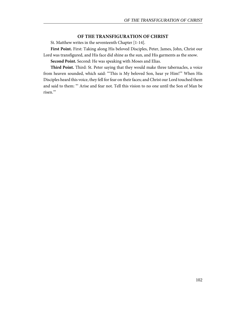## **OF THE TRANSFIGURATION OF CHRIST**

St. Matthew writes in the seventeenth Chapter [1-14].

**First Point.** First: Taking along His beloved Disciples, Peter, James, John, Christ our Lord was transfigured, and His face did shine as the sun, and His garments as the snow.

**Second Point.** Second: He was speaking with Moses and Elias.

**Third Point.** Third: St. Peter saying that they would make three tabernacles, a voice from heaven sounded, which said: "'This is My beloved Son, hear ye Him!'" When His Disciples heard this voice, they fell for fear on their faces; and Christ our Lord touched them and said to them: "' Arise and fear not. Tell this vision to no one until the Son of Man be risen.'"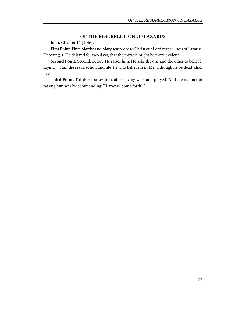#### **OF THE RESURRECTION OF LAZARUS**

John, Chapter 11 [1-46].

**First Point.** First: Martha and Mary sent word to Christ our Lord of the illness of Lazarus. Knowing it, He delayed for two days, that the miracle might be more evident.

**Second Point.** Second: Before He raises him, He asks the one and the other to believe, saying: "'I am the resurrection and life; he who believeth in Me, although he be dead, shall live.'"

**Third Point.** Third: He raises him, after having wept and prayed. And the manner of raising him was by commanding: "'Lazarus, come forth!'"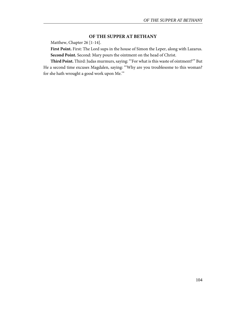#### **OF THE SUPPER AT BETHANY**

Matthew, Chapter 26 [1-14].

**First Point.** First: The Lord sups in the house of Simon the Leper, along with Lazarus. **Second Point.** Second: Mary pours the ointment on the head of Christ.

**Third Point.** Third: Judas murmurs, saying: "'For what is this waste of ointment?'" But He a second time excuses Magdalen, saying: "'Why are you troublesome to this woman? for she hath wrought a good work upon Me.'"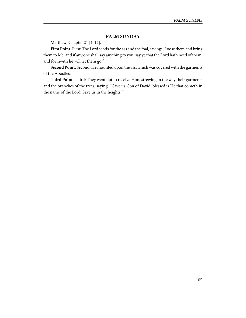## **PALM SUNDAY**

Matthew, Chapter 21 [1-12].

**First Point.** First: The Lord sends for the ass and the foal, saying: "Loose them and bring them to Me, and if any one shall say anything to you, say ye that the Lord hath need of them, and forthwith he will let them go."

**Second Point.** Second: He mounted upon the ass, which was covered with the garments of the Apostles.

**Third Point.** Third: They went out to receive Him, strewing in the way their garments and the branches of the trees, saying: "'Save us, Son of David, blessed is He that cometh in the name of the Lord: Save us in the heights!'"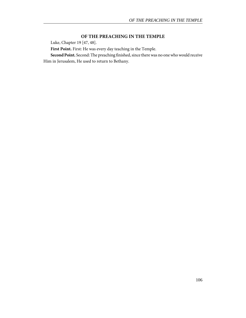## **OF THE PREACHING IN THE TEMPLE**

Luke, Chapter 19 [47, 48].

**First Point.** First: He was every day teaching in the Temple.

**Second Point.** Second: The preaching finished, since there was no one who would receive Him in Jerusalem, He used to return to Bethany.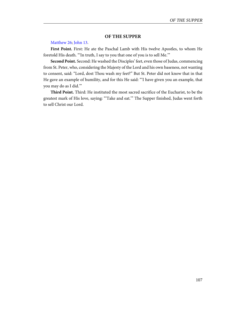#### **OF THE SUPPER**

#### [Matthew 26](http://www.ccel.org/study/Bible:Matt.26); [John 13.](http://www.ccel.org/study/Bible:John.13)

**First Point.** First: He ate the Paschal Lamb with His twelve Apostles, to whom He foretold His death. "'In truth, I say to you that one of you is to sell Me.'"

**Second Point.** Second: He washed the Disciples' feet, even those of Judas, commencing from St. Peter, who, considering the Majesty of the Lord and his own baseness, not wanting to consent, said: "Lord, dost Thou wash my feet?" But St. Peter did not know that in that He gave an example of humility, and for this He said: "'I have given you an example, that you may do as I did.'"

**Third Point.** Third: He instituted the most sacred sacrifice of the Eucharist, to be the greatest mark of His love, saying: "'Take and eat.'" The Supper finished, Judas went forth to sell Christ our Lord.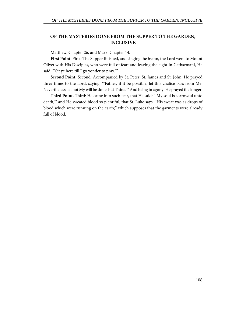## **OF THE MYSTERIES DONE FROM THE SUPPER TO THE GARDEN, INCLUSIVE**

Matthew, Chapter 26, and Mark, Chapter 14.

**First Point.** First: The Supper finished, and singing the hymn, the Lord went to Mount Olivet with His Disciples, who were full of fear; and leaving the eight in Gethsemani, He said: "'Sit ye here till I go yonder to pray.'"

**Second Point.** Second: Accompanied by St. Peter, St. James and St. John, He prayed three times to the Lord, saying: "'Father, if it be possible, let this chalice pass from Me. Nevertheless, let not My will be done, but Thine.'" And being in agony, He prayed the longer.

**Third Point.** Third: He came into such fear, that He said: "'My soul is sorrowful unto death,'" and He sweated blood so plentiful, that St. Luke says: "His sweat was as drops of blood which were running on the earth;" which supposes that the garments were already full of blood.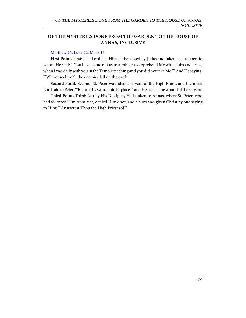## **OF THE MYSTERIES DONE FROM THE GARDEN TO THE HOUSE OF ANNAS, INCLUSIVE**

#### [Matthew 26](http://www.ccel.org/study/Bible:Matt.26), [Luke 22](http://www.ccel.org/study/Bible:Luke.22), [Mark 15.](http://www.ccel.org/study/Bible:Mark.15)

**First Point.** First: The Lord lets Himself be kissed by Judas and taken as a robber, to whom He said: "'You have come out as to a robber to apprehend Me with clubs and arms; when I was daily with you in the Temple teaching and you did not take Me."' And He saying: "'Whom seek ye?"' the enemies fell on the earth.

**Second Point.** Second: St. Peter wounded a servant of the High Priest, and the meek Lord said to Peter: "'Return thy sword into its place,'" and He healed the wound of the servant.

**Third Point.** Third: Left by His Disciples, He is taken to Annas, where St. Peter, who had followed Him from afar, denied Him once, and a blow was given Christ by one saying to Him: "'Answerest Thou the High Priest so?"'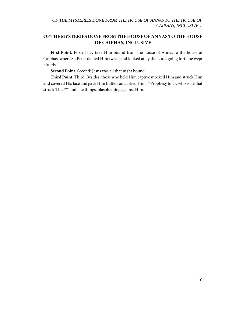# **OF THE MYSTERIES DONE FROM THE HOUSE OF ANNAS TO THE HOUSE OF CAIPHAS, INCLUSIVE**

**First Point.** First: They take Him bound from the house of Annas to the house of Caiphas, where St. Peter denied Him twice, and looked at by the Lord, going forth he wept bitterly.

**Second Point.** Second: Jesus was all that night bound.

**Third Point.** Third: Besides, those who held Him captive mocked Him and struck Him and covered His face and gave Him buffets and asked Him: "'Prophesy to us, who is he that struck Thee?'" and like things, blaspheming against Him.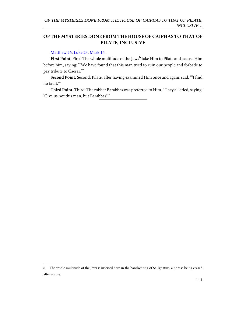# **OF THE MYSTERIES DONE FROM THE HOUSE OF CAIPHAS TO THAT OF PILATE, INCLUSIVE**

[Matthew 26](http://www.ccel.org/study/Bible:Matt.26), [Luke 23](http://www.ccel.org/study/Bible:Luke.23), [Mark 15.](http://www.ccel.org/study/Bible:Mark.15)

**First Point.** First: The whole multitude of the Jews<sup>6</sup> take Him to Pilate and accuse Him before him, saying: "'We have found that this man tried to ruin our people and forbade to pay tribute to Caesar.'"

**Second Point.** Second: Pilate, after having examined Him once and again, said: "'I find no fault.'"

**Third Point.** Third: The robber Barabbas was preferred to Him. "They all cried, saying: 'Give us not this man, but Barabbas!'"

<sup>6</sup> The whole multitude of the Jews is inserted here in the handwriting of St. Ignatius, a phrase being erased after accuse.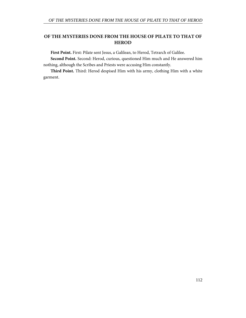## **OF THE MYSTERIES DONE FROM THE HOUSE OF PILATE TO THAT OF HEROD**

**First Point.** First: Pilate sent Jesus, a Galilean, to Herod, Tetrarch of Galilee.

**Second Point.** Second: Herod, curious, questioned Him much and He answered him nothing, although the Scribes and Priests were accusing Him constantly.

**Third Point.** Third: Herod despised Him with his army, clothing Him with a white garment.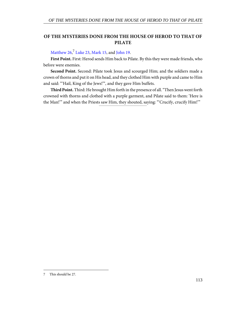## **OF THE MYSTERIES DONE FROM THE HOUSE OF HEROD TO THAT OF PILATE**

[Matthew 26](http://www.ccel.org/study/Bible:Matt.26),<sup>7</sup> [Luke 23,](http://www.ccel.org/study/Bible:Luke.23) [Mark 15](http://www.ccel.org/study/Bible:Mark.15), and [John 19](http://www.ccel.org/study/Bible:John.19).

**First Point.** First: Herod sends Him back to Pilate. By this they were made friends, who before were enemies.

**Second Point.** Second: Pilate took Jesus and scourged Him; and the soldiers made a crown of thorns and put it on His head, and they clothed Him with purple and came to Him and said: "'Hail, King of the Jews!'", and they gave Him buffets.

**Third Point.** Third: He brought Him forth in the presence of all. "Then Jesus went forth crowned with thorns and clothed with a purple garment, and Pilate said to them: 'Here is the Man!'" and when the Priests saw Him, they shouted, saying: "'Crucify, crucify Him!'"

<sup>7</sup> This should be 27.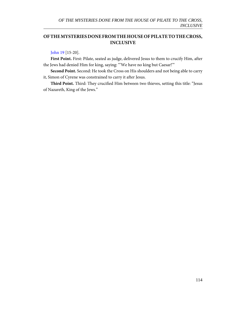# **OF THE MYSTERIES DONE FROM THE HOUSE OF PILATE TO THE CROSS, INCLUSIVE**

[John 19](http://www.ccel.org/study/Bible:John.19) [15-20].

**First Point.** First: Pilate, seated as judge, delivered Jesus to them to crucify Him, after the Jews had denied Him for king, saying: "'We have no king but Caesar!'"

**Second Point.** Second: He took the Cross on His shoulders and not being able to carry it, Simon of Cyrene was constrained to carry it after Jesus.

**Third Point.** Third: They crucified Him between two thieves, setting this title: "Jesus of Nazareth, King of the Jews."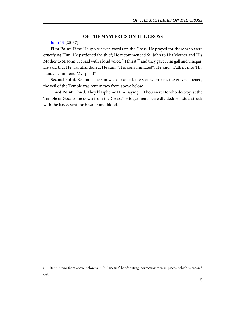#### **OF THE MYSTERIES ON THE CROSS**

[John 19](http://www.ccel.org/study/Bible:John.19) [25-37].

**First Point.** First: He spoke seven words on the Cross: He prayed for those who were crucifying Him; He pardoned the thief; He recommended St. John to His Mother and His Mother to St. John; He said with a loud voice: "'I thirst,'" and they gave Him gall and vinegar; He said that He was abandoned; He said: "It is consummated"; He said: "Father, into Thy hands I commend My spirit!"

**Second Point.** Second: The sun was darkened, the stones broken, the graves opened, the veil of the Temple was rent in two from above below.<sup>8</sup>

**Third Point.** Third: They blaspheme Him, saying: "'Thou wert He who destroyest the Temple of God; come down from the Cross."' His garments were divided; His side, struck with the lance, sent forth water and blood.

<sup>8</sup> Rent in two from above below is in St. Ignatius' handwriting, correcting torn in pieces, which is crossed out.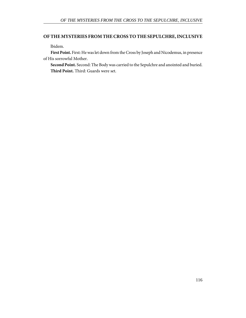## **OF THE MYSTERIES FROM THE CROSS TO THE SEPULCHRE, INCLUSIVE**

lbidem.

**First Point.** First: He was let down from the Cross by Joseph and Nicodemus, in presence of His sorrowful Mother.

**Second Point.** Second: The Body was carried to the Sepulchre and anointed and buried. **Third Point.** Third: Guards were set.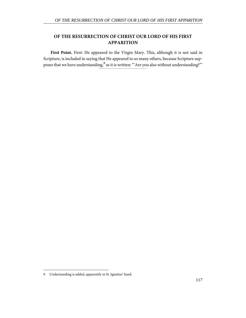## **OF THE RESURRECTION OF CHRIST OUR LORD OF HIS FIRST APPARITION**

**First Point.** First: He appeared to the Virgin Mary. This, although it is not said in Scripture, is included in saying that He appeared to so many others, because Scripture supposes that we have understanding, $^9$  as it is written: "'Are you also without understanding?"'

<sup>9</sup> Understanding is added, apparently in St. Ignatius' hand.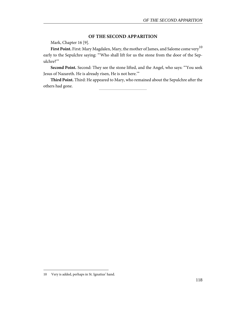## **OF THE SECOND APPARITION**

Mark, Chapter 16 [9].

First Point. First: Mary Magdalen, Mary, the mother of James, and Salome come very<sup>10</sup> early to the Sepulchre saying: "'Who shall lift for us the stone from the door of the Sepulchre?'"

**Second Point.** Second: They see the stone lifted, and the Angel, who says: "'You seek Jesus of Nazareth. He is already risen, He is not here.'"

**Third Point.** Third: He appeared to Mary, who remained about the Sepulchre after the others had gone.

<sup>10</sup> Very is added, perhaps in St. Ignatius' hand.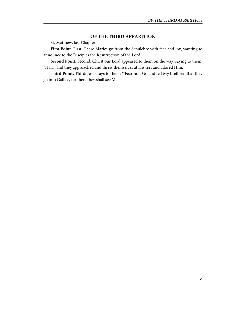#### **OF THE THIRD APPARITION**

St. Matthew, last Chapter.

**First Point.** First: These Maries go from the Sepulchre with fear and joy, wanting to announce to the Disciples the Resurrection of the Lord.

**Second Point.** Second: Christ our Lord appeared to them on the way, saying to them: "Hail:" and they approached and threw themselves at His feet and adored Him.

**Third Point.** Third: Jesus says to them: "'Fear not! Go and tell My brethren that they go into Galilee, for there they shall see Me.'"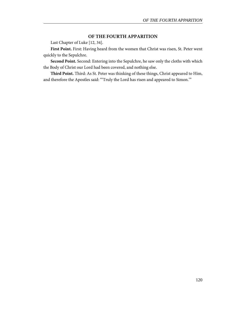## **OF THE FOURTH APPARITION**

Last Chapter of Luke [12, 34].

**First Point.** First: Having heard from the women that Christ was risen, St. Peter went quickly to the Sepulchre.

**Second Point.** Second: Entering into the Sepulchre, he saw only the cloths with which the Body of Christ our Lord had been covered, and nothing else.

**Third Point.** Third: As St. Peter was thinking of these things, Christ appeared to Him, and therefore the Apostles said: "'Truly the Lord has risen and appeared to Simon.'"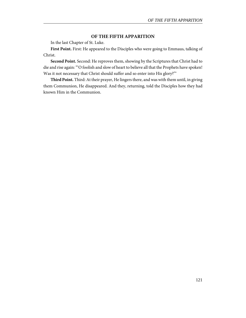## **OF THE FIFTH APPARITION**

In the last Chapter of St. Luke.

**First Point.** First: He appeared to the Disciples who were going to Emmaus, talking of Christ.

**Second Point.** Second: He reproves them, showing by the Scriptures that Christ had to die and rise again: "'O foolish and slow of heart to believe all that the Prophets have spoken! Was it not necessary that Christ should suffer and so enter into His glory?"

**Third Point.** Third: At their prayer, He lingers there, and was with them until, in giving them Communion, He disappeared. And they, returning, told the Disciples how they had known Him in the Communion.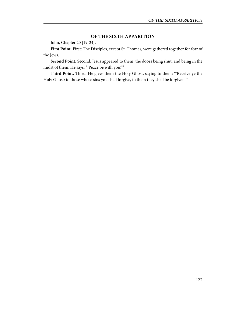## **OF THE SIXTH APPARITION**

John, Chapter 20 [19-24].

**First Point.** First: The Disciples, except St. Thomas, were gathered together for fear of the Jews.

**Second Point.** Second: Jesus appeared to them, the doors being shut, and being in the midst of them, He says: "'Peace be with you!'"

**Third Point.** Third: He gives them the Holy Ghost, saying to them: "'Receive ye the Holy Ghost: to those whose sins you shall forgive, to them they shall be forgiven.'"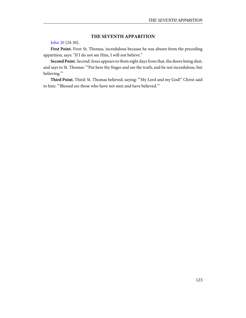#### **THE SEVENTH APPARITION**

[John 20](http://www.ccel.org/study/Bible:John.20) [24-30].

**First Point.** First: St. Thomas, incredulous because he was absent from the preceding apparition, says: "If I do not see Him, I will not believe."

**Second Point.** Second: Jesus appears to them eight days from that, the doors being shut, and says to St. Thomas: "'Put here thy finger and see the truth; and be not incredulous, but believing.'"

**Third Point.** Third: St. Thomas believed, saying: "'My Lord and my God!" Christ said to him: "'Blessed are those who have not seen and have believed.'"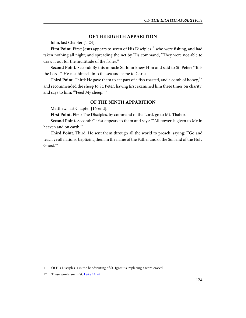#### **OF THE EIGHTH APPARITION**

John, last Chapter [1-24].

First Point. First: Jesus appears to seven of His Disciples<sup>11</sup> who were fishing, and had taken nothing all night; and spreading the net by His command, "They were not able to draw it out for the multitude of the fishes."

**Second Point.** Second: By this miracle St. John knew Him and said to St. Peter: "'It is the Lord!'" He cast himself into the sea and came to Christ.

**Third Point.** Third: He gave them to eat part of a fish roasted, and a comb of honey,<sup>12</sup> and recommended the sheep to St. Peter, having first examined him three times on charity, and says to him: "'Feed My sheep! '"

#### **OF THE NINTH APPARITION**

Matthew, last Chapter [16-end].

**First Point.** First: The Disciples, by command of the Lord, go to Mt. Thabor.

**Second Point.** Second: Christ appears to them and says: "'All power is given to Me in heaven and on earth.'"

**Third Point.** Third: He sent them through all the world to preach, saying: "'Go and teach ye all nations, baptizing them in the name of the Father and of the Son and of the Holy Ghost.'"

<sup>11</sup> Of His Disciples is in the handwriting of St. Ignatius: replacing a word erased.

<sup>12</sup> These words are in St. [Luke 24, 42](http://www.ccel.org/study/Bible:Luke.24 Bible:Luke.42).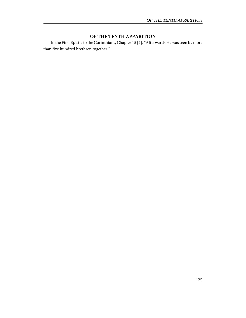# **OF THE TENTH APPARITION**

In the First Epistle to the Corinthians, Chapter 15 [7]. "Afterwards He was seen by more than five hundred brethren together."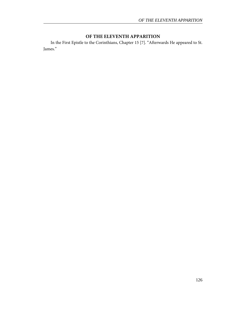# **OF THE ELEVENTH APPARITION**

In the First Epistle to the Corinthians, Chapter 15 [7]. "Afterwards He appeared to St. James."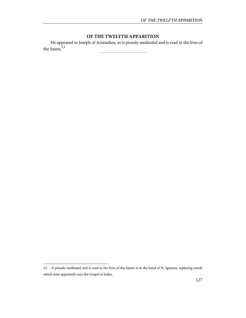# **OF THE TWELFTH APPARITION**

He appeared to Joseph of Arimathea, as is piously meditated and is read in the lives of the Saints.<sup>13</sup>

<sup>13</sup> Is piously meditated and is read in the lives of the Saints is in the hand of St. Ignatius, replacing words which were apparently says the Gospel of Judea.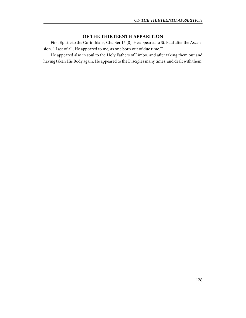#### **OF THE THIRTEENTH APPARITION**

First Epistle to the Corinthians, Chapter 15 [8]. He appeared to St. Paul after the Ascension. "'Last of all, He appeared to me, as one born out of due time.'"

He appeared also in soul to the Holy Fathers of Limbo, and after taking them out and having taken His Body again, He appeared to the Disciples many times, and dealt with them.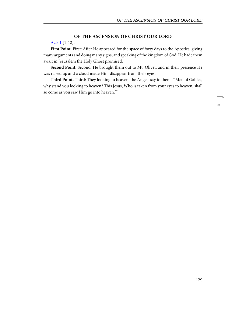# **OF THE ASCENSION OF CHRIST OUR LORD**

## [Acts 1](http://www.ccel.org/study/Bible:Acts.1) [1-12].

**First Point.** First: After He appeared for the space of forty days to the Apostles, giving many arguments and doing many signs, and speaking of the kingdom of God, He bade them await in Jerusalem the Holy Ghost promised.

**Second Point.** Second: He brought them out to Mt. Olivet, and in their presence He was raised up and a cloud made Him disappear from their eyes.

**Third Point.** Third: They looking to heaven, the Angels say to them: "'Men of Galilee, why stand you looking to heaven? This Jesus, Who is taken from your eyes to heaven, shall so come as you saw Him go into heaven.'"

34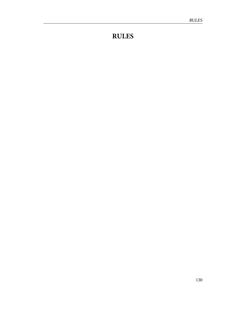# **RULES**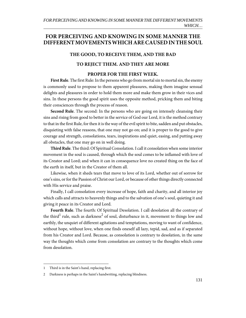# **FOR PERCEIVING AND KNOWING IN SOME MANNER THE DIFFERENT MOVEMENTS WHICH ARE CAUSED IN THE SOUL**

#### **THE GOOD, TO RECEIVE THEM, AND THE BAD**

#### **TO REJECT THEM. AND THEY ARE MORE**

#### **PROPER FOR THE FIRST WEEK.**

**First Rule**. The first Rule: In the persons who go from mortal sin to mortal sin, the enemy is commonly used to propose to them apparent pleasures, making them imagine sensual delights and pleasures in order to hold them more and make them grow in their vices and sins. In these persons the good spirit uses the opposite method, pricking them and biting their consciences through the process of reason.

**Second Rule**. The second: In the persons who are going on intensely cleansing their sins and rising from good to better in the service of God our Lord, it is the method contrary to that in the first Rule, for then it is the way of the evil spirit to bite, sadden and put obstacles, disquieting with false reasons, that one may not go on; and it is proper to the good to give courage and strength, consolations, tears, inspirations and quiet, easing, and putting away all obstacles, that one may go on in well doing.

**Third Rule**. The third: Of Spiritual Consolation. I call it consolation when some interior movement in the soul is caused, through which the soul comes to be inflamed with love of its Creator and Lord; and when it can in consequence love no created thing on the face of the earth in itself, but in the Creator of them all.

Likewise, when it sheds tears that move to love of its Lord, whether out of sorrow for one's sins, or for the Passion of Christ our Lord, or because of other things directly connected with His service and praise.

Finally, I call consolation every increase of hope, faith and charity, and all interior joy which calls and attracts to heavenly things and to the salvation of one's soul, quieting it and giving it peace in its Creator and Lord.

**Fourth Rule**. The fourth: Of Spiritual Desolation. I call desolation all the contrary of the third $^{\rm l}$  rule, such as darkness $^{\rm 2}$  of soul, disturbance in it, movement to things low and earthly, the unquiet of different agitations and temptations, moving to want of confidence, without hope, without love, when one finds oneself all lazy, tepid, sad, and as if separated from his Creator and Lord. Because, as consolation is contrary to desolation, in the same way the thoughts which come from consolation are contrary to the thoughts which come from desolation.

<sup>1</sup> Third is in the Saint's hand, replacing first.

<sup>2</sup> Darkness is perhaps in the Saint's handwriting, replacing blindness.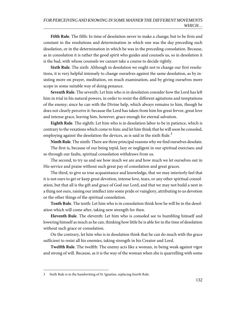**Fifth Rule**. The fifth: In time of desolation never to make a change; but to be firm and constant in the resolutions and determination in which one was the day preceding such desolation, or in the determination in which he was in the preceding consolation. Because, as in consolation it is rather the good spirit who guides and counsels us, so in desolation it is the bad, with whose counsels we cannot take a course to decide rightly.

**Sixth Rule**. The sixth: Although in desolation we ought not to change our first resolutions, it is very helpful intensely to change ourselves against the same desolation, as by insisting more on prayer, meditation, on much examination, and by giving ourselves more scope in some suitable way of doing penance.

**Seventh Rule**. The seventh: Let him who is in desolation consider how the Lord has left him in trial in his natural powers, in order to resist the different agitations and temptations of the enemy; since he can with the Divine help, which always remains to him, though he does not clearly perceive it: because the Lord has taken from him his great fervor, great love and intense grace, leaving him, however, grace enough for eternal salvation.

**Eighth Rule**. The eighth: Let him who is in desolation labor to be in patience, which is contrary to the vexations which come to him: and let him think that he will soon be consoled, employing against the desolation the devices, as is said in the sixth Rule.<sup>3</sup>

**Ninth Rule**. The ninth: There are three principal reasons why we find ourselves desolate.

The first is, because of our being tepid, lazy or negligent in our spiritual exercises; and so through our faults, spiritual consolation withdraws from us.

The second, to try us and see how much we are and how much we let ourselves out in His service and praise without such great pay of consolation and great graces.

The third, to give us true acquaintance and knowledge, that we may interiorly feel that it is not ours to get or keep great devotion, intense love, tears, or any other spiritual consolation, but that all is the gift and grace of God our Lord, and that we may not build a nest in a thing not ours, raising our intellect into some pride or vainglory, attributing to us devotion or the other things of the spiritual consolation.

**Tenth Rule**. The tenth: Let him who is in consolation think how he will be in the desolation which will come after, taking new strength for then.

**Eleventh Rule**. The eleventh: Let him who is consoled see to humbling himself and lowering himself as much as he can, thinking how little he is able for in the time of desolation without such grace or consolation.

On the contrary, let him who is in desolation think that he can do much with the grace sufficient to resist all his enemies, taking strength in his Creator and Lord.

**Twelfth Rule**. The twelfth: The enemy acts like a woman, in being weak against vigor and strong of will. Because, as it is the way of the woman when she is quarrelling with some

<sup>3</sup> Sixth Rule is in the handwriting of St. Ignatius, replacing fourth Rule.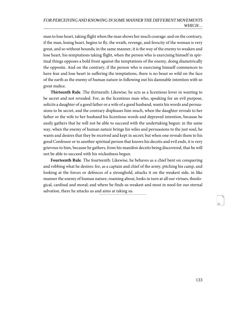man to lose heart, taking flight when the man shows her much courage: and on the contrary, if the man, losing heart, begins to fly, the wrath, revenge, and ferocity of the woman is very great, and so without bounds; in the same manner, it is the way of the enemy to weaken and lose heart, his temptations taking flight, when the person who is exercising himself in spiritual things opposes a bold front against the temptations of the enemy, doing diametrically the opposite. And on the contrary, if the person who is exercising himself commences to have fear and lose heart in suffering the temptations, there is no beast so wild on the face of the earth as the enemy of human nature in following out his damnable intention with so great malice.

**Thirteenth Rule**. The thirteenth: Likewise, he acts as a licentious lover in wanting to be secret and not revealed. For, as the licentious man who, speaking for an evil purpose, solicits a daughter of a good father or a wife of a good husband, wants his words and persuasions to be secret, and the contrary displeases him much, when the daughter reveals to her father or the wife to her husband his licentious words and depraved intention, because he easily gathers that he will not be able to succeed with the undertaking begun: in the same way, when the enemy of human nature brings his wiles and persuasions to the just soul, he wants and desires that they be received and kept in secret; but when one reveals them to his good Confessor or to another spiritual person that knows his deceits and evil ends, it is very grievous to him, because he gathers, from his manifest deceits being discovered, that he will not be able to succeed with his wickedness begun.

**Fourteenth Rule**. The fourteenth: Likewise, he behaves as a chief bent on conquering and robbing what he desires: for, as a captain and chief of the army, pitching his camp, and looking at the forces or defences of a stronghold, attacks it on the weakest side, in like manner the enemy of human nature, roaming about, looks in turn at all our virtues, theological, cardinal and moral; and where he finds us weakest and most in need for our eternal salvation, there he attacks us and aims at taking us.

35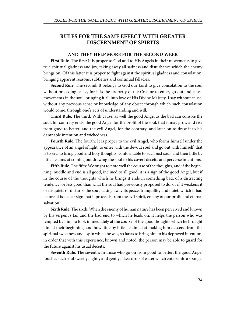## **RULES FOR THE SAME EFFECT WITH GREATER DISCERNMENT OF SPIRITS**

#### **AND THEY HELP MORE FOR THE SECOND WEEK**

**First Rule**. The first: It is proper to God and to His Angels in their movements to give true spiritual gladness and joy, taking away all sadness and disturbance which the enemy brings on. Of this latter it is proper to fight against the spiritual gladness and consolation, bringing apparent reasons, subtleties and continual fallacies.

**Second Rule**. The second: It belongs to God our Lord to give consolation to the soul without preceding cause, for it is the property of the Creator to enter, go out and cause movements in the soul, bringing it all into love of His Divine Majesty. I say without cause: without any previous sense or knowledge of any object through which such consolation would come, through one's acts of understanding and will.

**Third Rule**. The third: With cause, as well the good Angel as the bad can console the soul, for contrary ends: the good Angel for the profit of the soul, that it may grow and rise from good to better, and the evil Angel, for the contrary, and later on to draw it to his damnable intention and wickedness.

**Fourth Rule**. The fourth: It is proper to the evil Angel, who forms himself under the appearance of an angel of light, to enter with the devout soul and go out with himself: that is to say, to bring good and holy thoughts, conformable to such just soul, and then little by little he aims at coming out drawing the soul to his covert deceits and perverse intentions.

**Fifth Rule**. The fifth: We ought to note well the course of the thoughts, and if the beginning, middle and end is all good, inclined to all good, it is a sign of the good Angel; but if in the course of the thoughts which he brings it ends in something bad, of a distracting tendency, or less good than what the soul had previously proposed to do, or if it weakens it or disquiets or disturbs the soul, taking away its peace, tranquillity and quiet, which it had before, it is a clear sign that it proceeds from the evil spirit, enemy of our profit and eternal salvation.

**Sixth Rule**. The sixth: When the enemy of human nature has been perceived and known by his serpent's tail and the bad end to which he leads on, it helps the person who was tempted by him, to look immediately at the course of the good thoughts which he brought him at their beginning, and how little by little he aimed at making him descend from the spiritual sweetness and joy in which he was, so far as to bring him to his depraved intention; in order that with this experience, known and noted, the person may be able to guard for the future against his usual deceits.

**Seventh Rule**. The seventh: In those who go on from good to better, the good Angel touches such soul sweetly, lightly and gently, like a drop of water which enters into a sponge;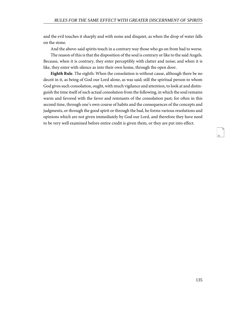and the evil touches it sharply and with noise and disquiet, as when the drop of water falls on the stone.

And the above-said spirits touch in a contrary way those who go on from bad to worse.

The reason of this is that the disposition of the soul is contrary or like to the said Angels. Because, when it is contrary, they enter perceptibly with clatter and noise; and when it is like, they enter with silence as into their own home, through the open door.

**Eighth Rule**. The eighth: When the consolation is without cause, although there be no deceit in it, as being of God our Lord alone, as was said; still the spiritual person to whom God gives such consolation, ought, with much vigilance and attention, to look at and distinguish the time itself of such actual consolation from the following, in which the soul remains warm and favored with the favor and remnants of the consolation past; for often in this second time, through one's own course of habits and the consequences of the concepts and judgments, or through the good spirit or through the bad, he forms various resolutions and opinions which are not given immediately by God our Lord, and therefore they have need to be very well examined before entire credit is given them, or they are put into effect.

36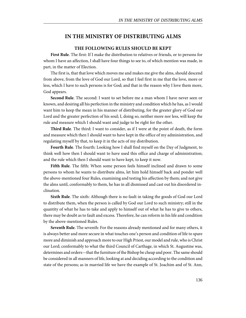## **IN THE MINISTRY OF DISTRIBUTING ALMS**

#### **THE FOLLOWING RULES SHOULD BE KEPT**

**First Rule**. The first: If I make the distribution to relatives or friends, or to persons for whom I have an affection, I shall have four things to see to, of which mention was made, in part, in the matter of Election.

The first is, that that love which moves me and makes me give the alms, should descend from above, from the love of God our Lord, so that I feel first in me that the love, more or less, which I have to such persons is for God; and that in the reason why I love them more, God appears.

**Second Rule**. The second: I want to set before me a man whom I have never seen or known, and desiring all his perfection in the ministry and condition which he has, as I would want him to keep the mean in his manner of distributing, for the greater glory of God our Lord and the greater perfection of his soul; I, doing so, neither more nor less, will keep the rule and measure which I should want and judge to be right for the other.

**Third Rule**. The third: I want to consider, as if I were at the point of death, the form and measure which then I should want to have kept in the office of my administration, and regulating myself by that, to keep it in the acts of my distribution.

**Fourth Rule**. The fourth: Looking how I shall find myself on the Day of Judgment, to think well how then I should want to have used this office and charge of administration; and the rule which then I should want to have kept, to keep it now.

**Fifth Rule**. The fifth: When some person feels himself inclined and drawn to some persons to whom he wants to distribute alms, let him hold himself back and ponder well the above-mentioned four Rules, examining and testing his affection by them; and not give the alms until, conformably to them, he has in all dismissed and cast out his disordered inclination.

**Sixth Rule**. The sixth: Although there is no fault in taking the goods of God our Lord to distribute them, when the person is called by God our Lord to such ministry; still in the quantity of what he has to take and apply to himself out of what he has to give to others, there may be doubt as to fault and excess. Therefore, he can reform in his life and condition by the above-mentioned Rules.

**Seventh Rule**. The seventh: For the reasons already mentioned and for many others, it is always better and more secure in what touches one's person and condition of life to spare more and diminish and approach more to our High Priest, our model and rule, who is Christ our Lord; conformably to what the third Council of Carthage, in which St. Augustine was, determines and orders—that the furniture of the Bishop be cheap and poor. The same should be considered in all manners of life, looking at and deciding according to the condition and state of the persons; as in married life we have the example of St. Joachim and of St. Ann,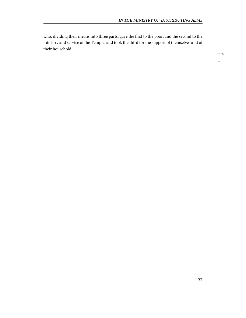who, dividing their means into three parts, gave the first to the poor, and the second to the ministry and service of the Temple, and took the third for the support of themselves and of their household.

37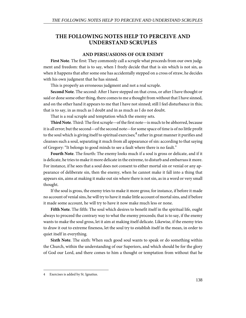### **THE FOLLOWING NOTES HELP TO PERCEIVE AND UNDERSTAND SCRUPLES**

#### **AND PERSUASIONS OF OUR ENEMY**

**First Note**. The first: They commonly call a scruple what proceeds from our own judgment and freedom: that is to say, when I freely decide that that is sin which is not sin, as when it happens that after some one has accidentally stepped on a cross of straw, he decides with his own judgment that he has sinned.

This is properly an erroneous judgment and not a real scruple.

**Second Note**. The second: After I have stepped on that cross, or after I have thought or said or done some other thing, there comes to me a thought from without that I have sinned, and on the other hand it appears to me that I have not sinned; still I feel disturbance in this; that is to say, in as much as I doubt and in as much as I do not doubt.

That is a real scruple and temptation which the enemy sets.

**Third Note**. Third: The first scruple—of the first note—is much to be abhorred, because it is all error; but the second—of the second note—for some space of time is of no little profit to the soul which is giving itself to spiritual exercises; $^4$  rather in great manner it purifies and cleanses such a soul, separating it much from all appearance of sin: according to that saying of Gregory: "It belongs to good minds to see a fault where there is no fault."

**Fourth Note**. The fourth: The enemy looks much if a soul is gross or delicate, and if it is delicate, he tries to make it more delicate in the extreme, to disturb and embarrass it more. For instance, if he sees that a soul does not consent to either mortal sin or venial or any appearance of deliberate sin, then the enemy, when he cannot make it fall into a thing that appears sin, aims at making it make out sin where there is not sin, as in a word or very small thought.

If the soul is gross, the enemy tries to make it more gross; for instance, if before it made no account of venial sins, he will try to have it make little account of mortal sins, and if before it made some account, he will try to have it now make much less or none.

**Fifth Note**. The fifth: The soul which desires to benefit itself in the spiritual life, ought always to proceed the contrary way to what the enemy proceeds; that is to say, if the enemy wants to make the soul gross, let it aim at making itself delicate. Likewise, if the enemy tries to draw it out to extreme fineness, let the soul try to establish itself in the mean, in order to quiet itself in everything.

**Sixth Note**. The sixth: When such good soul wants to speak or do something within the Church, within the understanding of our Superiors, and which should be for the glory of God our Lord, and there comes to him a thought or temptation from without that he

<sup>4</sup> Exercises is added by St. Ignatius.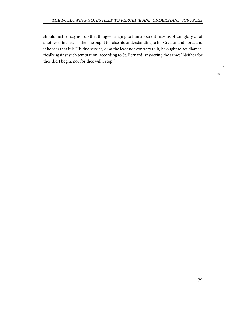should neither say nor do that thing—bringing to him apparent reasons of vainglory or of another thing, etc.,—then he ought to raise his understanding to his Creator and Lord, and if he sees that it is His due service, or at the least not contrary to it, he ought to act diametrically against such temptation, according to St. Bernard, answering the same: "Neither for thee did I begin, nor for thee will I stop."

<span id="page-145-0"></span>38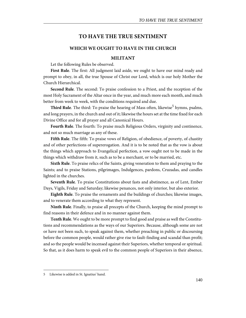### **TO HAVE THE TRUE SENTIMENT**

#### **WHICH WE OUGHT TO HAVE IN THE CHURCH**

#### **MILITANT**

Let the following Rules be observed.

**First Rule**. The first: All judgment laid aside, we ought to have our mind ready and prompt to obey, in all, the true Spouse of Christ our Lord, which is our holy Mother the Church Hierarchical.

**Second Rule**. The second: To praise confession to a Priest, and the reception of the most Holy Sacrament of the Altar once in the year, and much more each month, and much better from week to week, with the conditions required and due.

**Third Rule**. The third: To praise the hearing of Mass often, likewise<sup>5</sup> hymns, psalms, and long prayers, in the church and out of it; likewise the hours set at the time fixed for each Divine Office and for all prayer and all Canonical Hours.

**Fourth Rule**. The fourth: To praise much Religious Orders, virginity and continence, and not so much marriage as any of these.

**Fifth Rule**. The fifth: To praise vows of Religion, of obedience, of poverty, of chastity and of other perfections of supererogation. And it is to be noted that as the vow is about the things which approach to Evangelical perfection, a vow ought not to be made in the things which withdraw from it, such as to be a merchant, or to be married, etc.

**Sixth Rule**. To praise relics of the Saints, giving veneration to them and praying to the Saints; and to praise Stations, pilgrimages, Indulgences, pardons, Cruzadas, and candles lighted in the churches.

**Seventh Rule**. To praise Constitutions about fasts and abstinence, as of Lent, Ember Days, Vigils, Friday and Saturday; likewise penances, not only interior, but also exterior.

**Eighth Rule**. To praise the ornaments and the buildings of churches; likewise images, and to venerate them according to what they represent.

**Ninth Rule**. Finally, to praise all precepts of the Church, keeping the mind prompt to find reasons in their defence and in no manner against them.

**Tenth Rule**. We ought to be more prompt to find good and praise as well the Constitutions and recommendations as the ways of our Superiors. Because, although some are not or have not been such, to speak against them, whether preaching in public or discoursing before the common people, would rather give rise to fault-finding and scandal than profit; and so the people would be incensed against their Superiors, whether temporal or spiritual. So that, as it does harm to speak evil to the common people of Superiors in their absence,

<sup>5</sup> Likewise is added in St. Ignatius' hand.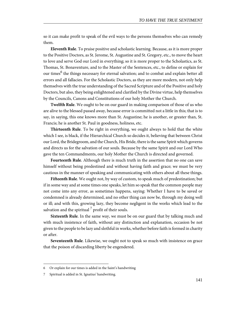so it can make profit to speak of the evil ways to the persons themselves who can remedy them.

**Eleventh Rule**. To praise positive and scholastic learning. Because, as it is more proper to the Positive Doctors, as St. Jerome, St. Augustine and St. Gregory, etc., to move the heart to love and serve God our Lord in everything; so it is more proper to the Scholastics, as St. Thomas, St. Bonaventure, and to the Master of the Sentences, etc., to define or explain for our times<sup>6</sup> the things necessary for eternal salvation; and to combat and explain better all errors and all fallacies. For the Scholastic Doctors, as they are more modern, not only help themselves with the true understanding of the Sacred Scripture and of the Positive and holy Doctors, but also, they being enlightened and clarified by the Divine virtue, help themselves by the Councils, Canons and Constitutions of our holy Mother the Church.

**Twelfth Rule**. We ought to be on our guard in making comparison of those of us who are alive to the blessed passed away, because error is committed not a little in this; that is to say, in saying, this one knows more than St. Augustine; he is another, or greater than, St. Francis; he is another St. Paul in goodness, holiness, etc.

**Thirteenth Rule**. To be right in everything, we ought always to hold that the white which I see, is black, if the Hierarchical Church so decides it, believing that between Christ our Lord, the Bridegroom, and the Church, His Bride, there is the same Spirit which governs and directs us for the salvation of our souls. Because by the same Spirit and our Lord Who gave the ten Commandments, our holy Mother the Church is directed and governed.

**Fourteenth Rule**. Although there is much truth in the assertion that no one can save himself without being predestined and without having faith and grace; we must be very cautious in the manner of speaking and communicating with others about all these things.

**Fifteenth Rule**. We ought not, by way of custom, to speak much of predestination; but if in some way and at some times one speaks, let him so speak that the common people may not come into any error, as sometimes happens, saying: Whether I have to be saved or condemned is already determined, and no other thing can now be, through my doing well or ill; and with this, growing lazy, they become negligent in the works which lead to the salvation and the spiritual  $^7$  profit of their souls.

**Sixteenth Rule**. In the same way, we must be on our guard that by talking much and with much insistence of faith, without any distinction and explanation, occasion be not given to the people to be lazy and slothful in works, whether before faith is formed in charity or after.

**Seventeenth Rule**. Likewise, we ought not to speak so much with insistence on grace that the poison of discarding liberty be engendered.

<sup>6</sup> Or explain for our times is added in the Saint's handwriting

<sup>7</sup> Spiritual is added in St. Ignatius' handwriting.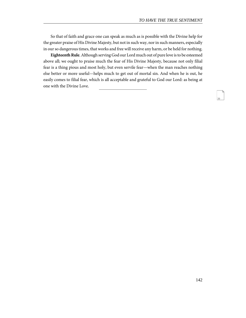So that of faith and grace one can speak as much as is possible with the Divine help for the greater praise of His Divine Majesty, but not in such way, nor in such manners, especially in our so dangerous times, that works and free will receive any harm, or be held for nothing.

**Eighteenth Rule**. Although serving God our Lord much out of pure love is to be esteemed above all; we ought to praise much the fear of His Divine Majesty, because not only filial fear is a thing pious and most holy, but even servile fear—when the man reaches nothing else better or more useful—helps much to get out of mortal sin. And when he is out, he easily comes to filial fear, which is all acceptable and grateful to God our Lord: as being at one with the Divine Love.

<span id="page-148-0"></span>39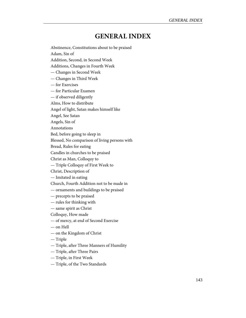## **GENERAL INDEX**

Abstinence, Constitutions about to be praised Adam, Sin of Addition, Second, in Second Week Additions, Changes in Fourth Week — Changes in Second Week — Changes in Third Week — for Exercises — for Particular Examen — if observed diligently Alms, How to distribute Angel of light, Satan makes himself like Angel, See Satan Angels, Sin of Annotations Bed, before going to sleep in Blessed, No comparison of living persons with Bread, Rules for eating Candles in churches to be praised Christ as Man, Colloquy to — Triple Colloquy of First Week to Christ, Description of — Imitated in eating Church, Fourth Addition not to be made in — ornaments and buildings to be praised — precepts to be praised — rules for thinking with — same spirit as Christ Colloquy, How made — of mercy, at end of Second Exercise — on Hell — on the Kingdom of Christ — Triple — Triple, after Three Manners of Humility

— Triple, after Three Pairs

- Triple, in First Week
- Triple, of the Two Standards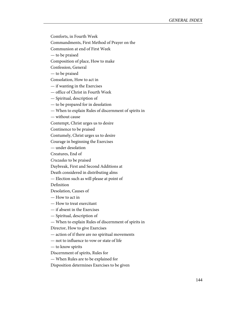Comforts, in Fourth Week

Commandments, First Method of Prayer on the

Communion at end of First Week

— to be praised

Composition of place, How to make

Confession, General

— to be praised

Consolation, How to act in

— if wanting in the Exercises

— office of Christ in Fourth Week

— Spiritual, description of

— to be prepared for in desolation

— When to explain Rules of discernment of spirits in

— without cause

Contempt, Christ urges us to desire

Continence to be praised

Contumely, Christ urges us to desire

Courage in beginning the Exercises

— under desolation

Creatures, End of

Cruzadas to be praised

Daybreak, First and Second Additions at

Death considered in distributing alms

— Election such as will please at point of

Definition

Desolation, Causes of

— How to act in

— How to treat exercitant

— if absent in the Exercises

— Spiritual, description of

— When to explain Rules of discernment of spirits in

Director, How to give Exercises

— action of if there are no spiritual movements

— not to influence to vow or state of life

— to know spirits

Discernment of spirits, Rules for

— When Rules are to be explained for

Disposition determines Exercises to be given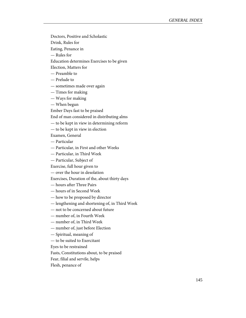- Doctors, Positive and Scholastic
- Drink, Rules for
- Eating, Penance in
- Rules for
- Education determines Exercises to be given
- Election, Matters for
- Preamble to
- Prelude to
- sometimes made over again
- Times for making
- Ways for making
- When begun
- Ember Days fast to be praised
- End of man considered in distributing alms
- to be kept in view in determining reform
- to be kept in view in election
- Examen, General
- Particular
- Particular, in First and other Weeks
- Particular, in Third Week
- Particular, Subject of
- Exercise, full hour given to
- over the hour in desolation
- Exercises, Duration of the, about thirty days
- hours after Three Pairs
- hours of in Second Week
- how to be proposed by director
- lengthening and shortening of, in Third Week
- not to be concerned about future
- number of, in Fourth Week
- number of, in Third Week
- number of, just before Election
- Spiritual, meaning of
- to be suited to Exercitant
- Eyes to be restrained
- Fasts, Constitutions about, to be praised
- Fear, filial and servile, helps
- Flesh, penance of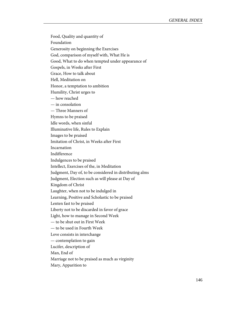Food, Quality and quantity of Foundation Generosity on beginning the Exercises God, comparison of myself with, What He is Good, What to do when tempted under appearance of Gospels, in Weeks after First Grace, How to talk about Hell, Meditation on Honor, a temptation to ambition Humility, Christ urges to — how reached — in consolation — Three Manners of Hymns to be praised Idle words, when sinful Illuminative life, Rules to Explain Images to be praised Imitation of Christ, in Weeks after First Incarnation Indifference Indulgences to be praised Intellect, Exercises of the, in Meditation Judgment, Day of, to be considered in distributing alms Judgment, Election such as will please at Day of Kingdom of Christ Laughter, when not to be indulged in Learning, Positive and Scholastic to be praised Lenten fast to be praised Liberty not to be discarded in favor of grace Light, how to manage in Second Week — to be shut out in First Week — to be used in Fourth Week Love consists in interchange — contemplation to gain Lucifer, description of Man, End of Marriage not to be praised as much as virginity Mary, Apparition to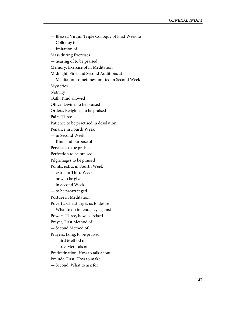— Blessed Virgin, Triple Colloquy of First Week to — Colloquy to — Imitation of Mass during Exercises — hearing of to be praised Memory, Exercise of in Meditation Midnight, First and Second Additions at — Meditation sometimes omitted in Second Week Mysteries Nativity Oath, Kind allowed Office, Divine, to he praised Orders, Religious, to be praised Pairs, Three Patience to be practised in desolation Penance in Fourth Week — in Second Week — Kind and purpose of Penances to be praised Perfection to be praised Pilgrimages to be praised Points, extra, in Fourth Week — extra, in Third Week — how to be given — in Second Week — to be prearranged Posture in Meditation Poverty, Christ urges us to desire — What to do in tendency against Powers, Three, how exercised Prayer, First Method of — Second Method of Prayers, Long, to be praised — Third Method of — Three Methods of Predestination, How to talk about Prelude, First, How to make — Second, What to ask for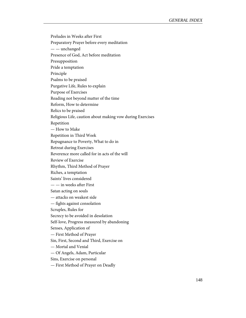Preludes in Weeks after First Preparatory Prayer before every meditation  $-$  — unchanged Presence of God, Act before meditation Presupposition Pride a temptation Principle Psalms to be praised Purgative Life, Rules to explain Purpose of Exercises Reading not beyond matter of the time Reform, How to determine Relics to be praised Religious Life, caution about making vow during Exercises Repetition — How to Make Repetition in Third Week Repugnance to Poverty, What to do in Retreat during Exercises Reverence more called for in acts of the will Review of Exercise Rhythm, Third Method of Prayer Riches, a temptation Saints' lives considered — — in weeks after First Satan acting on souls — attacks on weakest side — fights against consolation Scruples, Rules for Secrecy to be avoided in desolation Self-love, Progress measured by abandoning Senses, Application of — First Method of Prayer Sin, First, Second and Third, Exercise on — Mortal and Venial — Of Angels, Adam, Particular Sins, Exercise on personal — First Method of Prayer on Deadly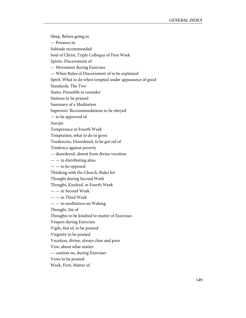Sleep, Before going to — Penance in Solitude recommended Soul of Christ, Triple Colloquy of First Week Spirits, Discernment of — Movement during Exercises — When Rules of Discernment of to be explained Spirit, What to do when tempted under appearance of good Standards, The Two States, Preamble to consider Stations to be praised Summary of a Meditation Superiors' Recommendations to be obeyed — to be approved of Suscipe Temperance in Fourth Week Temptation, what to do in gross Tendencies, Disordered, to be got rid of Tendency against poverty — disordered, absent from divine vocation  $-\frac{1}{\pi}$  in distributing alms — to be opposed Thinking with the Church, Rules for Thought during Second Week Thought, Kindred, in Fourth Week — — in Second Week — — in Third Week — — to meditation on Waking Thought, Sin of Thoughts to be kindred to matter of Exercises Vespers during Exercises Vigils, fast of, to be praised Virginity to be praised Vocation, divine, always clear and pure Vow, about what matter — caution on, during Exercises Vows to he praised Week, First, Matter of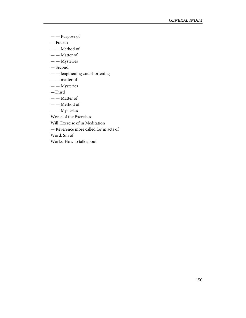- — Purpose of
- Fourth
- $--$  Method of
- $-$  Matter of
- $--$  My<br>steries  $\,$
- Second
- $--$  lengthening and shortening
- $-\!$  matter of
- — Mysteries
- —Third
- $--$  Matter of
- — Method of
- $--$  My<br>steries  $\,$

Weeks of the Exercises

Will, Exercise of in Meditation

— Reverence more called for in acts of

Word, Sin of

Works, How to talk about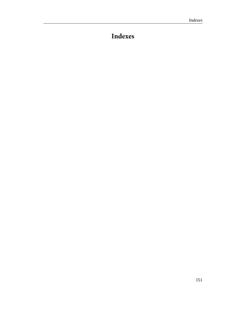# **Indexes**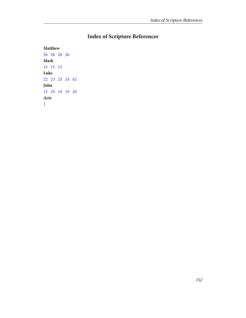## **Index of Scripture References**

### **Matthew**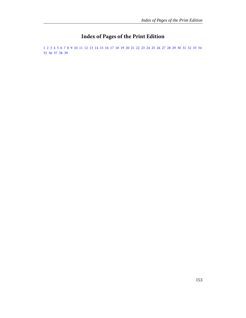## **Index of Pages of the Print Edition**

[1](#page-7-0)  [2](#page-8-0)  [3](#page-11-0)  [4](#page-13-0)  [5](#page-15-0)  [6](#page-17-0)  [7](#page-18-0)  [8](#page-19-0)  [9](#page-20-0)  [10](#page-21-0)  [11](#page-26-0)  [12](#page-28-0)  [13](#page-29-0)  [14](#page-30-0) [15](#page-32-0) [16](#page-35-0)  [17](#page-36-0)  [18](#page-45-0)  [19](#page-46-0)  [20](#page-55-0)  [21](#page-60-0)  [22](#page-64-0)  [23](#page-65-0)  [24](#page-70-0)  [25](#page-72-0)  [26](#page-73-0)  [27](#page-74-0)  [28](#page-75-0)  [29](#page-75-1)  [30](#page-76-0)  [31](#page-84-0)  [32](#page-85-0)  [33](#page-85-1)  [34](#page-135-1) [35](#page-139-0)  [36](#page-141-0)  [37](#page-143-0)  [38](#page-145-0)  [39](#page-148-0)